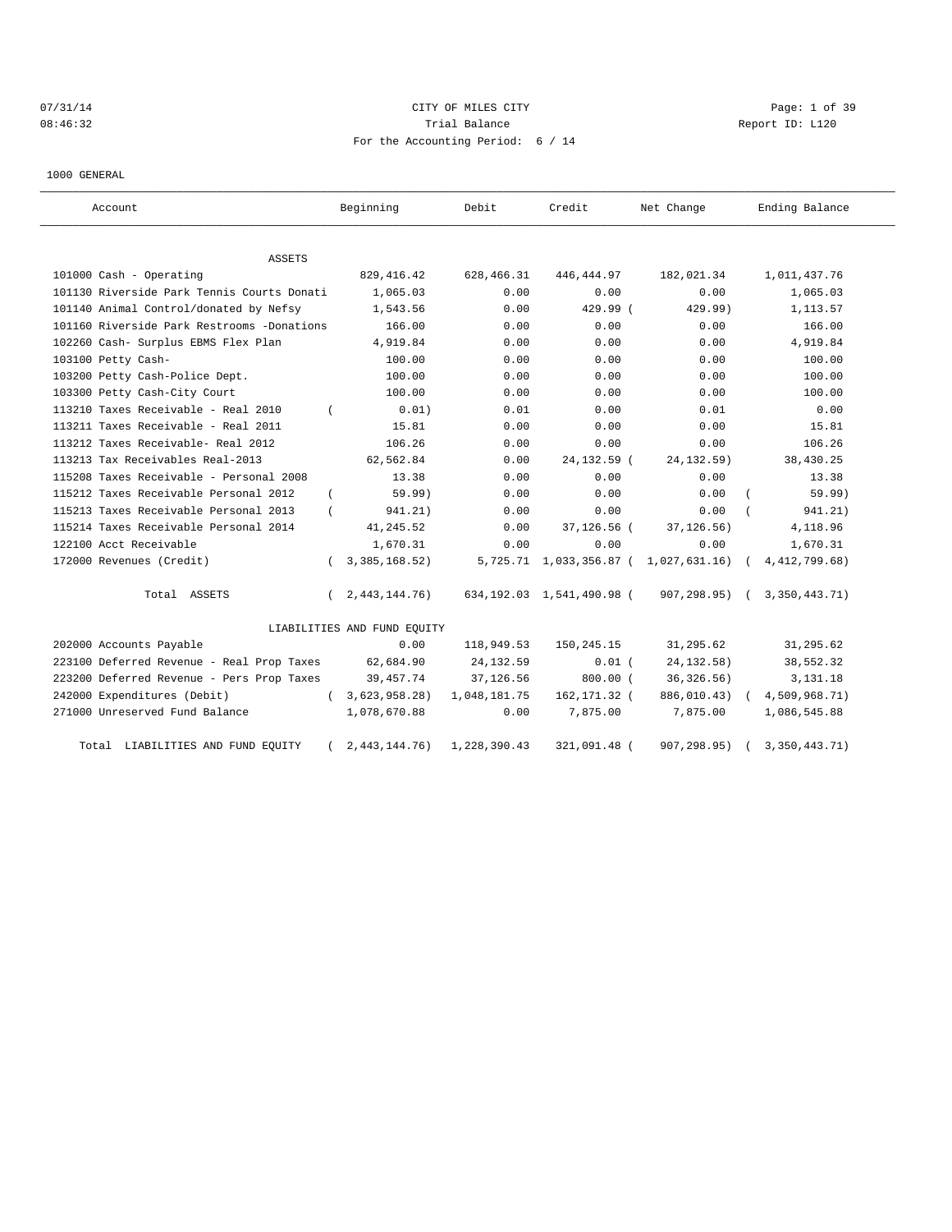# 07/31/14 Page: 1 of 39 08:46:32 Report ID: L120 For the Accounting Period: 6 / 14

1000 GENERAL

| Account                                    | Beginning                    | Debit        | Credit                       | Net Change    | Ending Balance   |
|--------------------------------------------|------------------------------|--------------|------------------------------|---------------|------------------|
| <b>ASSETS</b>                              |                              |              |                              |               |                  |
| 101000 Cash - Operating                    | 829, 416.42                  | 628,466.31   | 446,444.97                   | 182,021.34    | 1,011,437.76     |
| 101130 Riverside Park Tennis Courts Donati | 1,065.03                     | 0.00         | 0.00                         | 0.00          | 1,065.03         |
| 101140 Animal Control/donated by Nefsy     | 1,543.56                     | 0.00         | 429.99 (                     | 429.99)       | 1,113.57         |
| 101160 Riverside Park Restrooms -Donations | 166.00                       | 0.00         | 0.00                         | 0.00          | 166.00           |
| 102260 Cash- Surplus EBMS Flex Plan        | 4,919.84                     | 0.00         | 0.00                         | 0.00          | 4,919.84         |
| 103100 Petty Cash-                         | 100.00                       | 0.00         | 0.00                         | 0.00          | 100.00           |
| 103200 Petty Cash-Police Dept.             | 100.00                       | 0.00         | 0.00                         | 0.00          | 100.00           |
| 103300 Petty Cash-City Court               | 100.00                       | 0.00         | 0.00                         | 0.00          | 100.00           |
| 113210 Taxes Receivable - Real 2010        | 0.01)                        | 0.01         | 0.00                         | 0.01          | 0.00             |
| 113211 Taxes Receivable - Real 2011        | 15.81                        | 0.00         | 0.00                         | 0.00          | 15.81            |
| 113212 Taxes Receivable- Real 2012         | 106.26                       | 0.00         | 0.00                         | 0.00          | 106.26           |
| 113213 Tax Receivables Real-2013           | 62,562.84                    | 0.00         | 24, 132. 59 (                | 24, 132.59)   | 38,430.25        |
| 115208 Taxes Receivable - Personal 2008    | 13.38                        | 0.00         | 0.00                         | 0.00          | 13.38            |
| 115212 Taxes Receivable Personal 2012      | 59.99)<br>$\left($           | 0.00         | 0.00                         | 0.00          | 59.99)           |
| 115213 Taxes Receivable Personal 2013      | 941.21)                      | 0.00         | 0.00                         | 0.00          | 941.21)          |
| 115214 Taxes Receivable Personal 2014      | 41, 245.52                   | 0.00         | 37,126.56 (                  | 37, 126.56)   | 4,118.96         |
| 122100 Acct Receivable                     | 1,670.31                     | 0.00         | 0.00                         | 0.00          | 1,670.31         |
| 172000 Revenues (Credit)                   | 3, 385, 168.52)              |              | 5,725.71 1,033,356.87 (      | 1,027,631.16) | 4, 412, 799.68)  |
| Total ASSETS                               | 2, 443, 144. 76)<br>$\left($ |              | 634, 192.03 1, 541, 490.98 ( | 907,298.95) ( | 3, 350, 443. 71) |
|                                            | LIABILITIES AND FUND EQUITY  |              |                              |               |                  |
| 202000 Accounts Payable                    | 0.00                         | 118,949.53   | 150,245.15                   | 31,295.62     | 31,295.62        |
| 223100 Deferred Revenue - Real Prop Taxes  | 62,684.90                    | 24, 132.59   | $0.01$ (                     | 24, 132.58)   | 38,552.32        |
| 223200 Deferred Revenue - Pers Prop Taxes  | 39, 457. 74                  | 37,126.56    | $800.00$ (                   | 36, 326.56)   | 3,131.18         |
| 242000 Expenditures (Debit)                | 3,623,958.28)<br>$\left($    | 1,048,181.75 | 162, 171.32 (                | 886,010.43)   | 4,509,968.71)    |
| 271000 Unreserved Fund Balance             | 1,078,670.88                 | 0.00         | 7,875.00                     | 7,875.00      | 1,086,545.88     |
| LIABILITIES AND FUND EQUITY<br>Total       | 2,443,144.76                 | 1,228,390.43 | 321,091.48 (                 | 907,298.95)   | 3,350,443.71)    |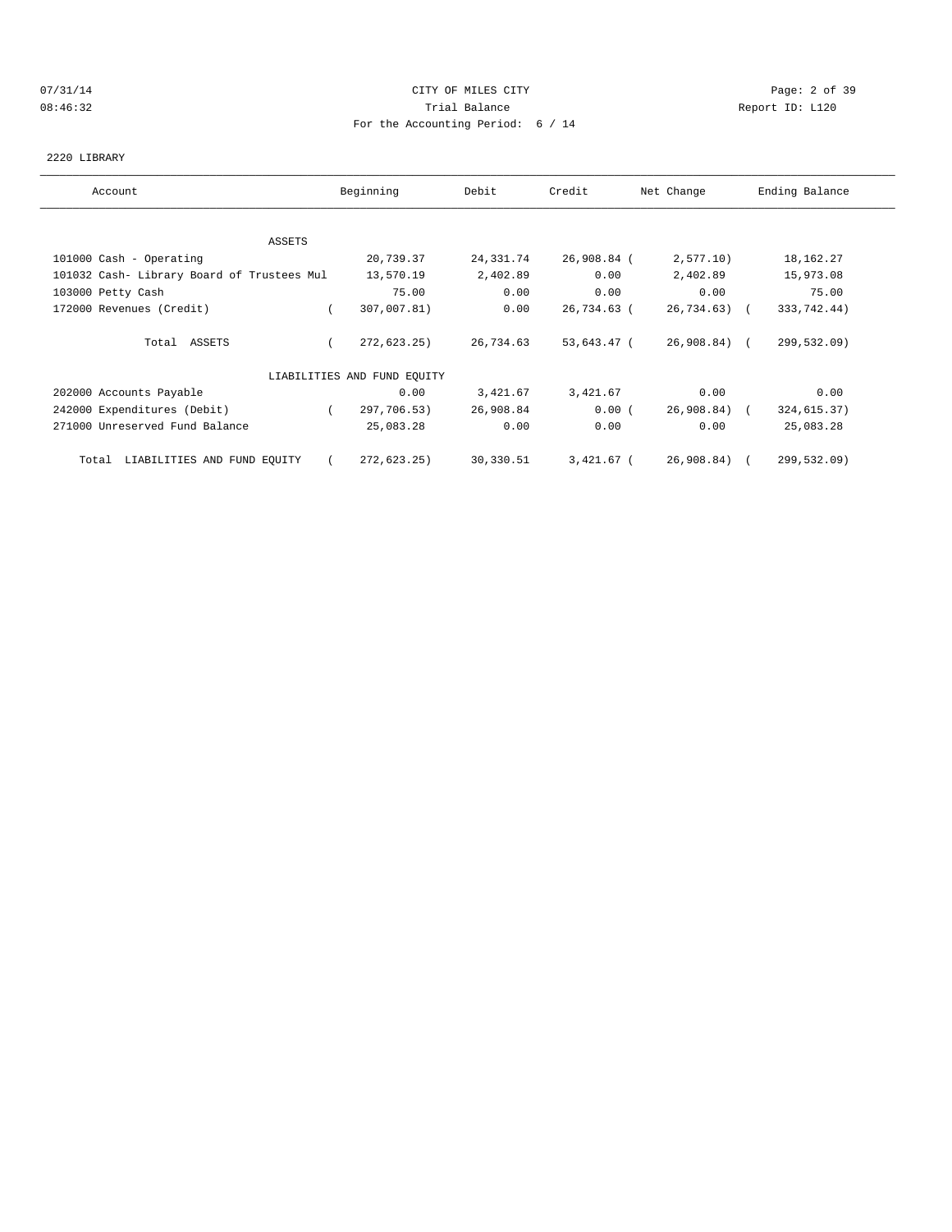## 07/31/14 Page: 2 of 39 08:46:32 Trial Balance Report ID: L120 For the Accounting Period: 6 / 14

#### 2220 LIBRARY

| Account                                    | Beginning                   | Debit     | Credit      | Net Change    | Ending Balance |
|--------------------------------------------|-----------------------------|-----------|-------------|---------------|----------------|
|                                            |                             |           |             |               |                |
| ASSETS                                     |                             |           |             |               |                |
| 101000 Cash - Operating                    | 20,739.37                   | 24,331.74 | 26,908.84 ( | 2,577.10      | 18,162.27      |
| 101032 Cash- Library Board of Trustees Mul | 13,570.19                   | 2,402.89  | 0.00        | 2,402.89      | 15,973.08      |
| 103000 Petty Cash                          | 75.00                       | 0.00      | 0.00        | 0.00          | 75.00          |
| 172000 Revenues (Credit)                   | 307,007.81)                 | 0.00      | 26,734.63 ( | $26,734.63$ ( | 333,742.44)    |
| Total ASSETS                               | 272,623.25)                 | 26,734.63 | 53,643.47 ( | 26,908.84) (  | 299,532.09)    |
|                                            | LIABILITIES AND FUND EQUITY |           |             |               |                |
| 202000 Accounts Payable                    | 0.00                        | 3,421.67  | 3,421.67    | 0.00          | 0.00           |
| 242000 Expenditures (Debit)                | 297,706.53)                 | 26,908.84 | 0.00(       | 26,908.84) (  | 324,615.37)    |
| 271000 Unreserved Fund Balance             | 25,083.28                   | 0.00      | 0.00        | 0.00          | 25,083.28      |
| LIABILITIES AND FUND EQUITY<br>Total       | 272,623.25                  | 30,330.51 | 3,421.67 (  | 26,908.84) (  | 299,532.09)    |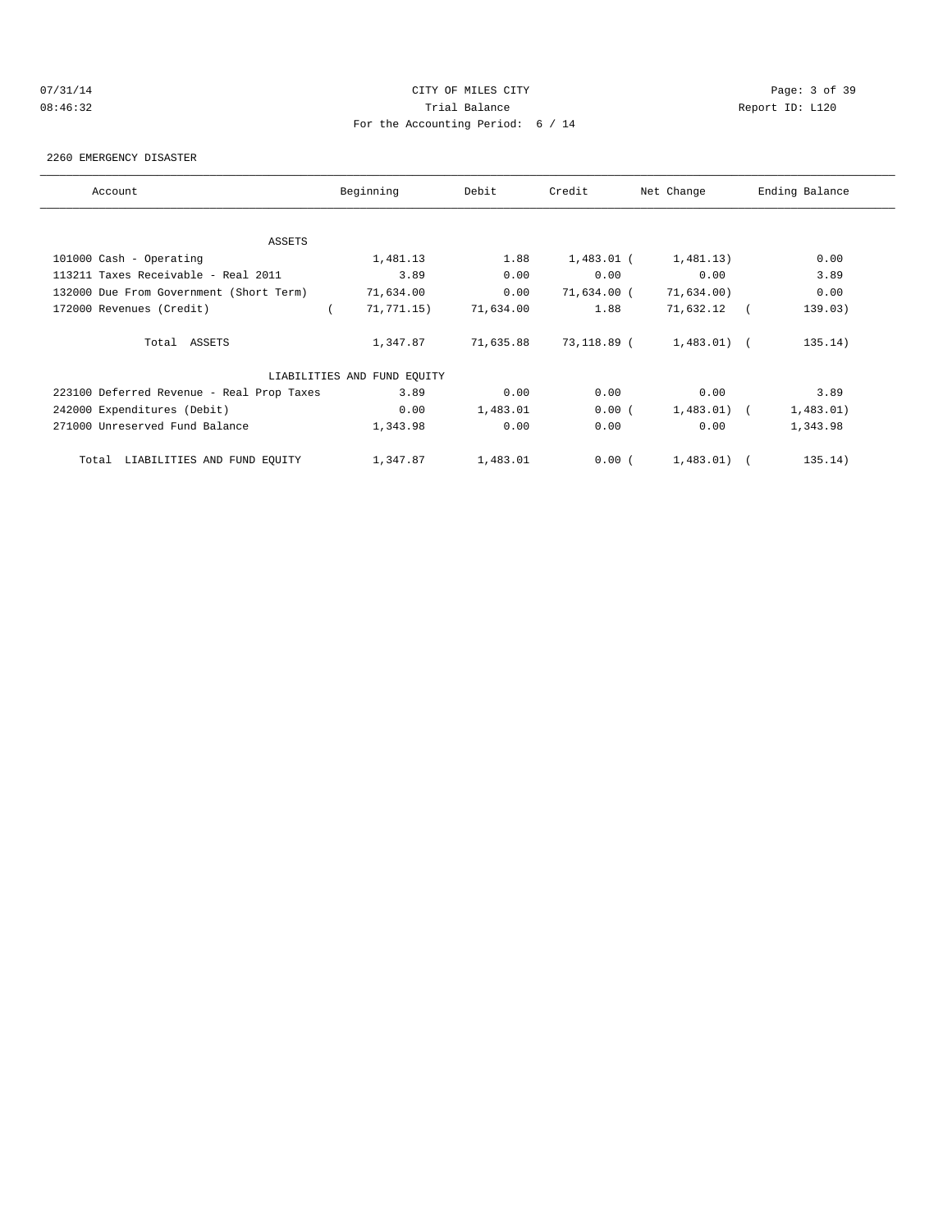# 07/31/14 Page: 3 of 39 08:46:32 Trial Balance Report ID: L120 For the Accounting Period: 6 / 14

#### 2260 EMERGENCY DISASTER

| Account                                   | Beginning                   | Debit     | Credit       | Net Change    | Ending Balance |
|-------------------------------------------|-----------------------------|-----------|--------------|---------------|----------------|
|                                           |                             |           |              |               |                |
| <b>ASSETS</b>                             |                             |           |              |               |                |
| 101000 Cash - Operating                   | 1,481.13                    | 1.88      | $1,483.01$ ( | 1,481.13)     | 0.00           |
| 113211 Taxes Receivable - Real 2011       | 3.89                        | 0.00      | 0.00         | 0.00          | 3.89           |
| 132000 Due From Government (Short Term)   | 71,634.00                   | 0.00      | 71,634.00 (  | 71,634.00)    | 0.00           |
| 172000 Revenues (Credit)                  | 71, 771.15)                 | 71,634.00 | 1.88         | 71,632.12     | 139.03)        |
| Total ASSETS                              | 1,347.87                    | 71,635.88 | 73,118.89 (  | $1,483.01)$ ( | 135.14)        |
|                                           | LIABILITIES AND FUND EQUITY |           |              |               |                |
| 223100 Deferred Revenue - Real Prop Taxes | 3.89                        | 0.00      | 0.00         | 0.00          | 3.89           |
| 242000 Expenditures (Debit)               | 0.00                        | 1,483.01  | 0.00(        | $1,483.01$ (  | 1,483.01)      |
| 271000 Unreserved Fund Balance            | 1,343.98                    | 0.00      | 0.00         | 0.00          | 1,343.98       |
| LIABILITIES AND FUND EQUITY<br>Total      | 1,347.87                    | 1,483.01  | 0.00(        | $1,483.01)$ ( | 135.14)        |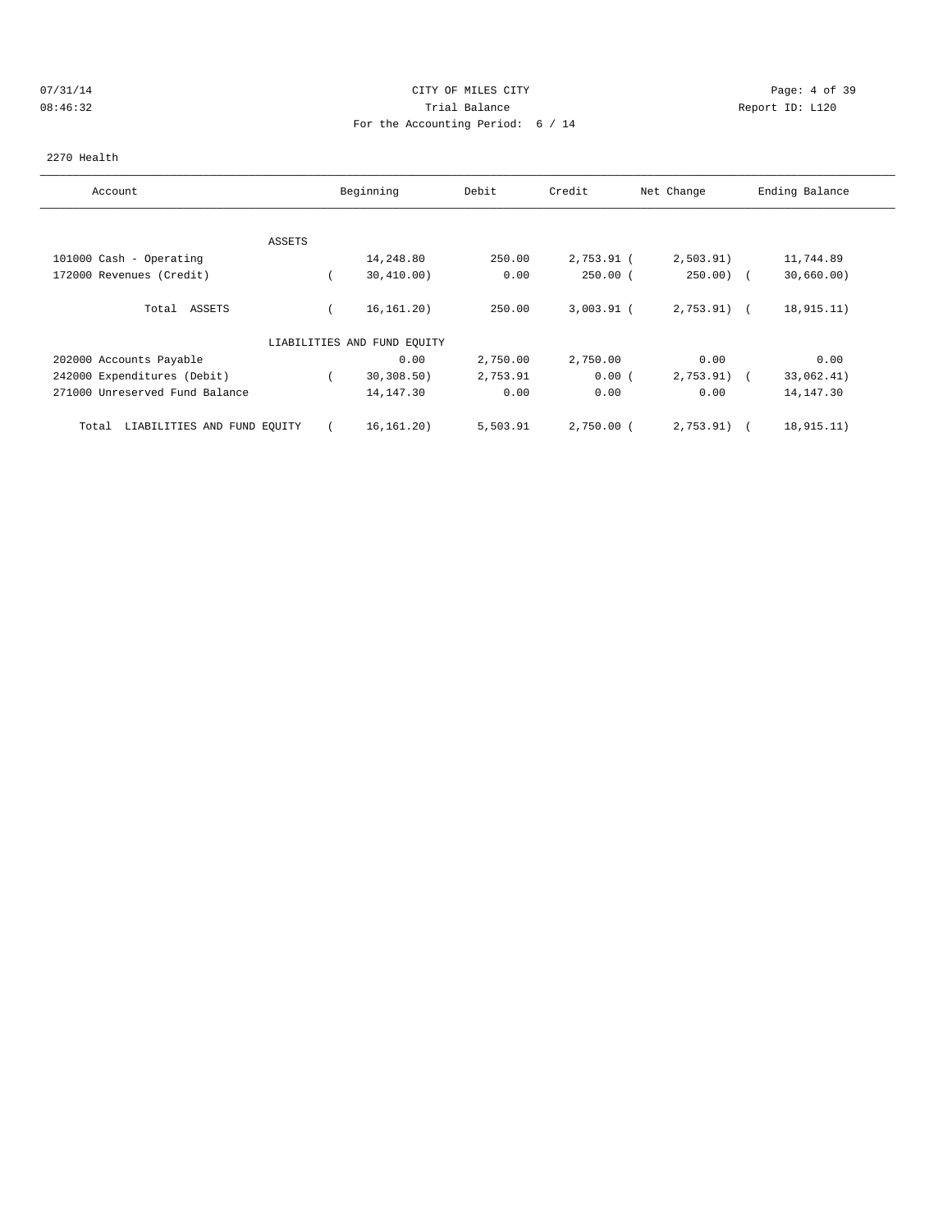## 07/31/14 Page: 4 of 39 08:46:32 Trial Balance Report ID: L120 For the Accounting Period: 6 / 14

#### 2270 Health

| Account                              |               | Beginning                   | Debit    | Credit       | Net Change   | Ending Balance |
|--------------------------------------|---------------|-----------------------------|----------|--------------|--------------|----------------|
|                                      |               |                             |          |              |              |                |
|                                      | <b>ASSETS</b> |                             |          |              |              |                |
| 101000 Cash - Operating              |               | 14,248.80                   | 250.00   | 2,753.91 (   | 2,503.91)    | 11,744.89      |
| 172000 Revenues (Credit)             |               | 30,410.00)                  | 0.00     | $250.00$ (   | $250.00$ (   | 30,660.00)     |
| Total ASSETS                         |               | 16, 161, 20)                | 250.00   | $3,003.91$ ( | $2,753.91$ ( | 18,915.11)     |
|                                      |               | LIABILITIES AND FUND EQUITY |          |              |              |                |
| 202000 Accounts Payable              |               | 0.00                        | 2,750.00 | 2,750.00     | 0.00         | 0.00           |
| 242000 Expenditures (Debit)          |               | 30, 308.50                  | 2,753.91 | 0.00(        | 2,753.91)    | 33,062.41)     |
| 271000 Unreserved Fund Balance       |               | 14,147.30                   | 0.00     | 0.00         | 0.00         | 14, 147.30     |
| LIABILITIES AND FUND EQUITY<br>Total |               | 16, 161. 20)                | 5,503.91 | $2,750.00$ ( | 2,753.91)    | 18,915.11)     |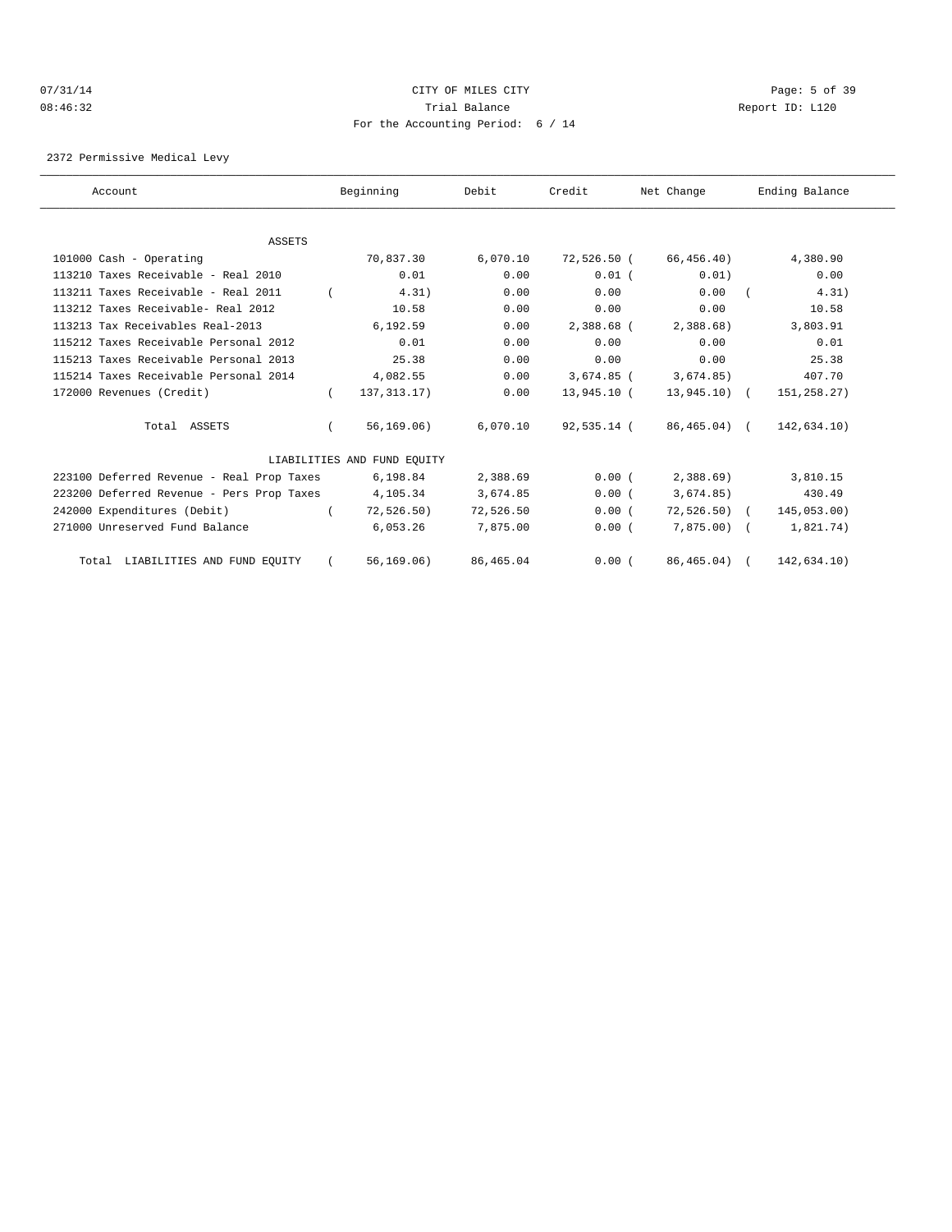## 07/31/14 Page: 5 of 39 08:46:32 Trial Balance Report ID: L120 For the Accounting Period: 6 / 14

2372 Permissive Medical Levy

| Account                                   |            | Beginning                   | Debit     | Credit       | Net Change    | Ending Balance |  |
|-------------------------------------------|------------|-----------------------------|-----------|--------------|---------------|----------------|--|
|                                           |            |                             |           |              |               |                |  |
| ASSETS<br>101000 Cash - Operating         |            | 70,837.30                   | 6,070.10  | 72,526.50 (  | 66,456.40)    | 4,380.90       |  |
|                                           |            |                             |           |              |               |                |  |
| 113210 Taxes Receivable - Real 2010       |            | 0.01                        | 0.00      | $0.01$ $($   | 0.01)         | 0.00           |  |
| 113211 Taxes Receivable - Real 2011       |            | 4.31)                       | 0.00      | 0.00         | 0.00          | 4.31)          |  |
| 113212 Taxes Receivable- Real 2012        |            | 10.58                       | 0.00      | 0.00         | 0.00          | 10.58          |  |
| 113213 Tax Receivables Real-2013          |            | 6,192.59                    | 0.00      | 2,388.68 (   | 2,388.68      | 3,803.91       |  |
| 115212 Taxes Receivable Personal 2012     |            | 0.01                        | 0.00      | 0.00         | 0.00          | 0.01           |  |
| 115213 Taxes Receivable Personal 2013     |            | 25.38                       | 0.00      | 0.00         | 0.00          | 25.38          |  |
| 115214 Taxes Receivable Personal 2014     |            | 4,082.55                    | 0.00      | $3,674.85$ ( | 3,674.85)     | 407.70         |  |
| 172000 Revenues (Credit)                  | $\left($   | 137, 313. 17)               | 0.00      | 13,945.10 (  | $13,945.10$ ( | 151,258.27)    |  |
| Total ASSETS                              |            | 56, 169.06)                 | 6.070.10  | 92,535.14 (  | 86,465.04) (  | 142,634.10)    |  |
|                                           |            | LIABILITIES AND FUND EOUITY |           |              |               |                |  |
| 223100 Deferred Revenue - Real Prop Taxes |            | 6,198.84                    | 2,388.69  | 0.00(        | 2,388.69      | 3,810.15       |  |
| 223200 Deferred Revenue - Pers Prop Taxes |            | 4,105.34                    | 3,674.85  | 0.00(        | 3,674.85)     | 430.49         |  |
| 242000 Expenditures (Debit)               |            | 72, 526.50)                 | 72,526.50 | 0.00(        | $72,526.50$ ( | 145,053.00)    |  |
| 271000 Unreserved Fund Balance            |            | 6,053.26                    | 7,875.00  | 0.00(        | $7,875.00$ (  | 1,821.74)      |  |
| Total LIABILITIES AND FUND EQUITY         | $\sqrt{2}$ | 56, 169.06)                 | 86,465.04 | 0.00(        | 86,465.04) (  | 142,634.10)    |  |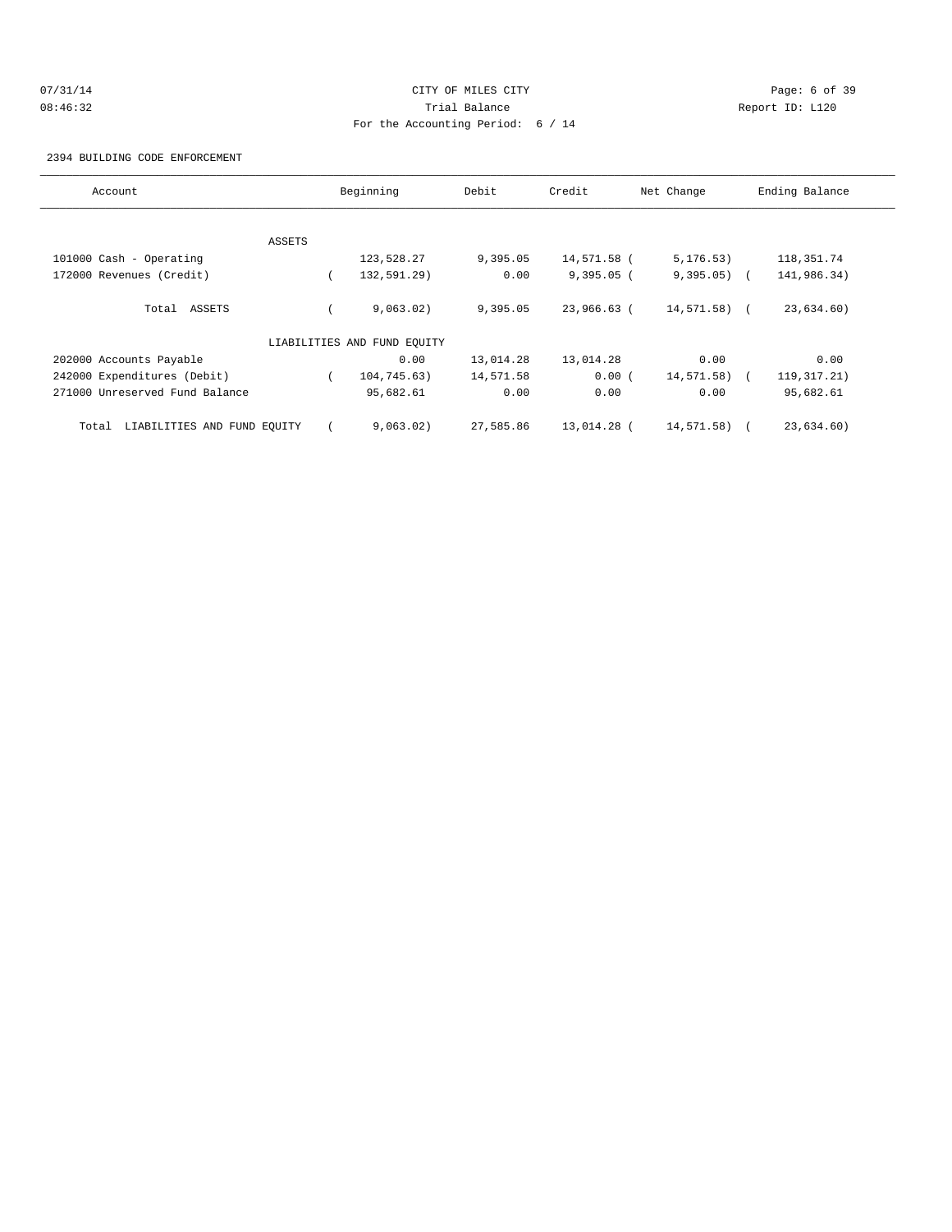# 07/31/14 Page: 6 of 39 08:46:32 Trial Balance Report ID: L120 For the Accounting Period: 6 / 14

2394 BUILDING CODE ENFORCEMENT

| Account                              |        | Beginning                   | Debit     | Credit       | Net Change    | Ending Balance |
|--------------------------------------|--------|-----------------------------|-----------|--------------|---------------|----------------|
|                                      |        |                             |           |              |               |                |
|                                      | ASSETS |                             |           |              |               |                |
| 101000 Cash - Operating              |        | 123,528.27                  | 9,395.05  | 14,571.58 (  | 5, 176.53)    | 118,351.74     |
| 172000 Revenues (Credit)             |        | 132,591.29)                 | 0.00      | $9,395.05$ ( | $9,395.05)$ ( | 141,986.34)    |
| Total ASSETS                         |        | 9,063.02)                   | 9,395.05  | 23,966.63 (  | $14,571.58$ ( | 23,634.60)     |
|                                      |        | LIABILITIES AND FUND EOUITY |           |              |               |                |
| 202000 Accounts Payable              |        | 0.00                        | 13,014.28 | 13,014.28    | 0.00          | 0.00           |
| 242000 Expenditures (Debit)          |        | 104,745.63)                 | 14,571.58 | 0.00(        | 14,571.58) (  | 119,317.21)    |
| 271000 Unreserved Fund Balance       |        | 95,682.61                   | 0.00      | 0.00         | 0.00          | 95,682.61      |
| LIABILITIES AND FUND EQUITY<br>Total |        | 9,063.02)                   | 27,585.86 | 13,014.28 (  | 14,571.58)    | 23,634.60)     |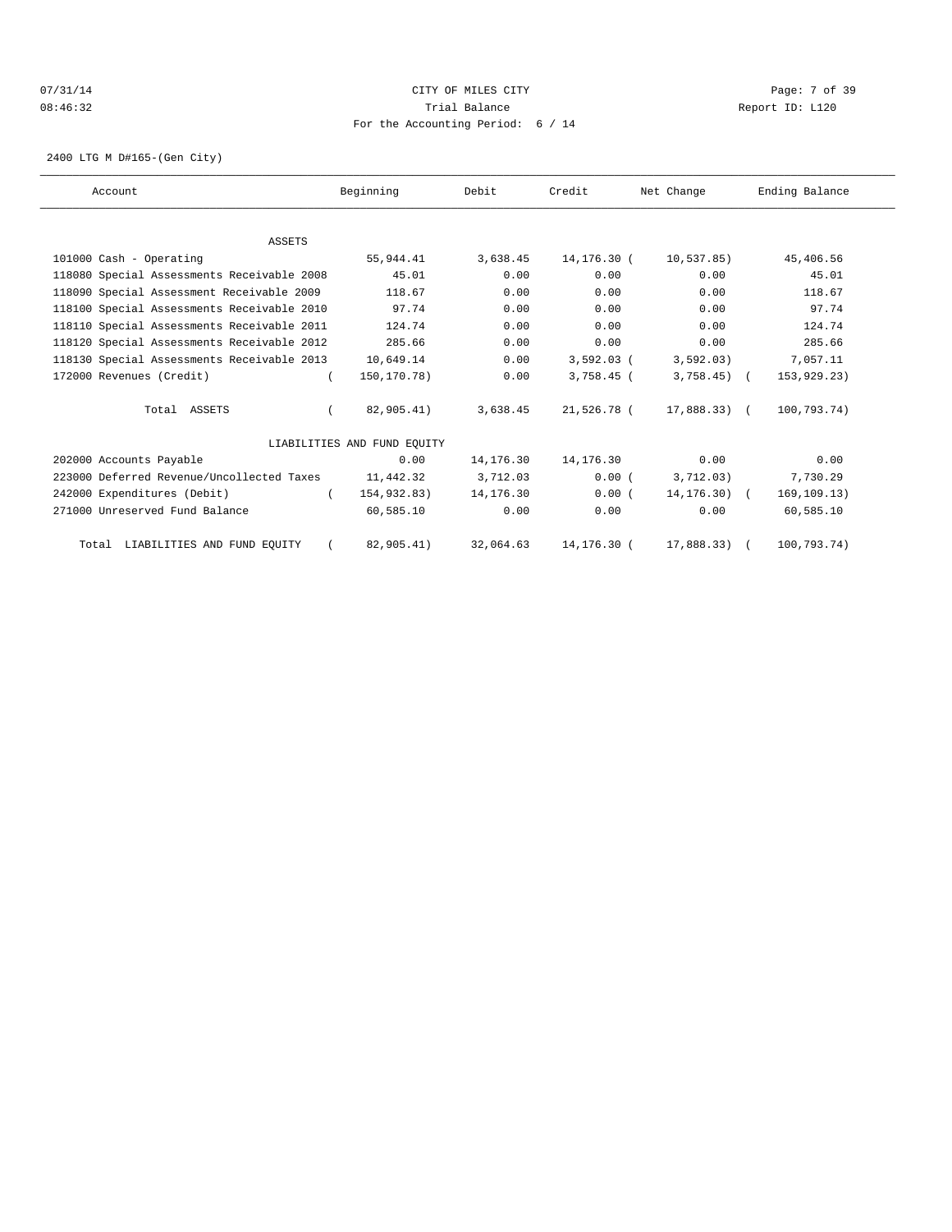## 07/31/14 Page: 7 of 39 08:46:32 Trial Balance Report ID: L120 For the Accounting Period: 6 / 14

2400 LTG M D#165-(Gen City)

| Account                                    | Beginning                   | Debit     | Credit       | Net Change      | Ending Balance |
|--------------------------------------------|-----------------------------|-----------|--------------|-----------------|----------------|
|                                            |                             |           |              |                 |                |
| <b>ASSETS</b>                              |                             |           |              |                 |                |
| 101000 Cash - Operating                    | 55,944.41                   | 3,638.45  | 14,176.30 (  | 10,537.85)      | 45,406.56      |
| 118080 Special Assessments Receivable 2008 | 45.01                       | 0.00      | 0.00         | 0.00            | 45.01          |
| 118090 Special Assessment Receivable 2009  | 118.67                      | 0.00      | 0.00         | 0.00            | 118.67         |
| 118100 Special Assessments Receivable 2010 | 97.74                       | 0.00      | 0.00         | 0.00            | 97.74          |
| 118110 Special Assessments Receivable 2011 | 124.74                      | 0.00      | 0.00         | 0.00            | 124.74         |
| 118120 Special Assessments Receivable 2012 | 285.66                      | 0.00      | 0.00         | 0.00            | 285.66         |
| 118130 Special Assessments Receivable 2013 | 10,649.14                   | 0.00      | $3,592.03$ ( | 3,592.03)       | 7,057.11       |
| 172000 Revenues (Credit)                   | 150, 170. 78)               | 0.00      | $3,758.45$ ( | $3,758.45$ (    | 153,929.23)    |
| Total ASSETS                               | 82,905.41)                  | 3,638.45  | 21,526.78 (  | $17,888.33$ (   | 100,793.74)    |
|                                            | LIABILITIES AND FUND EQUITY |           |              |                 |                |
| 202000 Accounts Payable                    | 0.00                        | 14,176.30 | 14,176.30    | 0.00            | 0.00           |
| 223000 Deferred Revenue/Uncollected Taxes  | 11,442.32                   | 3,712.03  | 0.00(        | 3,712.03)       | 7,730.29       |
| 242000 Expenditures (Debit)                | 154,932.83)                 | 14,176.30 | 0.00(        | $14, 176, 30$ ( | 169, 109.13)   |
| 271000 Unreserved Fund Balance             | 60,585.10                   | 0.00      | 0.00         | 0.00            | 60,585.10      |
| Total LIABILITIES AND FUND EQUITY          | 82,905.41)                  | 32,064.63 | 14,176.30 (  | 17,888,33) (    | 100.793.74)    |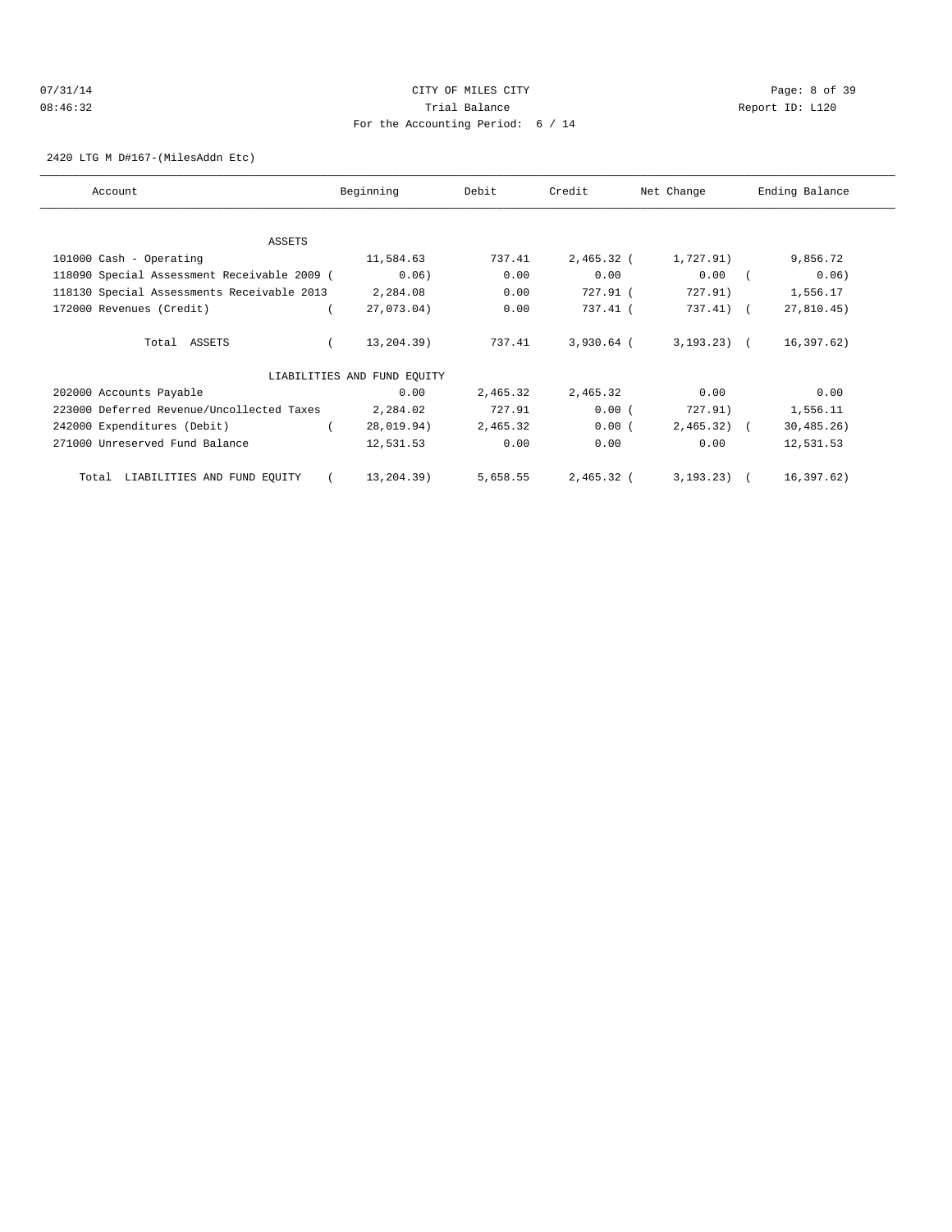## 07/31/14 Page: 8 of 39 08:46:32 Trial Balance Report ID: L120 For the Accounting Period: 6 / 14

2420 LTG M D#167-(MilesAddn Etc)

| Account                                     | Beginning                   | Debit    | Credit       | Net Change      | Ending Balance |
|---------------------------------------------|-----------------------------|----------|--------------|-----------------|----------------|
|                                             |                             |          |              |                 |                |
| ASSETS                                      |                             |          |              |                 |                |
| 101000 Cash - Operating                     | 11,584.63                   | 737.41   | 2,465.32 (   | 1,727.91)       | 9,856.72       |
| 118090 Special Assessment Receivable 2009 ( | 0.06)                       | 0.00     | 0.00         | 0.00            | 0.06)          |
| 118130 Special Assessments Receivable 2013  | 2,284.08                    | 0.00     | 727.91 (     | 727.91)         | 1,556.17       |
| 172000 Revenues (Credit)                    | 27,073.04)                  | 0.00     | 737.41 (     | 737.41) (       | 27,810.45)     |
| Total ASSETS                                | 13,204.39)                  | 737.41   | $3,930.64$ ( | $3, 193, 23$ (  | 16, 397.62)    |
|                                             | LIABILITIES AND FUND EOUITY |          |              |                 |                |
| 202000 Accounts Payable                     | 0.00                        | 2,465.32 | 2,465.32     | 0.00            | 0.00           |
| 223000 Deferred Revenue/Uncollected Taxes   | 2,284.02                    | 727.91   | 0.00(        | 727.91)         | 1,556.11       |
| 242000 Expenditures (Debit)                 | 28,019.94)                  | 2,465.32 | 0.00(        | $2,465.32$ (    | 30, 485.26)    |
| 271000 Unreserved Fund Balance              | 12,531.53                   | 0.00     | 0.00         | 0.00            | 12,531.53      |
| LIABILITIES AND FUND EQUITY<br>Total        | 13,204.39)                  | 5,658.55 | $2,465.32$ ( | $3, 193, 23)$ ( | 16,397.62)     |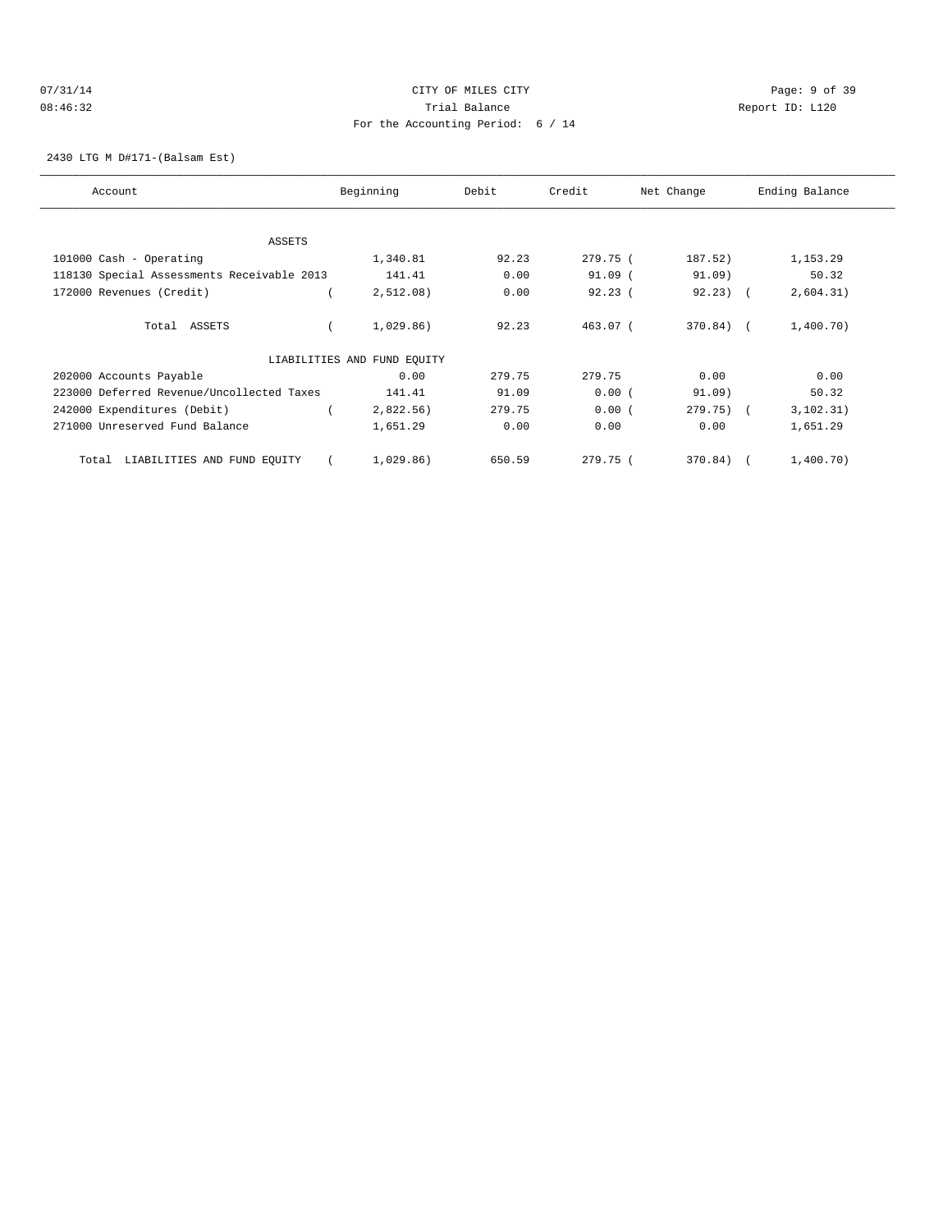## 07/31/14 Page: 9 of 39 08:46:32 Trial Balance Report ID: L120 For the Accounting Period: 6 / 14

2430 LTG M D#171-(Balsam Est)

| Account                                    | Beginning                   | Debit  | Credit     | Net Change   | Ending Balance |
|--------------------------------------------|-----------------------------|--------|------------|--------------|----------------|
|                                            |                             |        |            |              |                |
| ASSETS                                     |                             |        |            |              |                |
| 101000 Cash - Operating                    | 1,340.81                    | 92.23  | 279.75 (   | 187.52)      | 1,153.29       |
| 118130 Special Assessments Receivable 2013 | 141.41                      | 0.00   | $91.09$ (  | 91.09        | 50.32          |
| 172000 Revenues (Credit)                   | 2,512.08)                   | 0.00   | 92.23(     | $92.23$ ) (  | 2,604.31)      |
| Total ASSETS                               | 1,029.86)                   | 92.23  | $463.07$ ( | $370.84$ (   | 1,400.70)      |
|                                            | LIABILITIES AND FUND EQUITY |        |            |              |                |
| 202000 Accounts Payable                    | 0.00                        | 279.75 | 279.75     | 0.00         | 0.00           |
| 223000 Deferred Revenue/Uncollected Taxes  | 141.41                      | 91.09  | 0.00(      | 91.09)       | 50.32          |
| 242000 Expenditures (Debit)                | 2,822.56)                   | 279.75 | 0.00(      | $279.75$ ) ( | 3, 102.31)     |
| 271000 Unreserved Fund Balance             | 1,651.29                    | 0.00   | 0.00       | 0.00         | 1,651.29       |
| LIABILITIES AND FUND EQUITY<br>Total       | 1,029.86)                   | 650.59 | 279.75(    | 370.84)      | 1,400.70)      |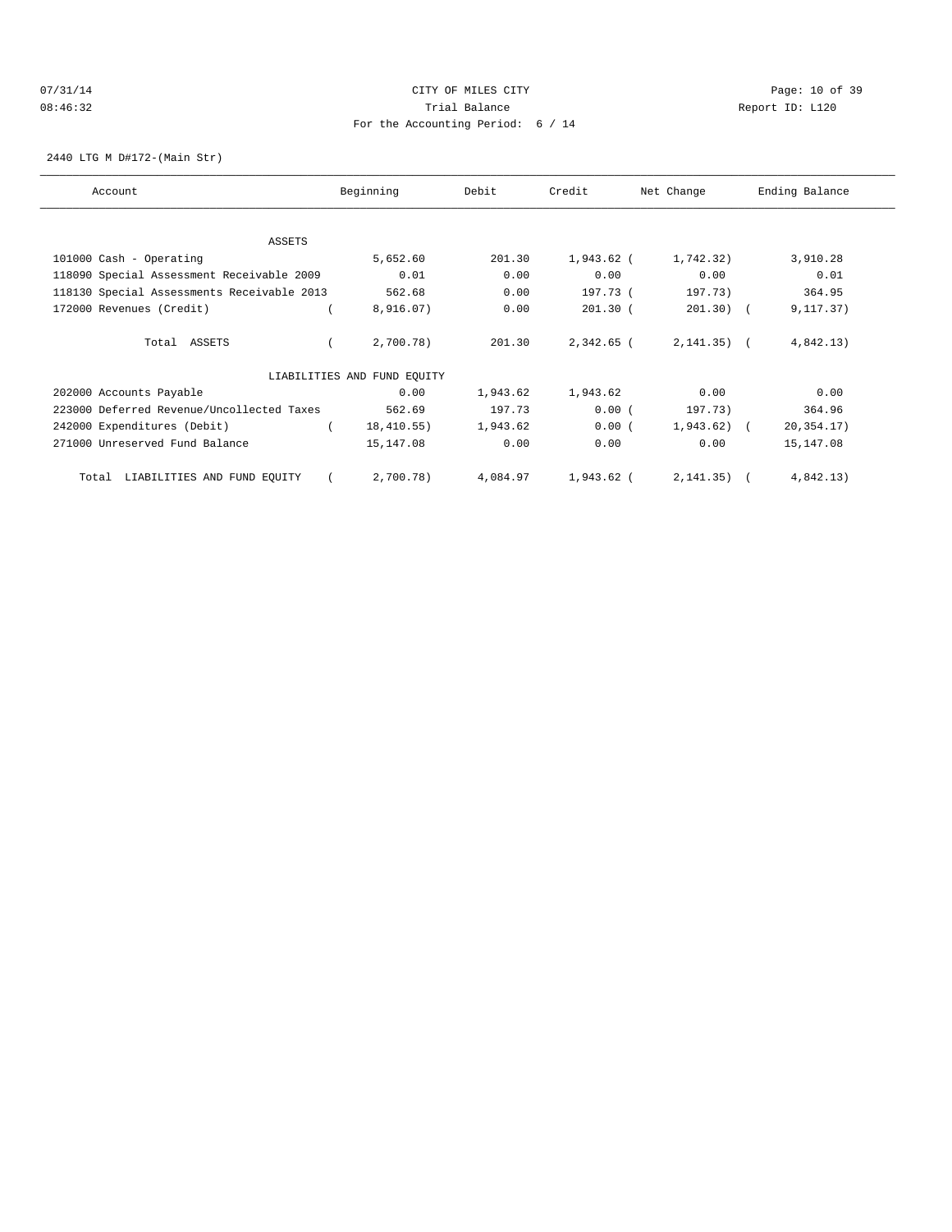## 07/31/14 Page: 10 of 39 08:46:32 Trial Balance Report ID: L120 For the Accounting Period: 6 / 14

2440 LTG M D#172-(Main Str)

| Account                                    | Beginning                   | Debit    | Credit     | Net Change   | Ending Balance |
|--------------------------------------------|-----------------------------|----------|------------|--------------|----------------|
|                                            |                             |          |            |              |                |
|                                            |                             |          |            |              |                |
| ASSETS                                     |                             |          |            |              |                |
| 101000 Cash - Operating                    | 5,652.60                    | 201.30   | 1,943.62 ( | 1,742.32)    | 3,910.28       |
| 118090 Special Assessment Receivable 2009  | 0.01                        | 0.00     | 0.00       | 0.00         | 0.01           |
| 118130 Special Assessments Receivable 2013 | 562.68                      | 0.00     | 197.73 (   | 197.73)      | 364.95         |
| 172000 Revenues (Credit)                   | 8,916.07)                   | 0.00     | $201.30$ ( | 201.30)      | 9, 117.37)     |
| Total ASSETS                               | 2,700.78)                   | 201.30   | 2,342.65 ( | $2,141.35$ ( | 4,842.13)      |
|                                            | LIABILITIES AND FUND EQUITY |          |            |              |                |
| 202000 Accounts Payable                    | 0.00                        | 1,943.62 | 1,943.62   | 0.00         | 0.00           |
| 223000 Deferred Revenue/Uncollected Taxes  | 562.69                      | 197.73   | 0.00(      | 197.73)      | 364.96         |
| 242000 Expenditures (Debit)                | 18,410.55)                  | 1,943.62 | 0.00(      | 1,943.62)    | 20, 354. 17)   |
| 271000 Unreserved Fund Balance             | 15,147.08                   | 0.00     | 0.00       | 0.00         | 15,147.08      |
| LIABILITIES AND FUND EQUITY<br>Total       | 2,700.78)                   | 4,084.97 | 1,943.62 ( | 2, 141.35)   | 4,842.13)      |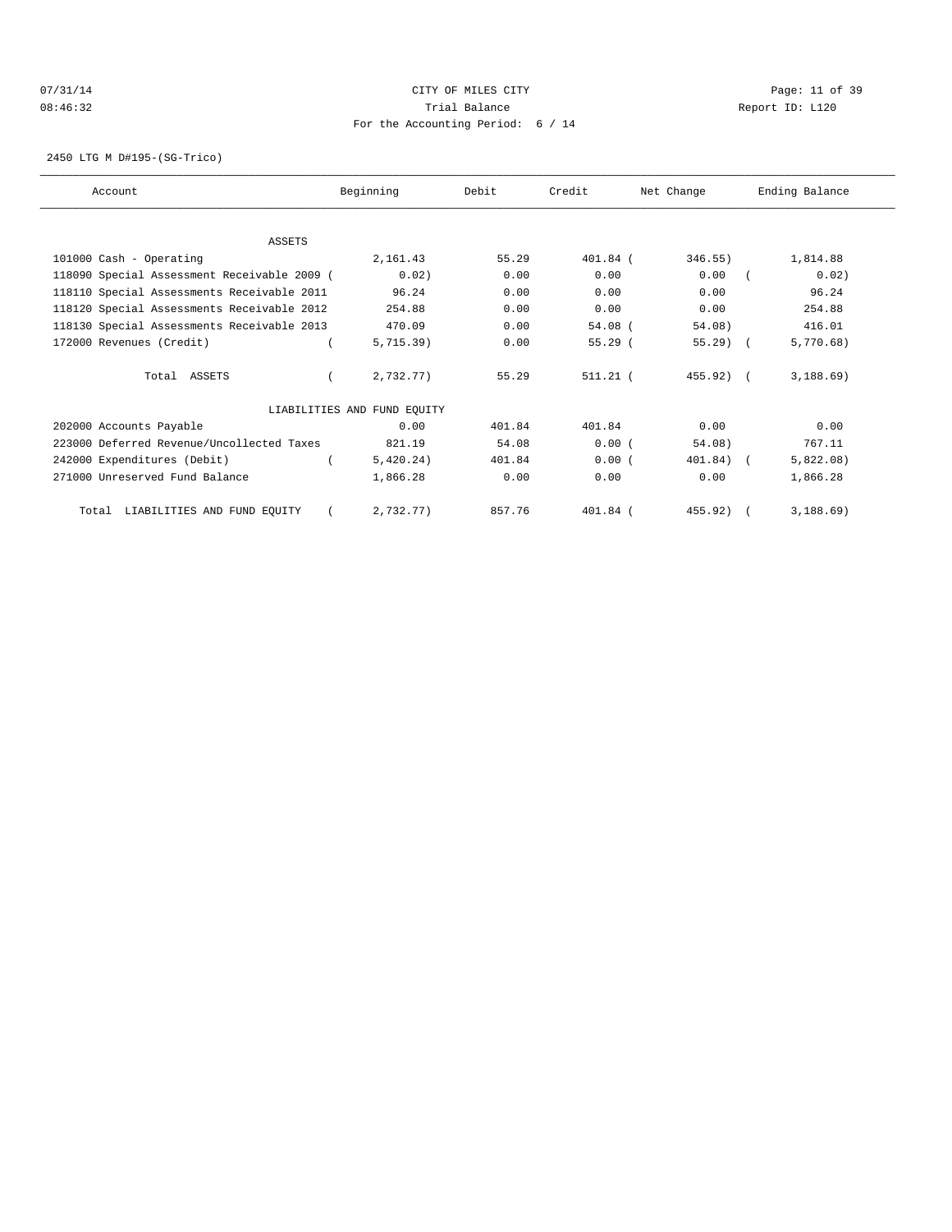## 07/31/14 Page: 11 of 39 08:46:32 Trial Balance Report ID: L120 For the Accounting Period: 6 / 14

2450 LTG M D#195-(SG-Trico)

| Account                                     | Beginning                   | Debit  | Credit     | Net Change | Ending Balance |
|---------------------------------------------|-----------------------------|--------|------------|------------|----------------|
|                                             |                             |        |            |            |                |
| <b>ASSETS</b>                               |                             |        |            |            |                |
| 101000 Cash - Operating                     | 2,161.43                    | 55.29  | 401.84 (   | 346.55)    | 1,814.88       |
| 118090 Special Assessment Receivable 2009 ( | 0.02)                       | 0.00   | 0.00       | 0.00       | 0.02)          |
| 118110 Special Assessments Receivable 2011  | 96.24                       | 0.00   | 0.00       | 0.00       | 96.24          |
| 118120 Special Assessments Receivable 2012  | 254.88                      | 0.00   | 0.00       | 0.00       | 254.88         |
| 118130 Special Assessments Receivable 2013  | 470.09                      | 0.00   | $54.08$ (  | 54.08)     | 416.01         |
| 172000 Revenues (Credit)                    | 5.715.39                    | 0.00   | 55.29(     | $55.29$ (  | 5,770.68)      |
| Total ASSETS                                | 2,732.77)                   | 55.29  | $511.21$ ( | $455.92$ ( | 3,188.69)      |
|                                             | LIABILITIES AND FUND EQUITY |        |            |            |                |
| 202000 Accounts Payable                     | 0.00                        | 401.84 | 401.84     | 0.00       | 0.00           |
| 223000 Deferred Revenue/Uncollected Taxes   | 821.19                      | 54.08  | 0.00(      | 54.08)     | 767.11         |
| 242000 Expenditures (Debit)                 | 5,420.24)                   | 401.84 | 0.00(      | $401.84$ ( | 5,822.08)      |
| 271000 Unreserved Fund Balance              | 1,866.28                    | 0.00   | 0.00       | 0.00       | 1,866.28       |
| Total LIABILITIES AND FUND EQUITY           | 2,732.77)                   | 857.76 | 401.84 (   | $455.92$ ( | 3,188.69)      |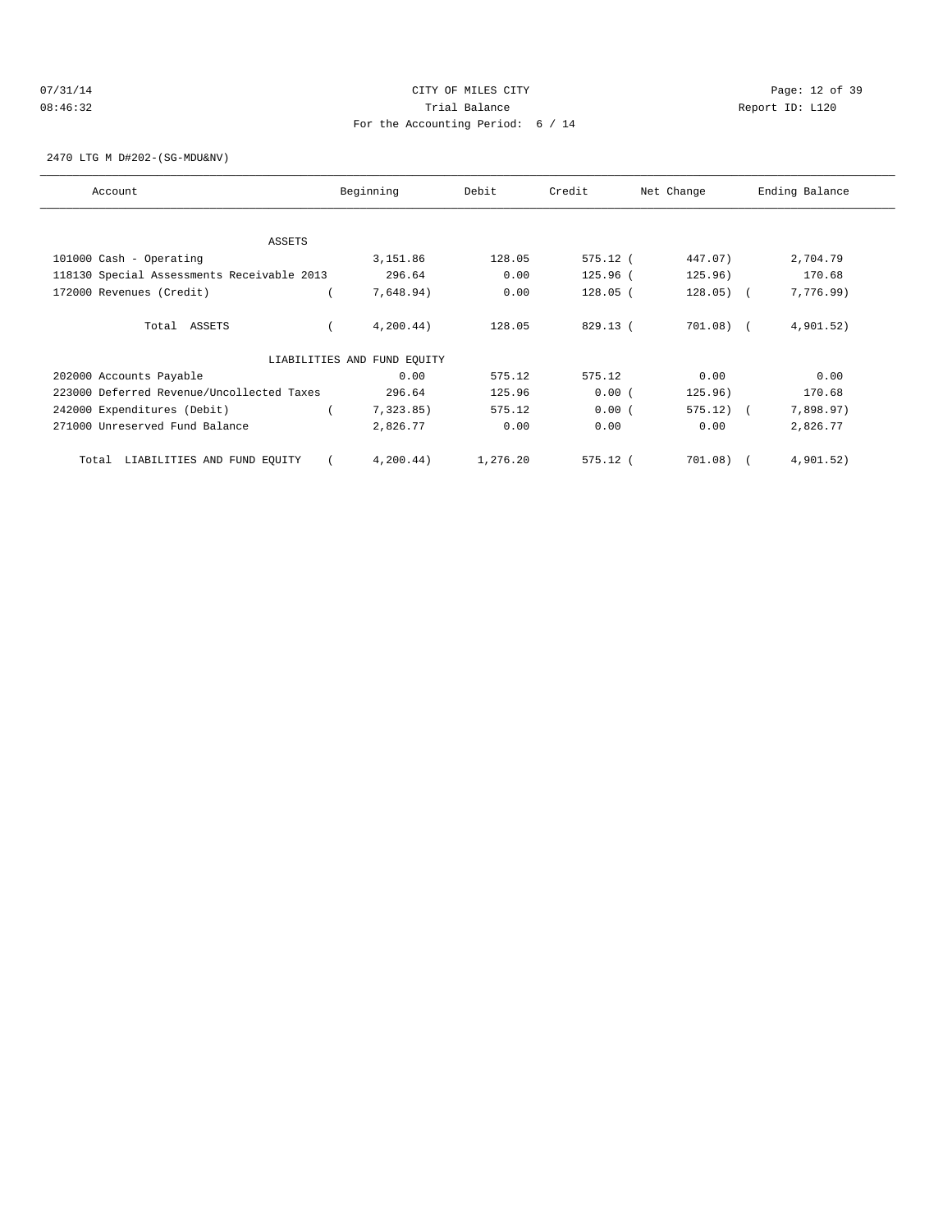## 07/31/14 Page: 12 of 39 08:46:32 Trial Balance Report ID: L120 For the Accounting Period: 6 / 14

2470 LTG M D#202-(SG-MDU&NV)

| Account                                    | Beginning                   | Debit    | Credit     | Net Change  | Ending Balance |
|--------------------------------------------|-----------------------------|----------|------------|-------------|----------------|
|                                            |                             |          |            |             |                |
| ASSETS                                     |                             |          |            |             |                |
| 101000 Cash - Operating                    | 3,151.86                    | 128.05   | 575.12 (   | 447.07)     | 2,704.79       |
| 118130 Special Assessments Receivable 2013 | 296.64                      | 0.00     | 125.96 (   | 125.96)     | 170.68         |
| 172000 Revenues (Credit)                   | 7,648.94)                   | 0.00     | $128.05$ ( | $128.05)$ ( | 7,776.99)      |
| Total ASSETS                               | 4,200.44)                   | 128.05   | 829.13 (   | $701.08)$ ( | 4,901.52)      |
|                                            | LIABILITIES AND FUND EQUITY |          |            |             |                |
| 202000 Accounts Payable                    | 0.00                        | 575.12   | 575.12     | 0.00        | 0.00           |
| 223000 Deferred Revenue/Uncollected Taxes  | 296.64                      | 125.96   | 0.00(      | 125.96)     | 170.68         |
| 242000 Expenditures (Debit)                | 7,323.85)                   | 575.12   | 0.00(      | $575.12)$ ( | 7,898.97)      |
| 271000 Unreserved Fund Balance             | 2,826.77                    | 0.00     | 0.00       | 0.00        | 2,826.77       |
| LIABILITIES AND FUND EQUITY<br>Total       | 4, 200.44)                  | 1,276.20 | $575.12$ ( | 701.08)     | 4,901.52)      |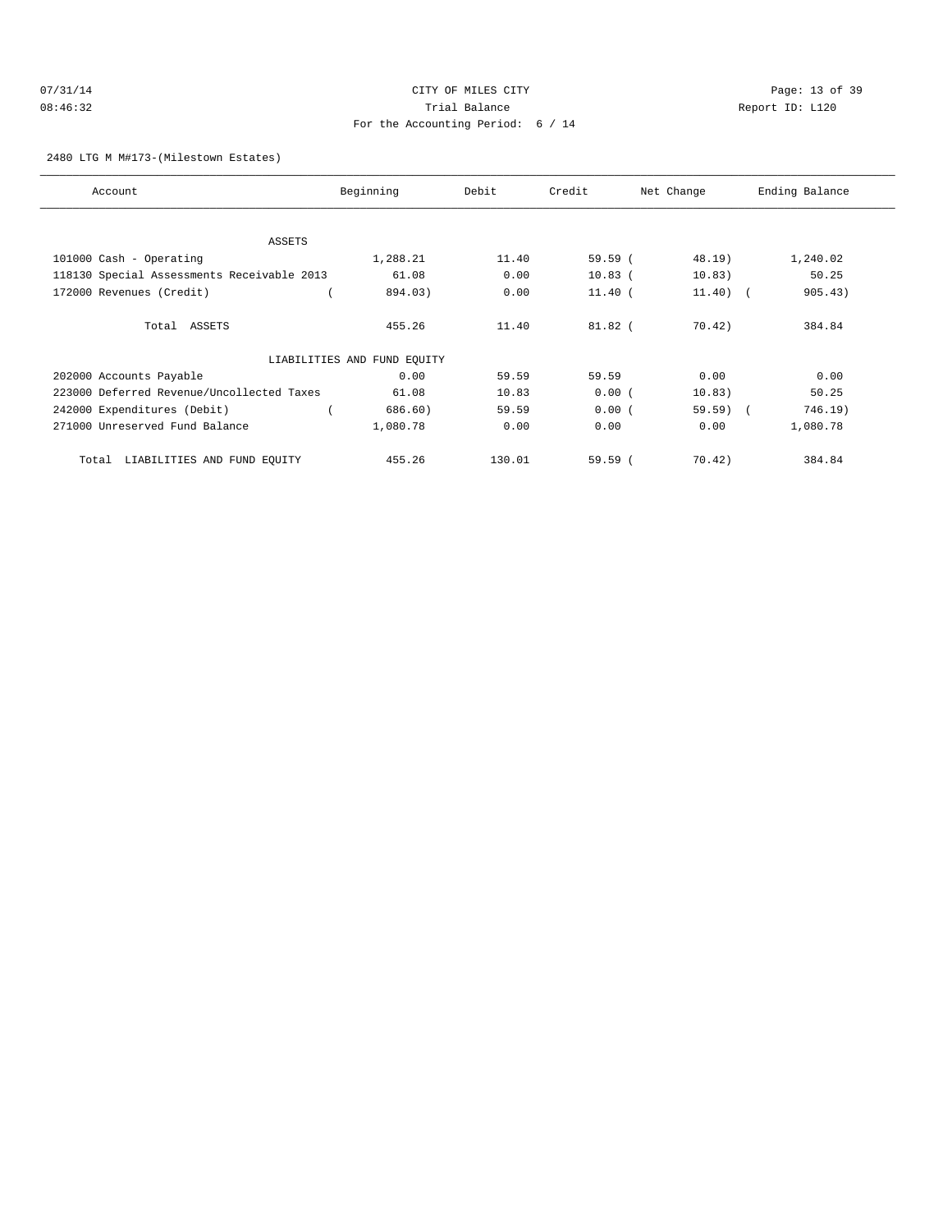# 07/31/14 Page: 13 of 39 08:46:32 Trial Balance Report ID: L120 For the Accounting Period: 6 / 14

#### 2480 LTG M M#173-(Milestown Estates)

| Account                                    | Beginning                   | Debit  | Credit    | Net Change  | Ending Balance |
|--------------------------------------------|-----------------------------|--------|-----------|-------------|----------------|
|                                            |                             |        |           |             |                |
| <b>ASSETS</b>                              |                             |        |           |             |                |
| 101000 Cash - Operating                    | 1,288.21                    | 11.40  | $59.59$ ( | 48.19)      | 1,240.02       |
| 118130 Special Assessments Receivable 2013 | 61.08                       | 0.00   | $10.83$ ( | 10.83)      | 50.25          |
| 172000 Revenues (Credit)                   | 894.03)                     | 0.00   | $11.40$ ( | $11.40$ ) ( | 905.43)        |
| Total ASSETS                               | 455.26                      | 11.40  | $81.82$ ( | 70.42)      | 384.84         |
|                                            | LIABILITIES AND FUND EQUITY |        |           |             |                |
| 202000 Accounts Payable                    | 0.00                        | 59.59  | 59.59     | 0.00        | 0.00           |
| 223000 Deferred Revenue/Uncollected Taxes  | 61.08                       | 10.83  | 0.00(     | 10.83)      | 50.25          |
| 242000 Expenditures (Debit)                | 686.60)                     | 59.59  | 0.00(     | $59.59$ (   | 746.19)        |
| 271000 Unreserved Fund Balance             | 1,080.78                    | 0.00   | 0.00      | 0.00        | 1,080.78       |
| LIABILITIES AND FUND EQUITY<br>Total       | 455.26                      | 130.01 | $59.59$ ( | 70.42)      | 384.84         |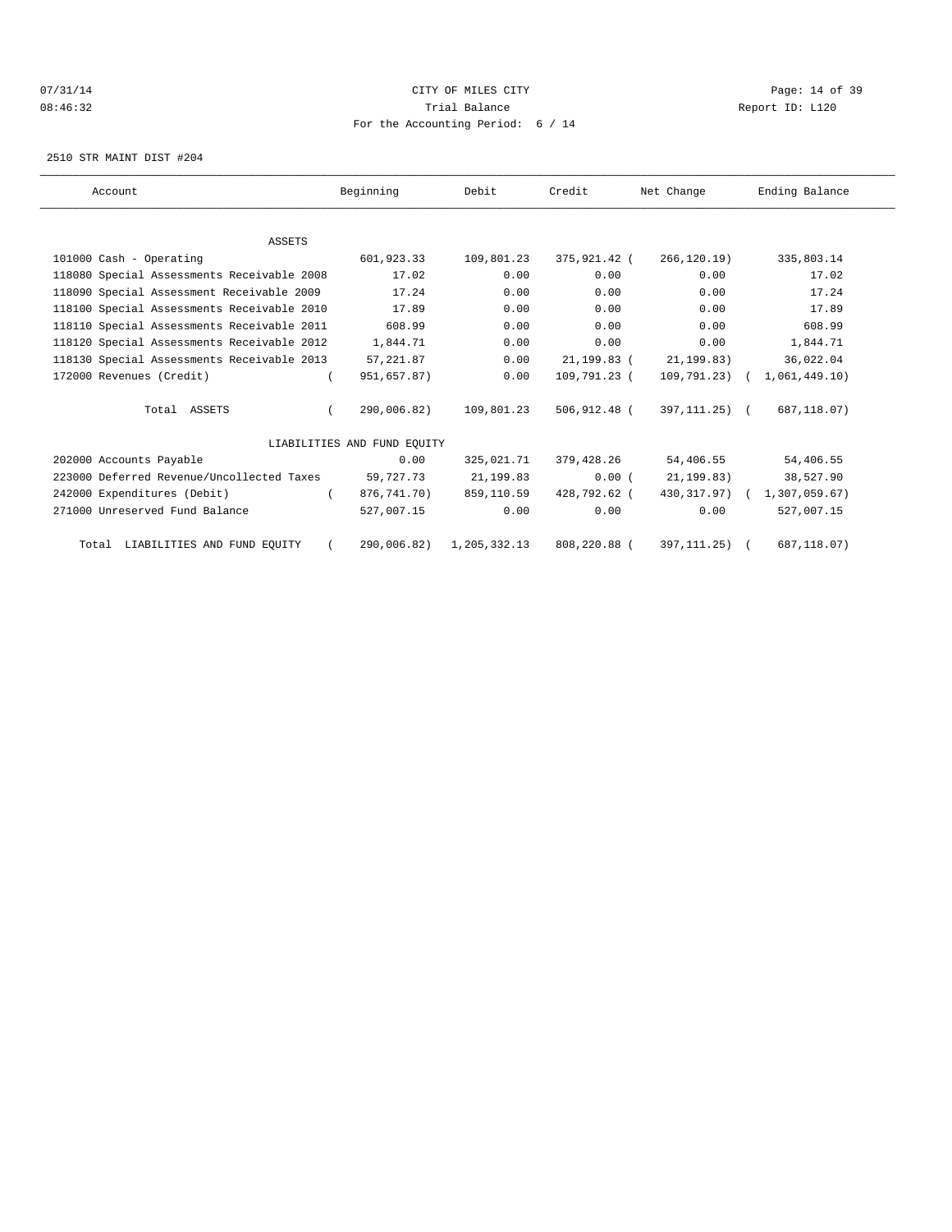## $O7/31/14$  Page: 14 of 39 08:46:32 Trial Balance Report ID: L120 For the Accounting Period: 6 / 14

2510 STR MAINT DIST #204

| Account                                    | Beginning                   | Debit        | Credit       | Net Change     | Ending Balance |  |
|--------------------------------------------|-----------------------------|--------------|--------------|----------------|----------------|--|
|                                            |                             |              |              |                |                |  |
| <b>ASSETS</b>                              |                             |              |              |                |                |  |
| 101000 Cash - Operating                    | 601,923.33                  | 109,801.23   | 375,921.42 ( | 266,120.19)    | 335,803.14     |  |
| 118080 Special Assessments Receivable 2008 | 17.02                       | 0.00         | 0.00         | 0.00           | 17.02          |  |
| 118090 Special Assessment Receivable 2009  | 17.24                       | 0.00         | 0.00         | 0.00           | 17.24          |  |
| 118100 Special Assessments Receivable 2010 | 17.89                       | 0.00         | 0.00         | 0.00           | 17.89          |  |
| 118110 Special Assessments Receivable 2011 | 608.99                      | 0.00         | 0.00         | 0.00           | 608.99         |  |
| 118120 Special Assessments Receivable 2012 | 1,844.71                    | 0.00         | 0.00         | 0.00           | 1,844.71       |  |
| 118130 Special Assessments Receivable 2013 | 57,221.87                   | 0.00         | 21,199.83 (  | 21, 199.83)    | 36,022.04      |  |
| 172000 Revenues (Credit)                   | 951,657.87)                 | 0.00         | 109,791.23 ( | $109,791,23$ ( | 1,061,449.10)  |  |
| Total ASSETS                               | 290,006.82)                 | 109,801.23   | 506,912.48 ( | 397,111.25) (  | 687,118.07)    |  |
|                                            | LIABILITIES AND FUND EOUITY |              |              |                |                |  |
| 202000 Accounts Payable                    | 0.00                        | 325,021.71   | 379,428.26   | 54,406.55      | 54,406.55      |  |
| 223000 Deferred Revenue/Uncollected Taxes  | 59,727.73                   | 21,199.83    | 0.00(        | 21, 199.83)    | 38,527.90      |  |
| 242000 Expenditures (Debit)                | 876,741.70)                 | 859,110.59   | 428,792.62 ( | 430,317.97) (  | 1,307,059.67)  |  |
| 271000 Unreserved Fund Balance             | 527,007.15                  | 0.00         | 0.00         | 0.00           | 527,007.15     |  |
| Total LIABILITIES AND FUND EQUITY          | 290,006.82)                 | 1,205,332.13 | 808,220.88 ( | 397, 111.25)   | 687,118.07)    |  |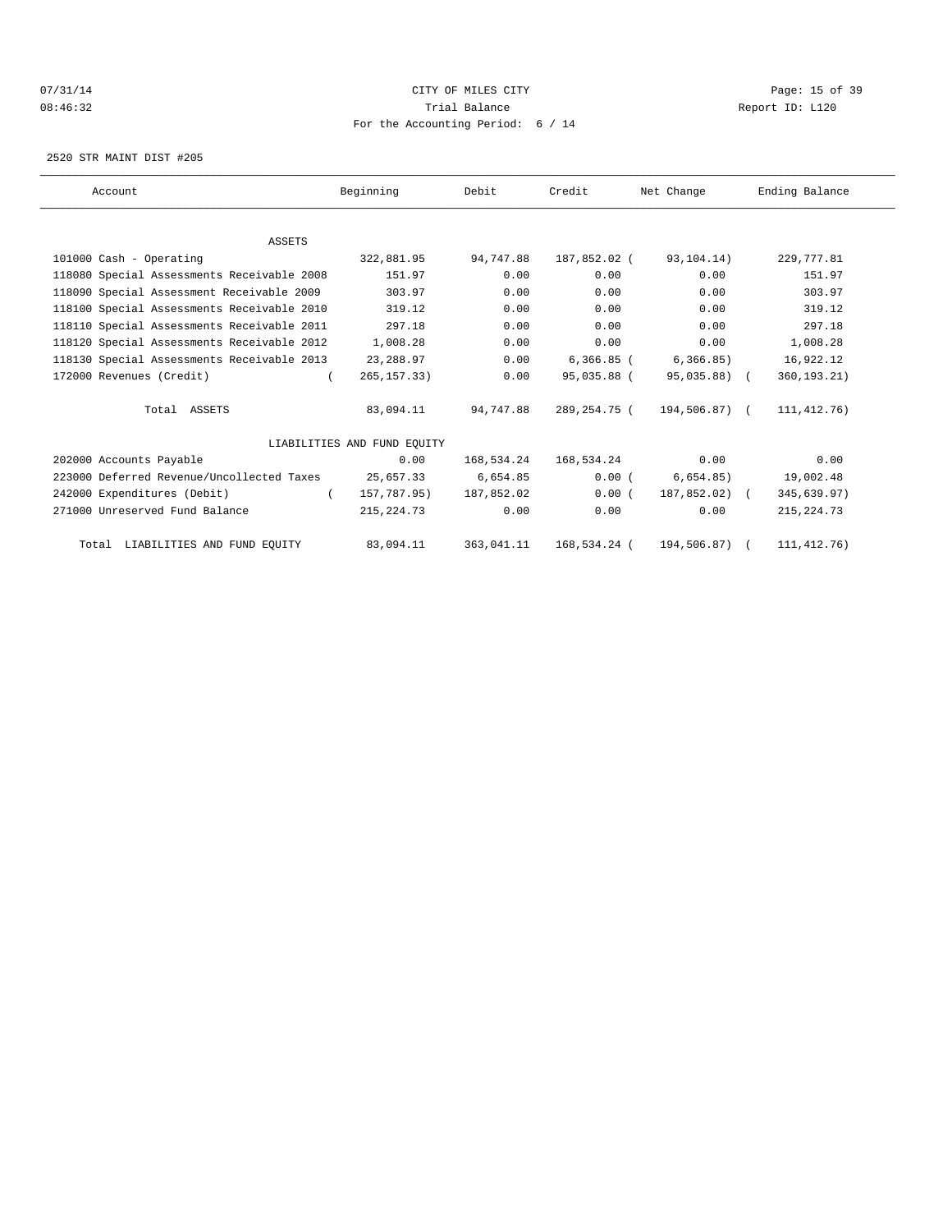## 07/31/14 Page: 15 of 39 08:46:32 Trial Balance Report ID: L120 For the Accounting Period: 6 / 14

2520 STR MAINT DIST #205

| Account                                    | Beginning                   | Debit      | Credit       | Net Change       | Ending Balance |
|--------------------------------------------|-----------------------------|------------|--------------|------------------|----------------|
|                                            |                             |            |              |                  |                |
| <b>ASSETS</b>                              |                             |            |              |                  |                |
| 101000 Cash - Operating                    | 322,881.95                  | 94,747.88  | 187,852.02 ( | 93,104.14)       | 229,777.81     |
| 118080 Special Assessments Receivable 2008 | 151.97                      | 0.00       | 0.00         | 0.00             | 151.97         |
| 118090 Special Assessment Receivable 2009  | 303.97                      | 0.00       | 0.00         | 0.00             | 303.97         |
| 118100 Special Assessments Receivable 2010 | 319.12                      | 0.00       | 0.00         | 0.00             | 319.12         |
| 118110 Special Assessments Receivable 2011 | 297.18                      | 0.00       | 0.00         | 0.00             | 297.18         |
| 118120 Special Assessments Receivable 2012 | 1,008.28                    | 0.00       | 0.00         | 0.00             | 1,008.28       |
| 118130 Special Assessments Receivable 2013 | 23,288.97                   | 0.00       | $6,366.85$ ( | 6, 366.85)       | 16,922.12      |
| 172000 Revenues (Credit)                   | 265, 157. 33)               | 0.00       | 95,035.88 (  | 95,035.88) (     | 360, 193. 21)  |
| Total ASSETS                               | 83,094.11                   | 94,747.88  | 289,254.75 ( | 194,506.87) (    | 111, 412. 76)  |
|                                            | LIABILITIES AND FUND EOUITY |            |              |                  |                |
| 202000 Accounts Payable                    | 0.00                        | 168,534.24 | 168,534.24   | 0.00             | 0.00           |
| 223000 Deferred Revenue/Uncollected Taxes  | 25,657.33                   | 6,654.85   | 0.00(        | 6,654.85)        | 19,002.48      |
| 242000 Expenditures (Debit)                | 157,787.95)<br>$\sqrt{2}$   | 187.852.02 | 0.00(        | $187.852.02$ ) ( | 345,639.97)    |
| 271000 Unreserved Fund Balance             | 215, 224. 73                | 0.00       | 0.00         | 0.00             | 215, 224.73    |
| Total LIABILITIES AND FUND EQUITY          | 83,094.11                   | 363,041.11 | 168,534.24 ( | 194,506.87)      | 111, 412. 76)  |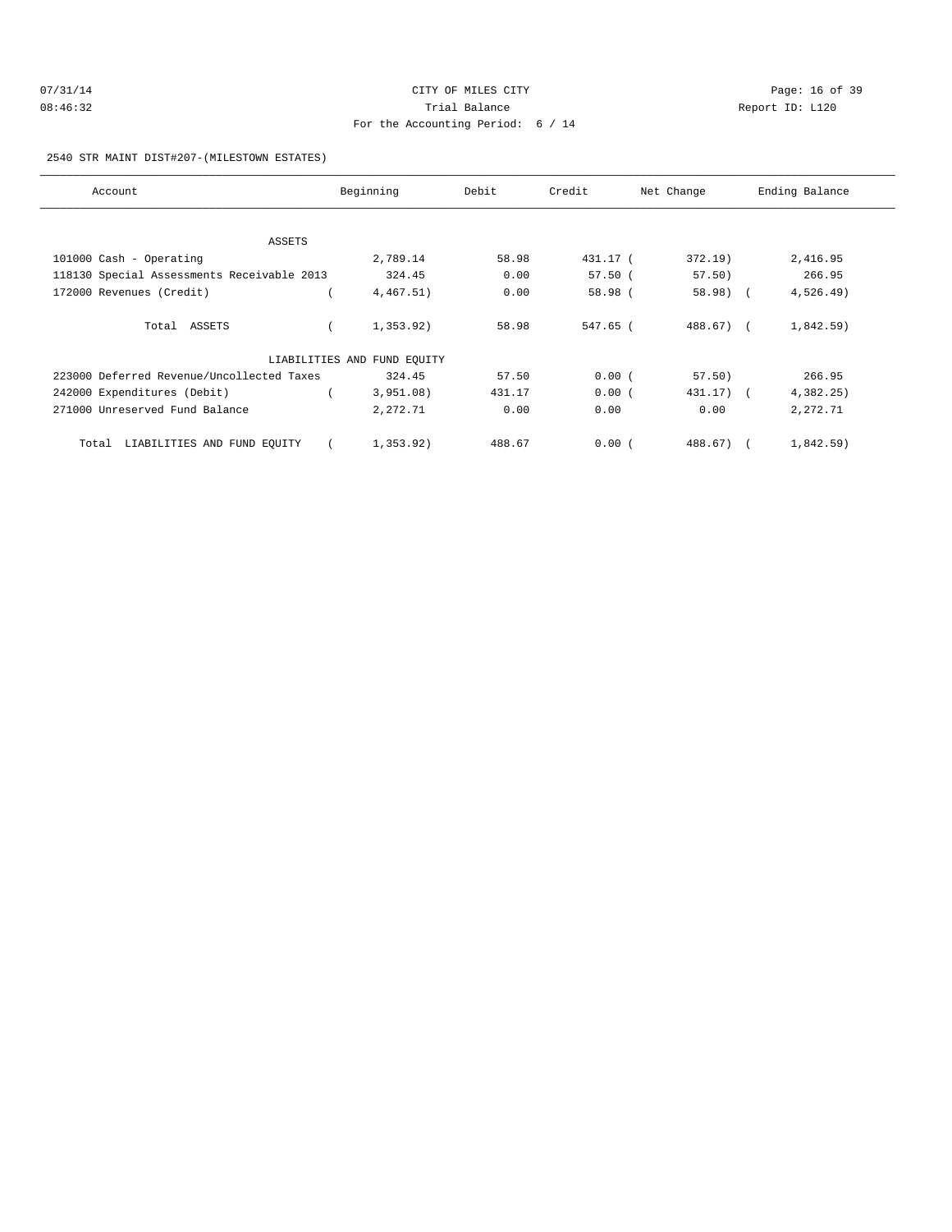| 07/31/14 | CITY OF MILES CITY                | Page: 16 of 39  |  |
|----------|-----------------------------------|-----------------|--|
| 08:46:32 | Trial Balance                     | Report ID: L120 |  |
|          | For the Accounting Period: 6 / 14 |                 |  |

2540 STR MAINT DIST#207-(MILESTOWN ESTATES)

| Account                                    | Beginning                   | Debit  | Credit    | Net Change  | Ending Balance |
|--------------------------------------------|-----------------------------|--------|-----------|-------------|----------------|
|                                            |                             |        |           |             |                |
| ASSETS                                     |                             |        |           |             |                |
| 101000 Cash - Operating                    | 2,789.14                    | 58.98  | 431.17 (  | 372.19)     | 2,416.95       |
| 118130 Special Assessments Receivable 2013 | 324.45                      | 0.00   | $57.50$ ( | 57.50)      | 266.95         |
| 172000 Revenues (Credit)                   | 4,467.51)                   | 0.00   | 58.98 (   | $58.98$ (   | $4,526.49$ )   |
| Total ASSETS                               | 1,353.92)                   | 58.98  | 547.65 (  | 488.67) (   | $1,842.59$ )   |
|                                            | LIABILITIES AND FUND EQUITY |        |           |             |                |
| 223000 Deferred Revenue/Uncollected Taxes  | 324.45                      | 57.50  | 0.00(     | 57.50)      | 266.95         |
| 242000 Expenditures (Debit)                | 3,951.08)                   | 431.17 | 0.00(     | $431.17)$ ( | 4,382.25)      |
| 271000 Unreserved Fund Balance             | 2,272.71                    | 0.00   | 0.00      | 0.00        | 2,272.71       |
| LIABILITIES AND FUND EQUITY<br>Total       | 1,353.92)                   | 488.67 | 0.00(     | 488.67)     | 1,842.59)      |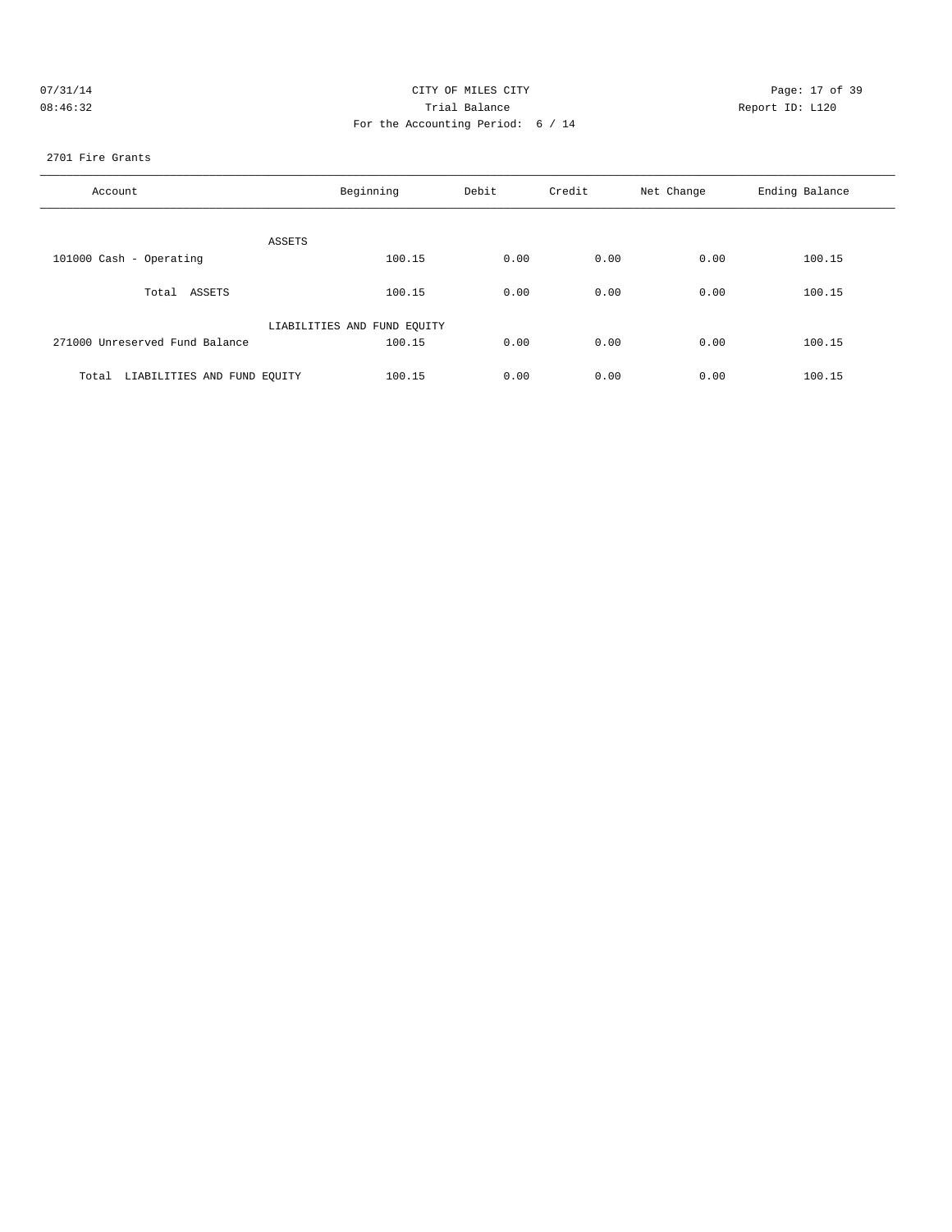| 07/31/14 | CITY OF MILES CITY                | Page: 17 of 39  |
|----------|-----------------------------------|-----------------|
| 08:46:32 | Trial Balance                     | Report ID: L120 |
|          | For the Accounting Period: 6 / 14 |                 |

2701 Fire Grants

| Account                              | Beginning                   | Debit | Credit | Net Change | Ending Balance |
|--------------------------------------|-----------------------------|-------|--------|------------|----------------|
| ASSETS                               |                             |       |        |            |                |
| 101000 Cash - Operating              | 100.15                      | 0.00  | 0.00   | 0.00       | 100.15         |
| Total ASSETS                         | 100.15                      | 0.00  | 0.00   | 0.00       | 100.15         |
|                                      | LIABILITIES AND FUND EQUITY |       |        |            |                |
| 271000 Unreserved Fund Balance       | 100.15                      | 0.00  | 0.00   | 0.00       | 100.15         |
| LIABILITIES AND FUND EQUITY<br>Total | 100.15                      | 0.00  | 0.00   | 0.00       | 100.15         |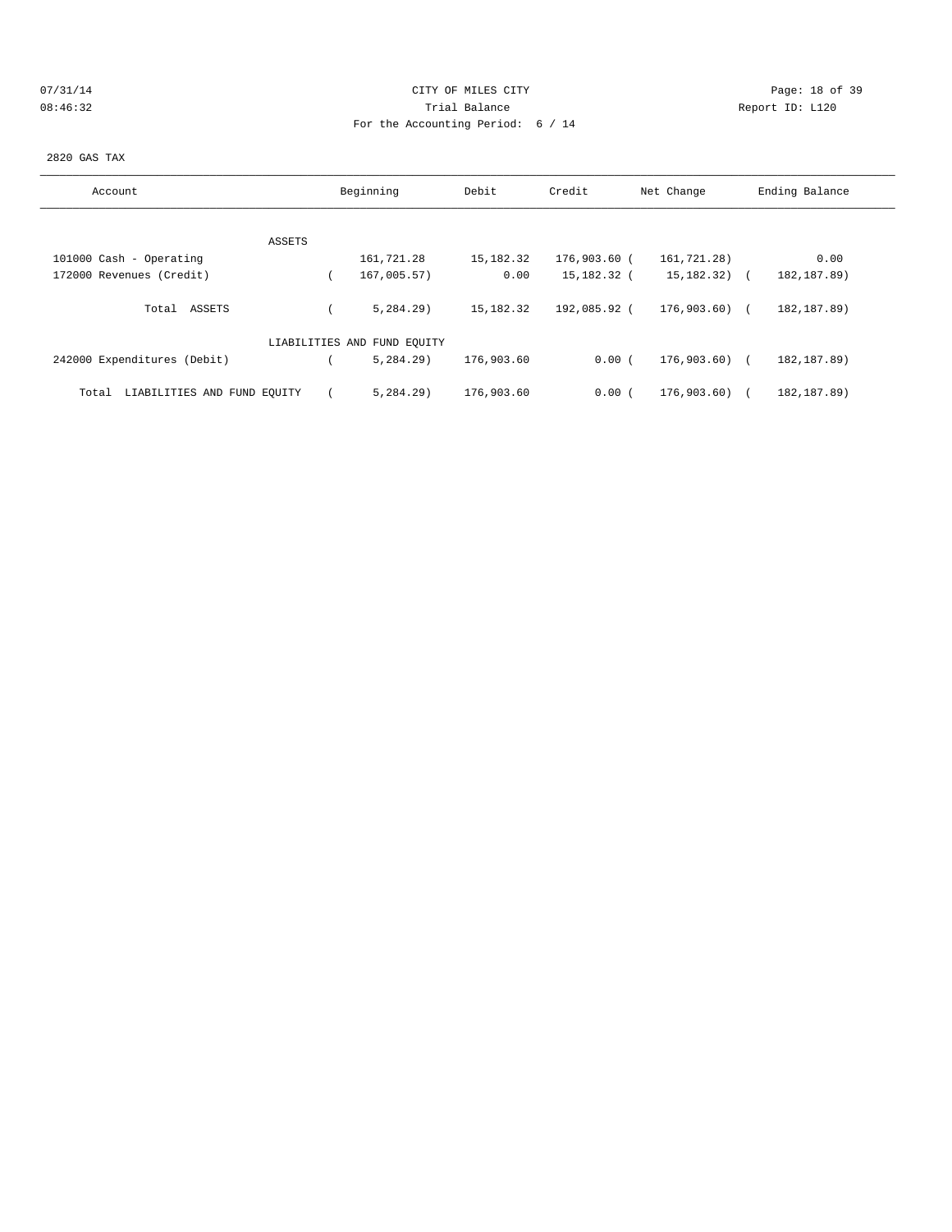## 07/31/14 Page: 18 of 39 08:46:32 Trial Balance Report ID: L120 For the Accounting Period: 6 / 14

2820 GAS TAX

| Account                              | Beginning                   | Debit       | Credit       | Net Change       | Ending Balance |
|--------------------------------------|-----------------------------|-------------|--------------|------------------|----------------|
|                                      |                             |             |              |                  |                |
| ASSETS                               |                             |             |              |                  |                |
| 101000 Cash - Operating              | 161,721.28                  | 15,182.32   | 176,903.60 ( | 161,721.28)      | 0.00           |
| 172000 Revenues (Credit)             | 167,005.57)                 | 0.00        | 15,182.32 (  | $15, 182, 32)$ ( | 182, 187.89)   |
| Total ASSETS                         | 5.284.29                    | 15, 182. 32 | 192,085.92 ( | 176,903.60) (    | 182, 187.89)   |
|                                      | LIABILITIES AND FUND EQUITY |             |              |                  |                |
| 242000 Expenditures (Debit)          | 5.284.29                    | 176,903.60  | 0.00(        | 176,903.60) (    | 182, 187.89)   |
| LIABILITIES AND FUND EQUITY<br>Total | 5.284.29                    | 176,903.60  | 0.00(        | 176,903.60)      | 182, 187.89)   |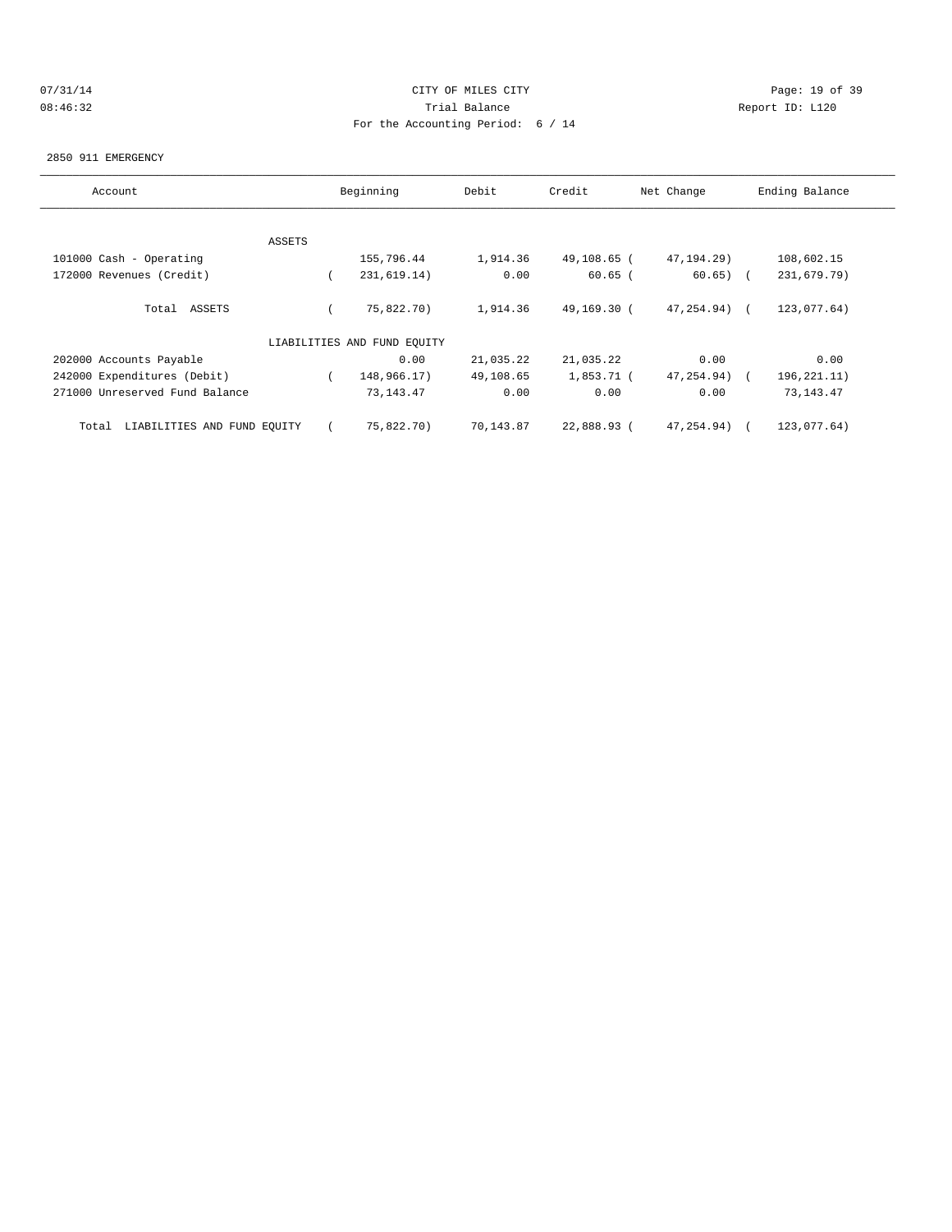## 07/31/14 Page: 19 of 39 08:46:32 Trial Balance Report ID: L120 For the Accounting Period: 6 / 14

#### 2850 911 EMERGENCY

| Account                              |        | Beginning                   | Debit     | Credit      | Net Change   | Ending Balance |
|--------------------------------------|--------|-----------------------------|-----------|-------------|--------------|----------------|
|                                      |        |                             |           |             |              |                |
|                                      | ASSETS |                             |           |             |              |                |
| 101000 Cash - Operating              |        | 155,796.44                  | 1,914.36  | 49,108.65 ( | 47, 194. 29) | 108,602.15     |
| 172000 Revenues (Credit)             |        | 231,619.14)                 | 0.00      | $60.65$ (   | $60.65)$ (   | 231,679.79)    |
| Total ASSETS                         |        | 75,822.70)                  | 1,914.36  | 49,169.30 ( | 47,254.94)   | 123,077.64)    |
|                                      |        | LIABILITIES AND FUND EOUITY |           |             |              |                |
| 202000 Accounts Payable              |        | 0.00                        | 21,035.22 | 21,035.22   | 0.00         | 0.00           |
| 242000 Expenditures (Debit)          |        | 148,966.17)                 | 49,108.65 | 1,853.71 (  | 47,254.94)   | 196,221.11)    |
| 271000 Unreserved Fund Balance       |        | 73, 143. 47                 | 0.00      | 0.00        | 0.00         | 73, 143. 47    |
| LIABILITIES AND FUND EQUITY<br>Total |        | 75,822.70)                  | 70,143.87 | 22,888.93 ( | 47, 254.94)  | 123,077.64)    |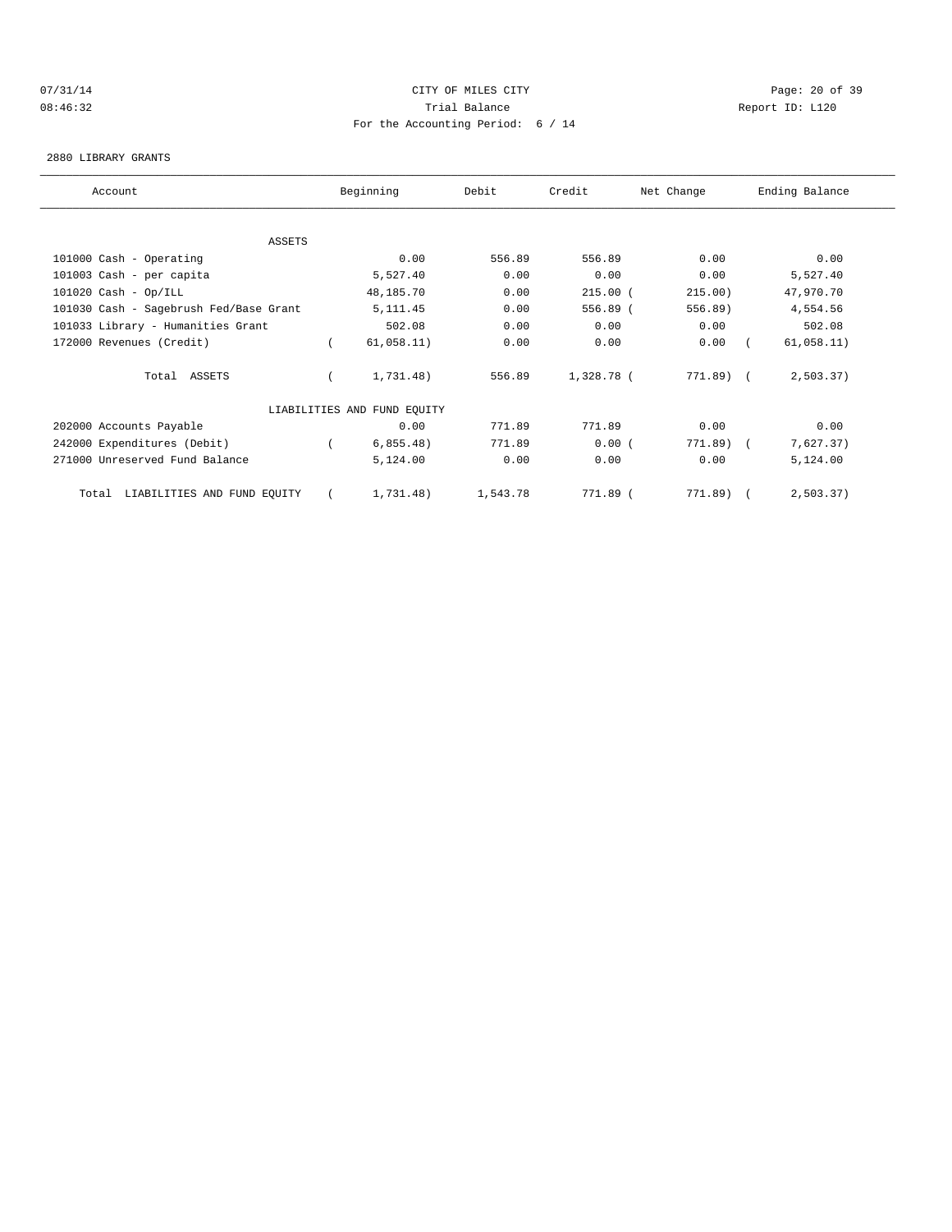# 07/31/14 Page: 20 of 39 08:46:32 Trial Balance Report ID: L120 For the Accounting Period: 6 / 14

#### 2880 LIBRARY GRANTS

| Account                                | Beginning                   | Debit    | Credit     | Net Change | Ending Balance |  |
|----------------------------------------|-----------------------------|----------|------------|------------|----------------|--|
|                                        |                             |          |            |            |                |  |
| <b>ASSETS</b>                          |                             |          |            |            |                |  |
| 101000 Cash - Operating                | 0.00                        | 556.89   | 556.89     | 0.00       | 0.00           |  |
| 101003 Cash - per capita               | 5,527.40                    | 0.00     | 0.00       | 0.00       | 5,527.40       |  |
| $101020$ Cash - Op/ILL                 | 48,185.70                   | 0.00     | $215.00$ ( | 215.00)    | 47,970.70      |  |
| 101030 Cash - Sagebrush Fed/Base Grant | 5, 111.45                   | 0.00     | 556.89 (   | 556.89)    | 4,554.56       |  |
| 101033 Library - Humanities Grant      | 502.08                      | 0.00     | 0.00       | 0.00       | 502.08         |  |
| 172000 Revenues (Credit)               | 61,058.11)                  | 0.00     | 0.00       | 0.00       | 61,058.11)     |  |
| Total ASSETS                           | 1,731.48)                   | 556.89   | 1,328.78 ( | 771.89) (  | 2,503.37)      |  |
|                                        | LIABILITIES AND FUND EQUITY |          |            |            |                |  |
| 202000 Accounts Payable                | 0.00                        | 771.89   | 771.89     | 0.00       | 0.00           |  |
| 242000 Expenditures (Debit)            | 6,855.48)                   | 771.89   | 0.00(      | 771.89)    | 7,627.37)      |  |
| 271000 Unreserved Fund Balance         | 5,124.00                    | 0.00     | 0.00       | 0.00       | 5,124.00       |  |
| LIABILITIES AND FUND EQUITY<br>Total   | 1,731.48)                   | 1,543.78 | 771.89 (   | 771.89)    | 2, 503.37)     |  |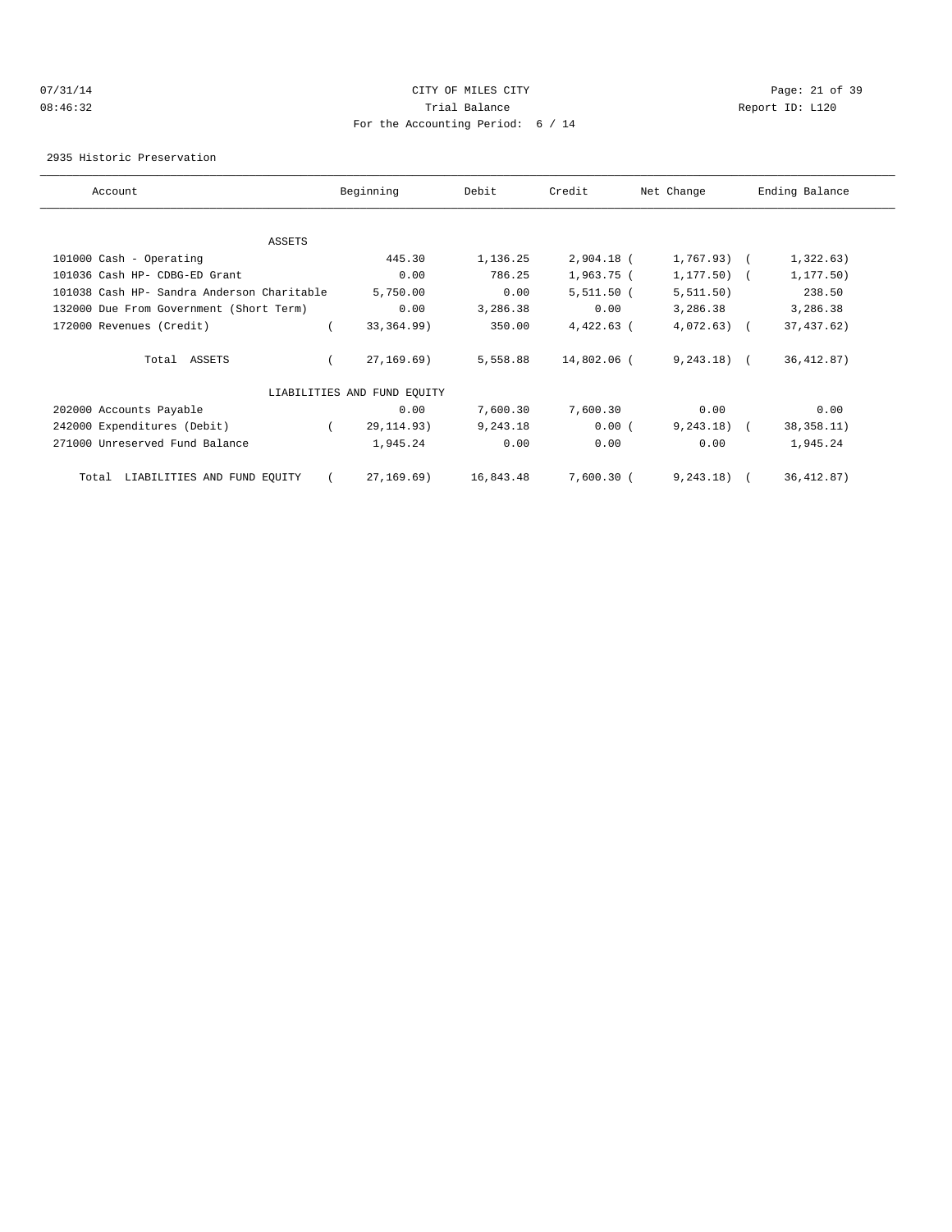## 07/31/14 Page: 21 of 39 08:46:32 Trial Balance Report ID: L120 For the Accounting Period: 6 / 14

2935 Historic Preservation

| Account                                    | Beginning                   | Debit     | Credit       | Net Change     | Ending Balance |
|--------------------------------------------|-----------------------------|-----------|--------------|----------------|----------------|
|                                            |                             |           |              |                |                |
| ASSETS                                     |                             |           |              |                |                |
| 101000 Cash - Operating                    | 445.30                      | 1,136.25  | $2,904.18$ ( | $1,767.93$ ) ( | 1,322.63)      |
| 101036 Cash HP- CDBG-ED Grant              | 0.00                        | 786.25    | $1,963.75$ ( | 1, 177.50)     | 1, 177.50)     |
| 101038 Cash HP- Sandra Anderson Charitable | 5,750.00                    | 0.00      | $5,511.50$ ( | 5, 511.50)     | 238.50         |
| 132000 Due From Government (Short Term)    | 0.00                        | 3,286.38  | 0.00         | 3,286.38       | 3,286.38       |
| 172000 Revenues (Credit)                   | 33, 364.99)                 | 350.00    | $4,422.63$ ( | $4,072.63$ (   | 37, 437.62)    |
| Total ASSETS                               | 27, 169.69)                 | 5,558.88  | 14,802.06 (  | $9,243.18$ (   | 36, 412.87)    |
|                                            | LIABILITIES AND FUND EQUITY |           |              |                |                |
| 202000 Accounts Payable                    | 0.00                        | 7,600.30  | 7,600.30     | 0.00           | 0.00           |
| 242000 Expenditures (Debit)                | 29, 114.93)                 | 9,243.18  | 0.00(        | 9, 243, 18)    | 38, 358. 11)   |
| 271000 Unreserved Fund Balance             | 1,945.24                    | 0.00      | 0.00         | 0.00           | 1,945.24       |
| LIABILITIES AND FUND EQUITY<br>Total       | 27, 169.69)                 | 16,843.48 | $7,600.30$ ( | 9, 243.18)     | 36, 412.87)    |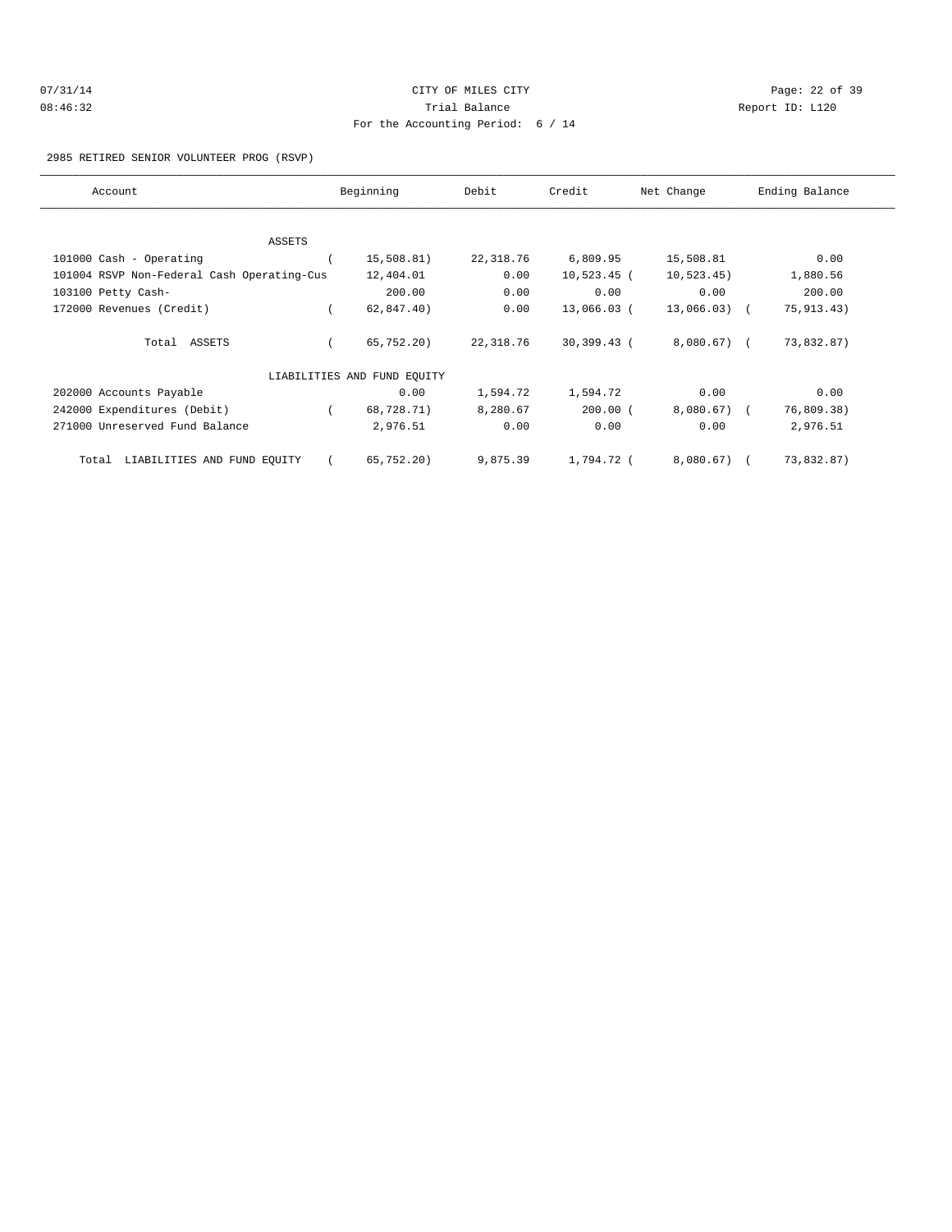| 07/31/14 | CITY OF MILES CITY                | Page: 22 of 39  |
|----------|-----------------------------------|-----------------|
| 08:46:32 | Trial Balance                     | Report ID: L120 |
|          | For the Accounting Period: 6 / 14 |                 |

#### 2985 RETIRED SENIOR VOLUNTEER PROG (RSVP)

| Account                                    | Beginning                   | Debit     | Credit        | Net Change   | Ending Balance |
|--------------------------------------------|-----------------------------|-----------|---------------|--------------|----------------|
|                                            |                             |           |               |              |                |
| ASSETS                                     |                             |           |               |              |                |
| 101000 Cash - Operating                    | 15,508.81)                  | 22,318.76 | 6,809.95      | 15,508.81    | 0.00           |
| 101004 RSVP Non-Federal Cash Operating-Cus | 12,404.01                   | 0.00      | $10,523.45$ ( | 10, 523.45)  | 1,880.56       |
| 103100 Petty Cash-                         | 200.00                      | 0.00      | 0.00          | 0.00         | 200.00         |
| 172000 Revenues (Credit)                   | 62,847.40)                  | 0.00      | 13,066.03 (   | 13,066.03) ( | 75, 913. 43)   |
| Total ASSETS                               | 65,752.20)                  | 22,318.76 | 30,399.43 (   | 8,080.67) (  | 73,832.87)     |
|                                            | LIABILITIES AND FUND EQUITY |           |               |              |                |
| 202000 Accounts Payable                    | 0.00                        | 1,594.72  | 1,594.72      | 0.00         | 0.00           |
| 242000 Expenditures (Debit)                | 68,728.71)                  | 8,280.67  | $200.00$ (    | 8,080.67) (  | 76,809.38)     |
| 271000 Unreserved Fund Balance             | 2,976.51                    | 0.00      | 0.00          | 0.00         | 2,976.51       |
| LIABILITIES AND FUND EQUITY<br>Total       | 65, 752, 20)                | 9,875.39  | 1,794.72 (    | 8,080.67) (  | 73,832.87)     |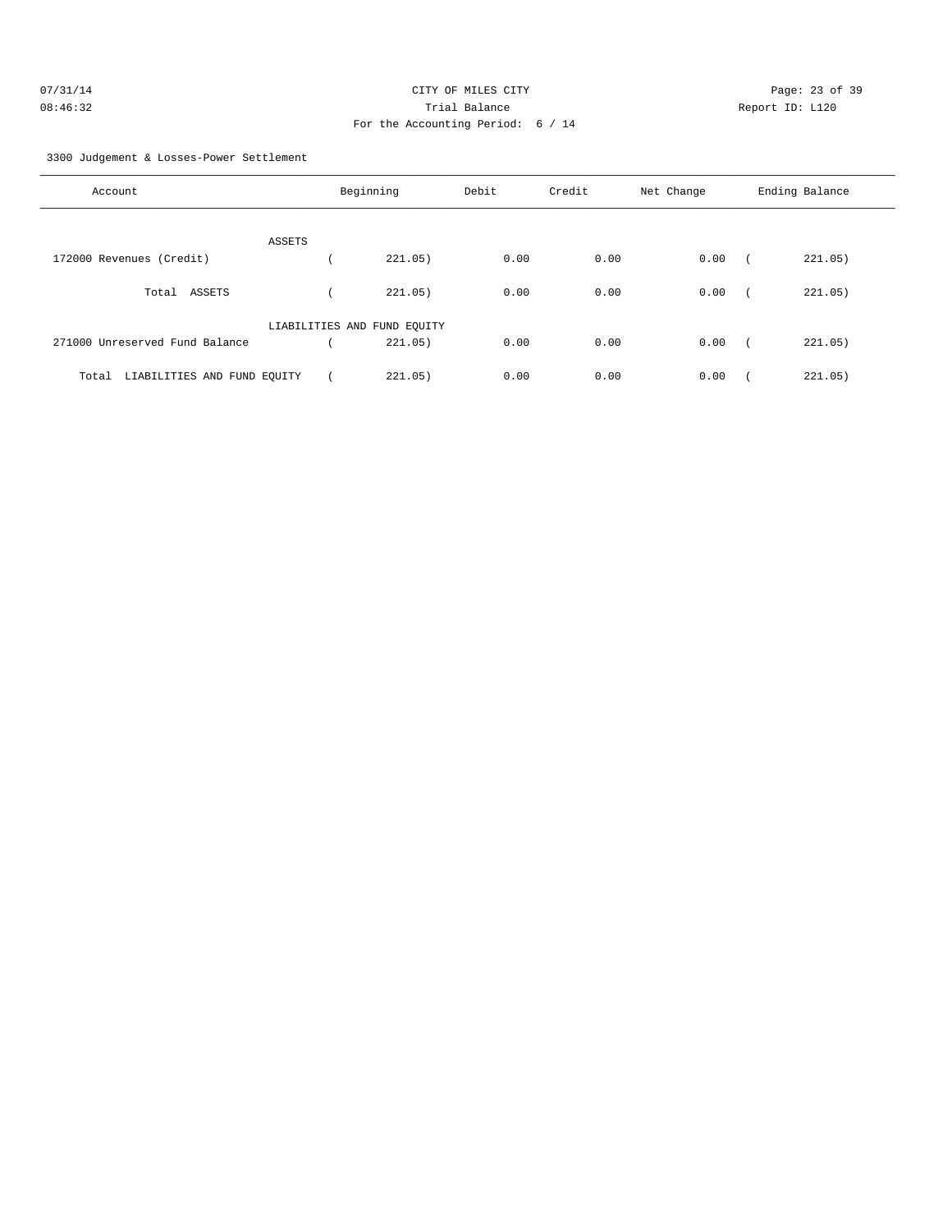| 07/31/14 | CITY OF MILES CITY                | Page: 23 of 39  |
|----------|-----------------------------------|-----------------|
| 08:46:32 | Trial Balance                     | Report ID: L120 |
|          | For the Accounting Period: 6 / 14 |                 |

3300 Judgement & Losses-Power Settlement

| Account                              | Beginning                   |         | Debit | Credit | Net Change | Ending Balance        |  |
|--------------------------------------|-----------------------------|---------|-------|--------|------------|-----------------------|--|
|                                      | ASSETS                      |         |       |        |            |                       |  |
| 172000 Revenues (Credit)             |                             | 221.05) | 0.00  | 0.00   | 0.00       | 221.05)               |  |
| ASSETS<br>Total                      |                             | 221.05) | 0.00  | 0.00   | 0.00       | 221.05)               |  |
|                                      | LIABILITIES AND FUND EQUITY |         |       |        |            |                       |  |
| 271000 Unreserved Fund Balance       |                             | 221.05) | 0.00  | 0.00   | 0.00       | 221.05)<br>$\sqrt{2}$ |  |
| LIABILITIES AND FUND EQUITY<br>Total |                             | 221.05) | 0.00  | 0.00   | 0.00       | 221.05)               |  |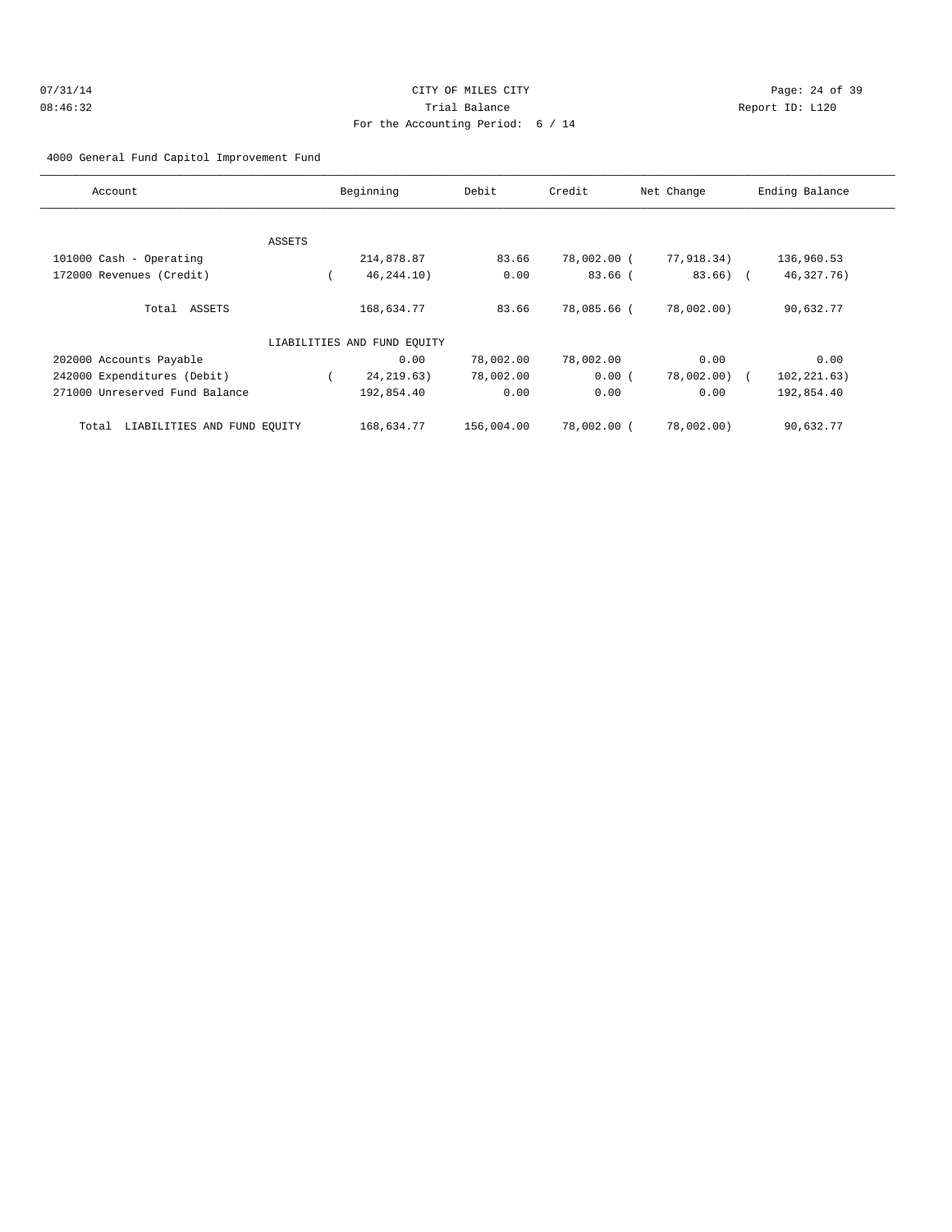| 07/31/14 | CITY OF MILES CITY                | Page: 24 of 39  |
|----------|-----------------------------------|-----------------|
| 08:46:32 | Trial Balance                     | Report ID: L120 |
|          | For the Accounting Period: 6 / 14 |                 |

#### 4000 General Fund Capitol Improvement Fund

| Account                              | Beginning |                             | Debit      | Credit      | Net Change  | Ending Balance |
|--------------------------------------|-----------|-----------------------------|------------|-------------|-------------|----------------|
|                                      |           |                             |            |             |             |                |
|                                      | ASSETS    |                             |            |             |             |                |
| 101000 Cash - Operating              |           | 214,878.87                  | 83.66      | 78,002.00 ( | 77,918.34)  | 136,960.53     |
| 172000 Revenues (Credit)             |           | 46, 244. 10)                | 0.00       | $83.66$ (   | $83.66$ ) ( | 46, 327. 76)   |
| ASSETS<br>Total                      |           | 168,634.77                  | 83.66      | 78,085.66 ( | 78,002.00)  | 90,632.77      |
|                                      |           | LIABILITIES AND FUND EOUITY |            |             |             |                |
| 202000 Accounts Payable              |           | 0.00                        | 78,002.00  | 78,002.00   | 0.00        | 0.00           |
| 242000 Expenditures (Debit)          |           | 24, 219.63)                 | 78,002.00  | 0.00(       | 78,002.00)  | 102, 221.63)   |
| 271000 Unreserved Fund Balance       |           | 192,854.40                  | 0.00       | 0.00        | 0.00        | 192,854.40     |
| LIABILITIES AND FUND EQUITY<br>Total |           | 168,634.77                  | 156,004.00 | 78,002.00 ( | 78,002.00)  | 90,632.77      |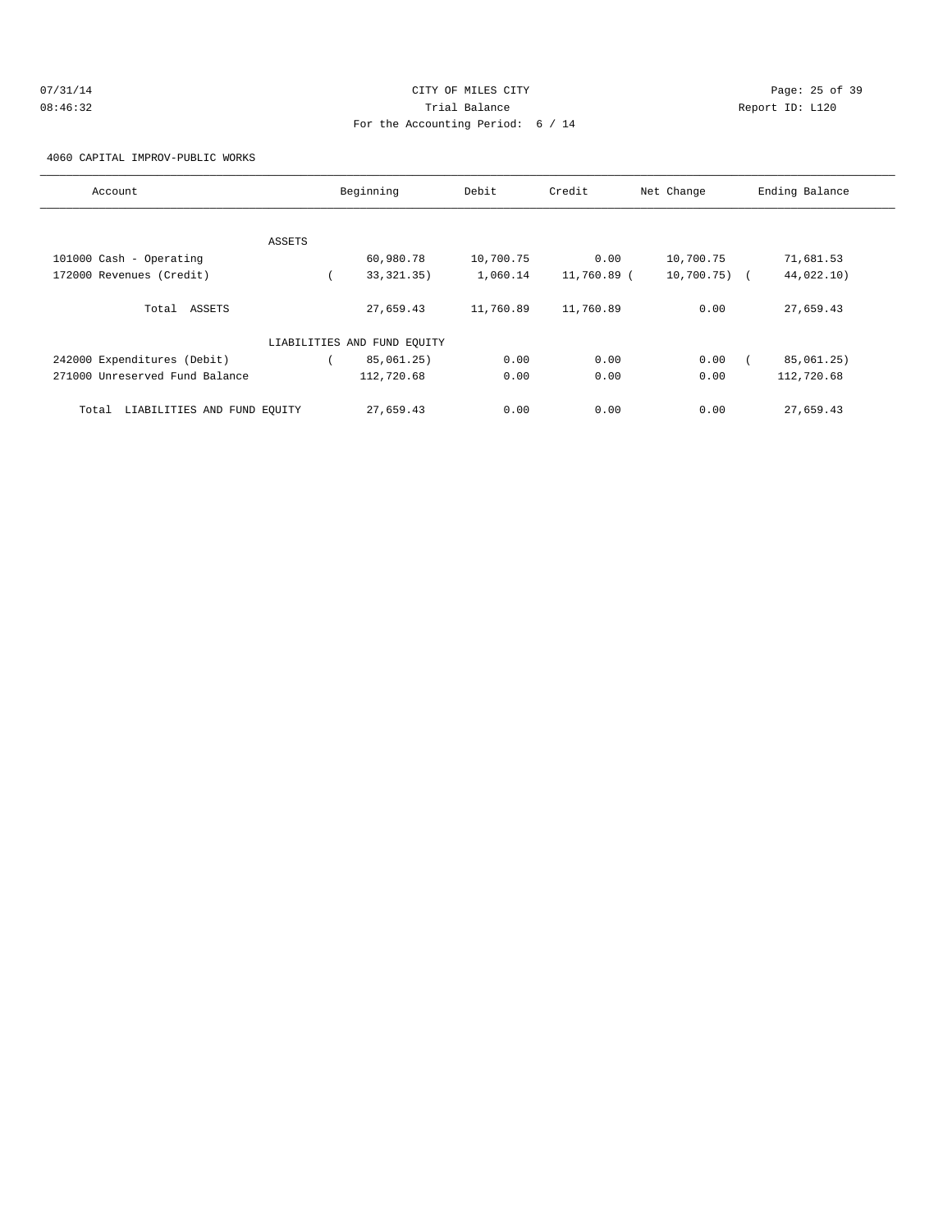| 07/31/14 | CITY OF MILES CITY                | Page: 25 of 39  |
|----------|-----------------------------------|-----------------|
| 08:46:32 | Trial Balance                     | Report ID: L120 |
|          | For the Accounting Period: 6 / 14 |                 |

4060 CAPITAL IMPROV-PUBLIC WORKS

| Account                              |        | Beginning                   |           | Credit      | Net Change      | Ending Balance |
|--------------------------------------|--------|-----------------------------|-----------|-------------|-----------------|----------------|
|                                      |        |                             |           |             |                 |                |
|                                      | ASSETS |                             |           |             |                 |                |
| 101000 Cash - Operating              |        | 60,980.78                   | 10,700.75 | 0.00        | 10,700.75       | 71,681.53      |
| 172000 Revenues (Credit)             |        | 33, 321. 35)                | 1,060.14  | 11,760.89 ( | $10,700.75$ ) ( | 44,022.10)     |
| Total ASSETS                         |        | 27,659.43                   | 11,760.89 | 11,760.89   | 0.00            | 27,659.43      |
|                                      |        | LIABILITIES AND FUND EQUITY |           |             |                 |                |
| 242000 Expenditures (Debit)          |        | 85,061.25)                  | 0.00      | 0.00        | 0.00            | 85,061.25)     |
| 271000 Unreserved Fund Balance       |        | 112,720.68                  | 0.00      | 0.00        | 0.00            | 112,720.68     |
| LIABILITIES AND FUND EQUITY<br>Total |        | 27,659.43                   | 0.00      | 0.00        | 0.00            | 27,659.43      |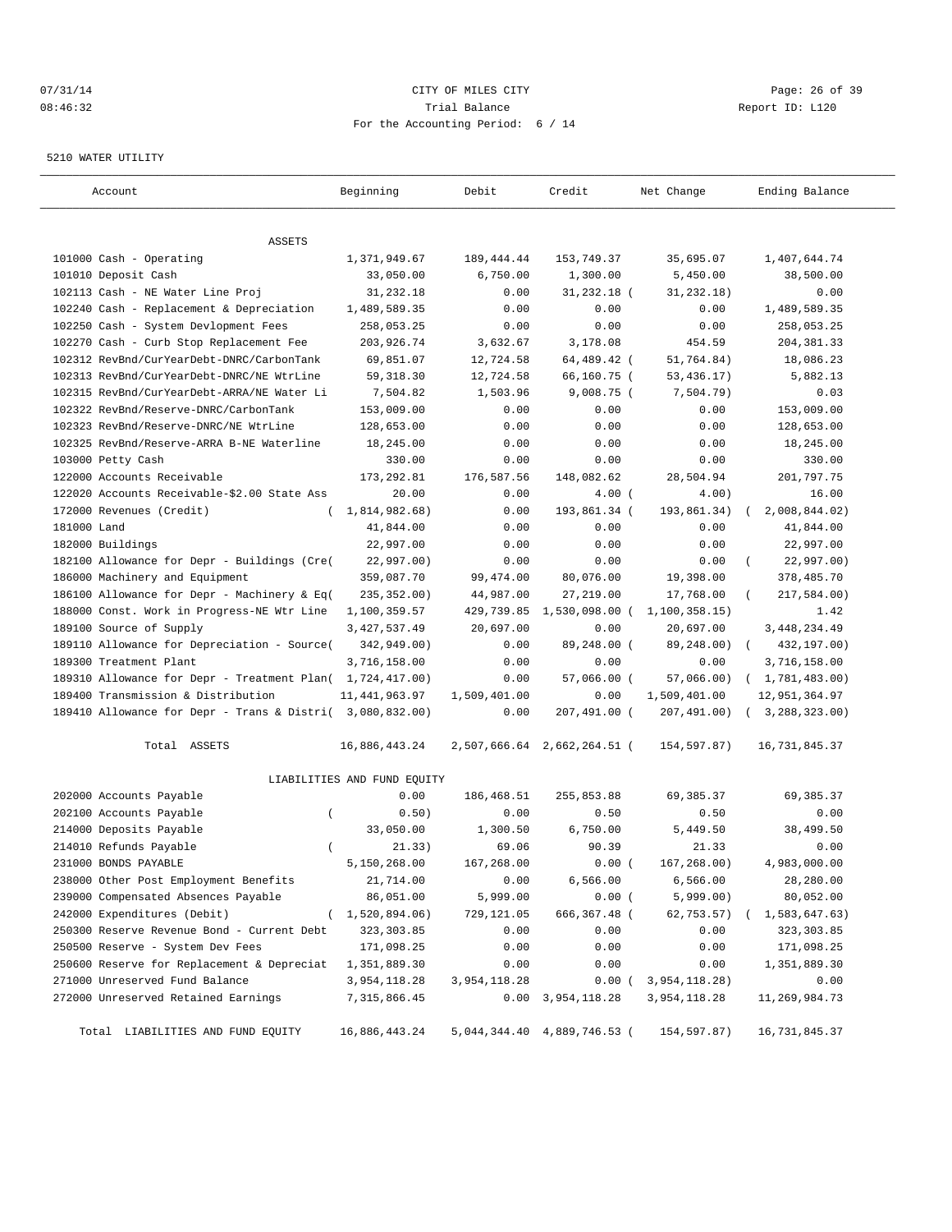## 07/31/14 Page: 26 of 39 08:46:32 Trial Balance Report ID: L120 For the Accounting Period: 6 / 14

#### 5210 WATER UTILITY

| Account                                                   | Beginning                   | Debit        | Credit                      | Net Change    | Ending Balance            |
|-----------------------------------------------------------|-----------------------------|--------------|-----------------------------|---------------|---------------------------|
| ASSETS                                                    |                             |              |                             |               |                           |
| 101000 Cash - Operating                                   | 1,371,949.67                | 189, 444.44  | 153,749.37                  | 35,695.07     | 1,407,644.74              |
| 101010 Deposit Cash                                       | 33,050.00                   | 6,750.00     | 1,300.00                    | 5,450.00      | 38,500.00                 |
| 102113 Cash - NE Water Line Proj                          | 31,232.18                   | 0.00         | $31,232.18$ (               | 31, 232.18)   | 0.00                      |
| 102240 Cash - Replacement & Depreciation                  | 1,489,589.35                | 0.00         | 0.00                        | 0.00          | 1,489,589.35              |
| 102250 Cash - System Devlopment Fees                      | 258,053.25                  | 0.00         | 0.00                        | 0.00          | 258,053.25                |
| 102270 Cash - Curb Stop Replacement Fee                   | 203,926.74                  | 3,632.67     | 3,178.08                    | 454.59        | 204, 381.33               |
| 102312 RevBnd/CurYearDebt-DNRC/CarbonTank                 | 69,851.07                   | 12,724.58    | 64,489.42 (                 | 51,764.84)    | 18,086.23                 |
| 102313 RevBnd/CurYearDebt-DNRC/NE WtrLine                 | 59, 318.30                  | 12,724.58    | 66,160.75 (                 | 53, 436. 17)  | 5,882.13                  |
| 102315 RevBnd/CurYearDebt-ARRA/NE Water Li                | 7,504.82                    | 1,503.96     | 9,008.75 (                  | 7,504.79)     | 0.03                      |
| 102322 RevBnd/Reserve-DNRC/CarbonTank                     | 153,009.00                  | 0.00         | 0.00                        | 0.00          | 153,009.00                |
| 102323 RevBnd/Reserve-DNRC/NE WtrLine                     | 128,653.00                  | 0.00         | 0.00                        | 0.00          | 128,653.00                |
| 102325 RevBnd/Reserve-ARRA B-NE Waterline                 | 18,245.00                   | 0.00         | 0.00                        | 0.00          | 18,245.00                 |
| 103000 Petty Cash                                         | 330.00                      | 0.00         | 0.00                        | 0.00          | 330.00                    |
| 122000 Accounts Receivable                                | 173, 292.81                 | 176,587.56   | 148,082.62                  | 28,504.94     | 201,797.75                |
| 122020 Accounts Receivable-\$2.00 State Ass               | 20.00                       | 0.00         | 4.00(                       | 4.00)         | 16.00                     |
| 172000 Revenues (Credit)<br>$\left($                      | 1,814,982.68)               | 0.00         | 193,861.34 (                | 193,861.34)   | 2,008,844.02)             |
| 181000 Land                                               | 41,844.00                   | 0.00         | 0.00                        | 0.00          | 41,844.00                 |
| 182000 Buildings                                          | 22,997.00                   | 0.00         | 0.00                        | 0.00          | 22,997.00                 |
| 182100 Allowance for Depr - Buildings (Cre(               | 22,997.00)                  | 0.00         | 0.00                        | 0.00          | 22,997.00)                |
| 186000 Machinery and Equipment                            | 359,087.70                  | 99,474.00    | 80,076.00                   | 19,398.00     | 378,485.70                |
| 186100 Allowance for Depr - Machinery & Eq(               | 235, 352.00)                | 44,987.00    | 27, 219.00                  | 17,768.00     | 217,584.00)               |
| 188000 Const. Work in Progress-NE Wtr Line                | 1,100,359.57                | 429,739.85   | 1,530,098.00 (              | 1,100,358.15) | 1.42                      |
| 189100 Source of Supply                                   | 3, 427, 537.49              | 20,697.00    | 0.00                        | 20,697.00     | 3, 448, 234.49            |
| 189110 Allowance for Depreciation - Source(               | 342,949.00)                 | 0.00         | 89,248.00 (                 | 89,248.00)    | 432,197.00)<br>$\sqrt{2}$ |
| 189300 Treatment Plant                                    | 3,716,158.00                | 0.00         | 0.00                        | 0.00          | 3,716,158.00              |
| 189310 Allowance for Depr - Treatment Plan( 1,724,417.00) |                             | 0.00         | $57,066.00$ (               | 57,066.00)    | (1, 781, 483.00)          |
| 189400 Transmission & Distribution                        | 11,441,963.97               | 1,509,401.00 | 0.00                        | 1,509,401.00  | 12,951,364.97             |
| 189410 Allowance for Depr - Trans & Distri( 3,080,832.00) |                             | 0.00         | 207,491.00 (                | 207,491.00)   | 3,288,323.00              |
| Total ASSETS                                              | 16,886,443.24               |              | 2,507,666.64 2,662,264.51 ( | 154,597.87)   | 16,731,845.37             |
|                                                           | LIABILITIES AND FUND EQUITY |              |                             |               |                           |
| 202000 Accounts Payable                                   | 0.00                        | 186,468.51   | 255,853.88                  | 69,385.37     | 69,385.37                 |
| 202100 Accounts Payable<br>$\overline{ }$                 | 0.50)                       | 0.00         | 0.50                        | 0.50          | 0.00                      |
| 214000 Deposits Payable                                   | 33,050.00                   | 1,300.50     | 6,750.00                    | 5,449.50      | 38,499.50                 |
| 214010 Refunds Payable<br>$\left($                        | 21.33)                      | 69.06        | 90.39                       | 21.33         | 0.00                      |
| 231000 BONDS PAYABLE                                      | 5,150,268.00                | 167,268.00   | 0.00(                       | 167, 268.00)  | 4,983,000.00              |
| 238000 Other Post Employment Benefits                     | 21,714.00                   | 0.00         | 6,566.00                    | 6,566.00      | 28,280.00                 |
| 239000 Compensated Absences Payable                       | 86,051.00                   | 5,999.00     | 0.00(                       | 5,999.00)     | 80,052.00                 |
| 242000 Expenditures (Debit)                               | 1,520,894.06)               | 729,121.05   | 666, 367.48 (               | 62,753.57)    | 1,583,647.63)             |
| 250300 Reserve Revenue Bond - Current Debt                | 323, 303.85                 | 0.00         | 0.00                        | 0.00          | 323, 303.85               |
| 250500 Reserve - System Dev Fees                          | 171,098.25                  | 0.00         | 0.00                        | 0.00          | 171,098.25                |
| 250600 Reserve for Replacement & Depreciat                | 1,351,889.30                | 0.00         | 0.00                        | 0.00          | 1,351,889.30              |
| 271000 Unreserved Fund Balance                            | 3,954,118.28                | 3,954,118.28 | 0.00(                       | 3,954,118.28) | 0.00                      |
| 272000 Unreserved Retained Earnings                       | 7, 315, 866.45              | 0.00         | 3,954,118.28                | 3,954,118.28  | 11,269,984.73             |
| Total LIABILITIES AND FUND EQUITY                         | 16,886,443.24               |              | 5,044,344.40 4,889,746.53 ( | 154,597.87)   | 16,731,845.37             |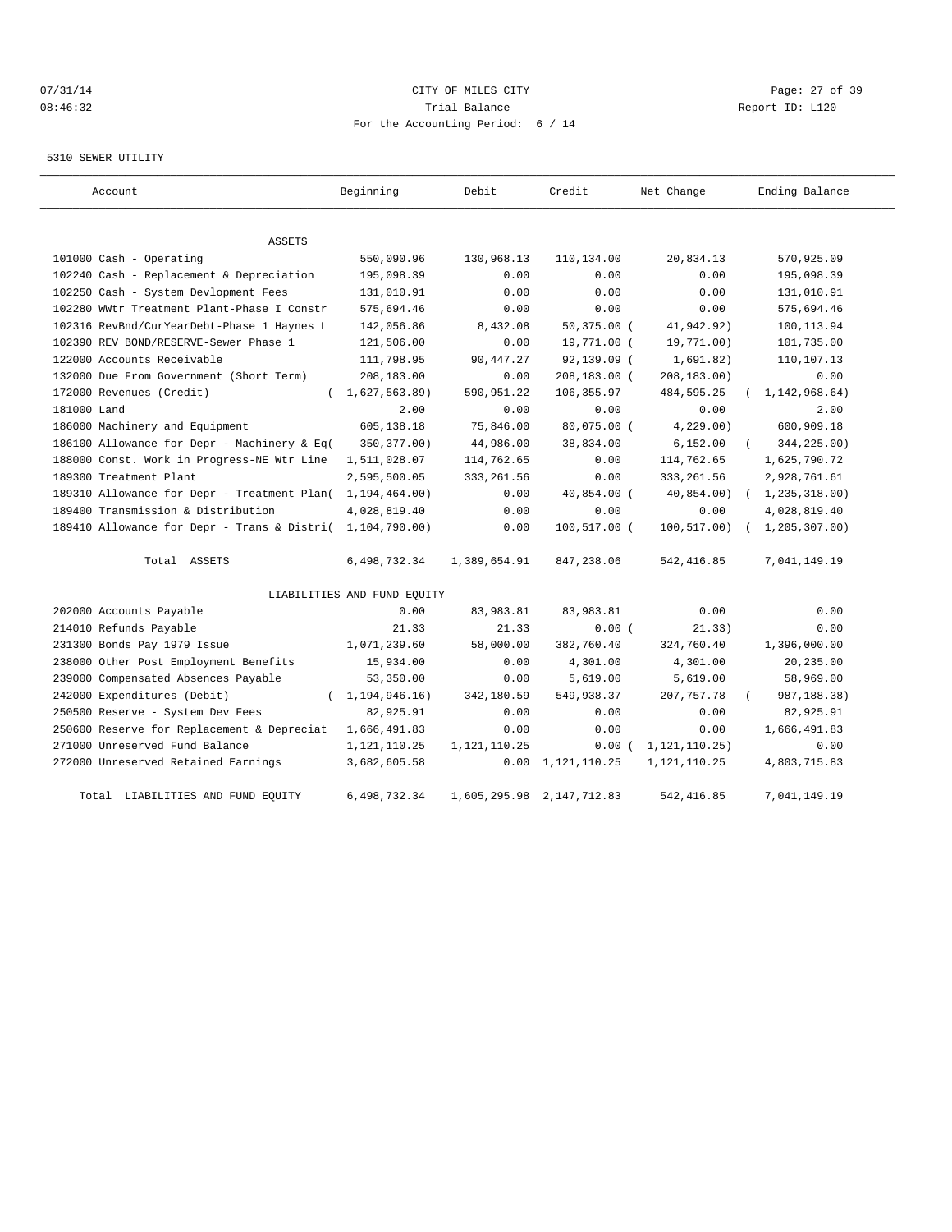# 07/31/14 Page: 27 of 39 08:46:32 Trial Balance Report ID: L120 For the Accounting Period: 6 / 14

#### 5310 SEWER UTILITY

| Account                                     | Beginning                   | Debit        | Credit                    | Net Change       | Ending Balance               |
|---------------------------------------------|-----------------------------|--------------|---------------------------|------------------|------------------------------|
| <b>ASSETS</b>                               |                             |              |                           |                  |                              |
| 101000 Cash - Operating                     | 550,090.96                  | 130,968.13   | 110,134.00                | 20,834.13        | 570,925.09                   |
| 102240 Cash - Replacement & Depreciation    | 195,098.39                  | 0.00         | 0.00                      | 0.00             | 195,098.39                   |
| 102250 Cash - System Devlopment Fees        | 131,010.91                  | 0.00         | 0.00                      | 0.00             | 131,010.91                   |
| 102280 WWtr Treatment Plant-Phase I Constr  | 575,694.46                  | 0.00         | 0.00                      | 0.00             | 575,694.46                   |
| 102316 RevBnd/CurYearDebt-Phase 1 Haynes L  | 142,056.86                  | 8,432.08     | $50, 375.00$ (            | 41,942.92)       | 100,113.94                   |
| 102390 REV BOND/RESERVE-Sewer Phase 1       | 121,506.00                  | 0.00         | 19,771.00 (               | 19,771.00)       | 101,735.00                   |
| 122000 Accounts Receivable                  | 111,798.95                  | 90, 447.27   | 92,139.09 (               | 1,691.82)        | 110,107.13                   |
| 132000 Due From Government (Short Term)     | 208,183.00                  | 0.00         | 208,183.00 (              | 208,183.00)      | 0.00                         |
| 172000 Revenues (Credit)                    | 1,627,563.89)<br>$\left($   | 590,951.22   | 106, 355.97               | 484,595.25       | 1, 142, 968.64)              |
| 181000 Land                                 | 2.00                        | 0.00         | 0.00                      | 0.00             | 2.00                         |
| 186000 Machinery and Equipment              | 605,138.18                  | 75,846.00    | 80,075.00 (               | 4,229.00         | 600,909.18                   |
| 186100 Allowance for Depr - Machinery & Eq( | 350, 377.00)                | 44,986.00    | 38,834.00                 | 6,152.00         | 344,225.00)<br>$\left($      |
| 188000 Const. Work in Progress-NE Wtr Line  | 1,511,028.07                | 114,762.65   | 0.00                      | 114,762.65       | 1,625,790.72                 |
| 189300 Treatment Plant                      | 2,595,500.05                | 333, 261.56  | 0.00                      | 333, 261.56      | 2,928,761.61                 |
| 189310 Allowance for Depr - Treatment Plan( | 1,194,464.00)               | 0.00         | 40,854.00 (               | 40,854.00)       | (1, 235, 318.00)             |
| 189400 Transmission & Distribution          | 4,028,819.40                | 0.00         | 0.00                      | 0.00             | 4,028,819.40                 |
| 189410 Allowance for Depr - Trans & Distri( | 1,104,790.00)               | 0.00         | 100,517.00 (              | 100, 517.00)     | 1, 205, 307.00<br>$\sqrt{2}$ |
| Total ASSETS                                | 6,498,732.34                | 1,389,654.91 | 847,238.06                | 542,416.85       | 7,041,149.19                 |
|                                             | LIABILITIES AND FUND EQUITY |              |                           |                  |                              |
| 202000 Accounts Payable                     | 0.00                        | 83,983.81    | 83,983.81                 | 0.00             | 0.00                         |
| 214010 Refunds Payable                      | 21.33                       | 21.33        | 0.00(                     | 21.33)           | 0.00                         |
| 231300 Bonds Pay 1979 Issue                 | 1,071,239.60                | 58,000.00    | 382,760.40                | 324,760.40       | 1,396,000.00                 |
| 238000 Other Post Employment Benefits       | 15,934.00                   | 0.00         | 4,301.00                  | 4,301.00         | 20,235.00                    |
| 239000 Compensated Absences Payable         | 53,350.00                   | 0.00         | 5,619.00                  | 5,619.00         | 58,969.00                    |
| 242000 Expenditures (Debit)<br>$\left($     | 1,194,946.16)               | 342,180.59   | 549,938.37                | 207, 757. 78     | 987, 188.38)                 |
| 250500 Reserve - System Dev Fees            | 82,925.91                   | 0.00         | 0.00                      | 0.00             | 82,925.91                    |
| 250600 Reserve for Replacement & Depreciat  | 1,666,491.83                | 0.00         | 0.00                      | 0.00             | 1,666,491.83                 |
| 271000 Unreserved Fund Balance              | 1,121,110.25                | 1,121,110.25 | 0.00(                     | 1, 121, 110. 25) | 0.00                         |
| 272000 Unreserved Retained Earnings         | 3,682,605.58                | 0.00         | 1,121,110.25              | 1, 121, 110. 25  | 4,803,715.83                 |
| Total LIABILITIES AND FUND EQUITY           | 6,498,732.34                |              | 1,605,295.98 2,147,712.83 | 542, 416.85      | 7,041,149.19                 |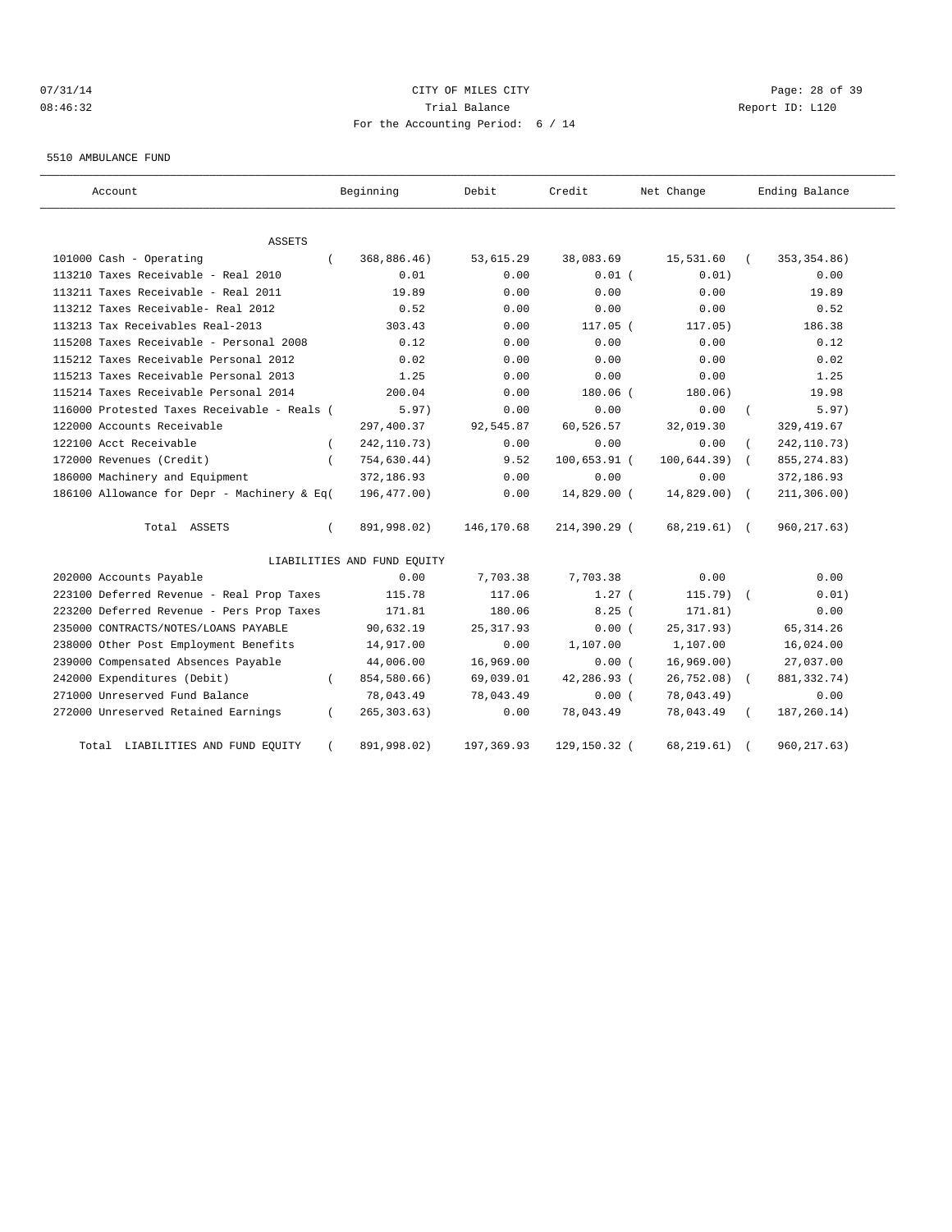# 07/31/14 Page: 28 of 39 08:46:32 Trial Balance Report ID: L120 For the Accounting Period: 6 / 14

5510 AMBULANCE FUND

| Account                                     |          | Beginning                   | Debit      | Credit       | Net Change      |            | Ending Balance |
|---------------------------------------------|----------|-----------------------------|------------|--------------|-----------------|------------|----------------|
|                                             |          |                             |            |              |                 |            |                |
| ASSETS<br>101000 Cash - Operating           |          | 368,886.46)                 | 53,615.29  | 38,083.69    | 15,531.60       |            | 353, 354.86)   |
| 113210 Taxes Receivable - Real 2010         |          | 0.01                        | 0.00       | $0.01$ (     | 0.01)           |            | 0.00           |
| 113211 Taxes Receivable - Real 2011         |          | 19.89                       | 0.00       | 0.00         | 0.00            |            | 19.89          |
| 113212 Taxes Receivable- Real 2012          |          | 0.52                        | 0.00       | 0.00         | 0.00            |            | 0.52           |
| 113213 Tax Receivables Real-2013            |          | 303.43                      | 0.00       | 117.05 (     | 117.05)         |            | 186.38         |
| 115208 Taxes Receivable - Personal 2008     |          | 0.12                        | 0.00       | 0.00         | 0.00            |            | 0.12           |
| 115212 Taxes Receivable Personal 2012       |          | 0.02                        | 0.00       | 0.00         | 0.00            |            | 0.02           |
| 115213 Taxes Receivable Personal 2013       |          | 1.25                        | 0.00       | 0.00         | 0.00            |            | 1.25           |
| 115214 Taxes Receivable Personal 2014       |          | 200.04                      | 0.00       | 180.06 (     | 180.06)         |            | 19.98          |
| 116000 Protested Taxes Receivable - Reals ( |          | 5.97)                       | 0.00       | 0.00         | 0.00            | $\left($   | 5.97)          |
| 122000 Accounts Receivable                  |          | 297,400.37                  | 92,545.87  | 60,526.57    | 32,019.30       |            | 329, 419.67    |
| 122100 Acct Receivable                      |          | 242, 110.73)                | 0.00       | 0.00         | 0.00            |            | 242, 110.73)   |
| 172000 Revenues (Credit)                    |          | 754,630.44)                 | 9.52       | 100,653.91 ( | 100, 644.39)    | $\sqrt{2}$ | 855, 274.83)   |
| 186000 Machinery and Equipment              |          | 372,186.93                  | 0.00       | 0.00         | 0.00            |            | 372,186.93     |
| 186100 Allowance for Depr - Machinery & Eq( |          | 196,477.00)                 | 0.00       | 14,829.00 (  | $14,829.00$ (   |            | 211, 306.00)   |
| Total ASSETS                                | $\left($ | 891,998.02)                 | 146,170.68 | 214,390.29 ( | $68, 219.61)$ ( |            | 960, 217.63)   |
|                                             |          | LIABILITIES AND FUND EQUITY |            |              |                 |            |                |
| 202000 Accounts Payable                     |          | 0.00                        | 7,703.38   | 7,703.38     | 0.00            |            | 0.00           |
| 223100 Deferred Revenue - Real Prop Taxes   |          | 115.78                      | 117.06     | $1.27$ (     | $115.79$ (      |            | 0.01)          |
| 223200 Deferred Revenue - Pers Prop Taxes   |          | 171.81                      | 180.06     | 8.25(        | 171.81)         |            | 0.00           |
| 235000 CONTRACTS/NOTES/LOANS PAYABLE        |          | 90,632.19                   | 25, 317.93 | 0.00(        | 25, 317.93)     |            | 65, 314.26     |
| 238000 Other Post Employment Benefits       |          | 14,917.00                   | 0.00       | 1,107.00     | 1,107.00        |            | 16,024.00      |
| 239000 Compensated Absences Payable         |          | 44,006.00                   | 16,969.00  | 0.00(        | 16,969.00)      |            | 27,037.00      |
| 242000 Expenditures (Debit)                 | $\left($ | 854,580.66)                 | 69,039.01  | 42,286.93 (  | 26,752.08)      | $\sqrt{2}$ | 881, 332. 74)  |
| 271000 Unreserved Fund Balance              |          | 78,043.49                   | 78,043.49  | 0.00(        | 78,043.49)      |            | 0.00           |
| 272000 Unreserved Retained Earnings         | $\left($ | 265, 303.63)                | 0.00       | 78,043.49    | 78,043.49       |            | 187, 260.14)   |
| LIABILITIES AND FUND EQUITY<br>Total        |          | 891,998.02)                 | 197,369.93 | 129,150.32 ( | 68, 219.61)     |            | 960, 217.63)   |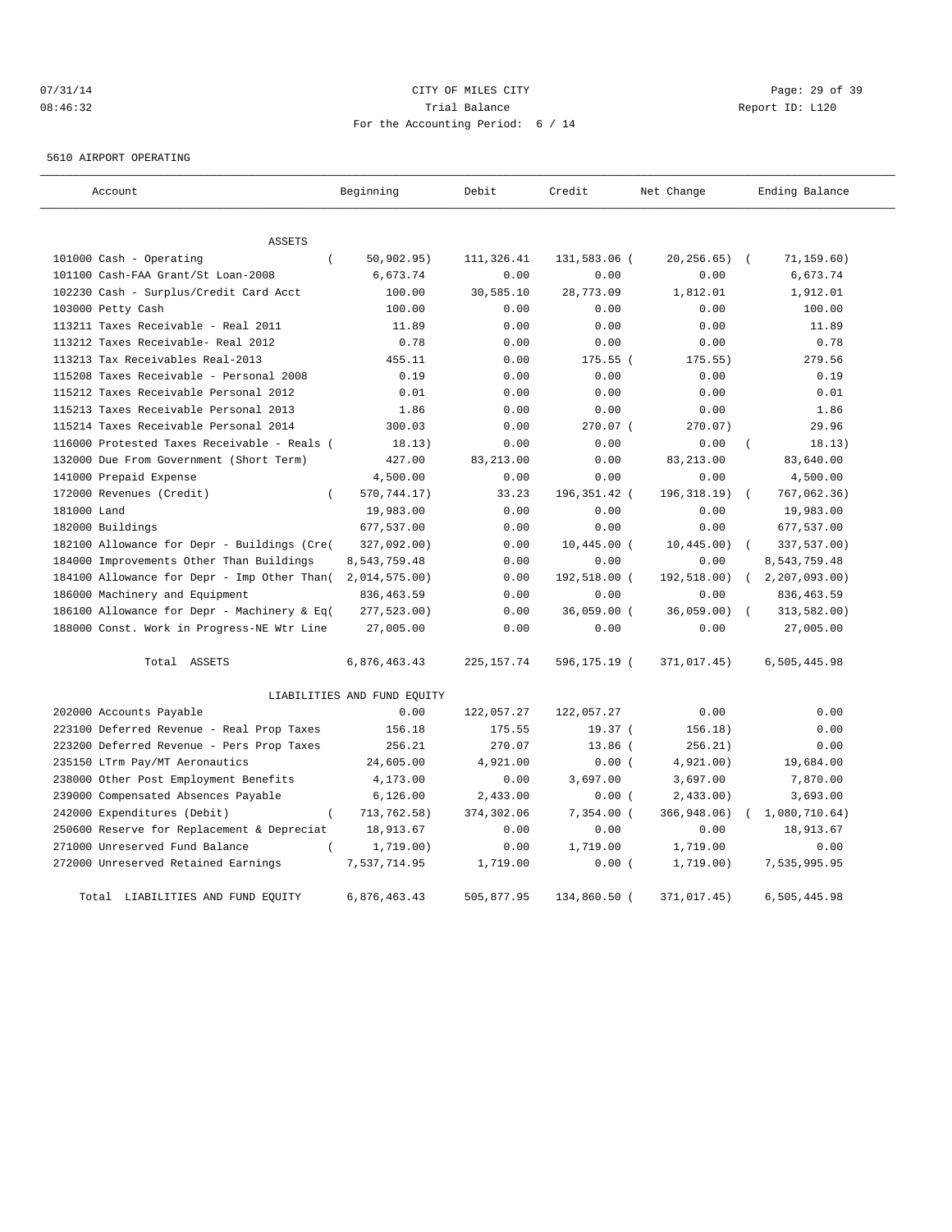# $O7/31/14$  Page: 29 of 39 08:46:32 Trial Balance Report ID: L120 For the Accounting Period: 6 / 14

5610 AIRPORT OPERATING

| Account                                         | Beginning                   | Debit       | Credit        | Net Change   | Ending Balance             |
|-------------------------------------------------|-----------------------------|-------------|---------------|--------------|----------------------------|
| <b>ASSETS</b>                                   |                             |             |               |              |                            |
| 101000 Cash - Operating<br>$\left($             | 50, 902.95)                 | 111,326.41  | 131,583.06 (  | 20, 256.65)  | 71, 159.60)<br>$\sqrt{2}$  |
| 101100 Cash-FAA Grant/St Loan-2008              | 6,673.74                    | 0.00        | 0.00          | 0.00         | 6,673.74                   |
| 102230 Cash - Surplus/Credit Card Acct          | 100.00                      | 30,585.10   | 28,773.09     | 1,812.01     | 1,912.01                   |
| 103000 Petty Cash                               | 100.00                      | 0.00        | 0.00          | 0.00         | 100.00                     |
| 113211 Taxes Receivable - Real 2011             | 11.89                       | 0.00        | 0.00          | 0.00         | 11.89                      |
| 113212 Taxes Receivable- Real 2012              | 0.78                        | 0.00        | 0.00          | 0.00         | 0.78                       |
| 113213 Tax Receivables Real-2013                | 455.11                      | 0.00        | 175.55 (      | 175.55)      | 279.56                     |
| 115208 Taxes Receivable - Personal 2008         | 0.19                        | 0.00        | 0.00          | 0.00         | 0.19                       |
| 115212 Taxes Receivable Personal 2012           | 0.01                        | 0.00        | 0.00          | 0.00         | 0.01                       |
| 115213 Taxes Receivable Personal 2013           | 1.86                        | 0.00        | 0.00          | 0.00         | 1.86                       |
| 115214 Taxes Receivable Personal 2014           | 300.03                      | 0.00        | 270.07 (      | 270.07)      | 29.96                      |
| 116000 Protested Taxes Receivable - Reals (     | 18.13)                      | 0.00        | 0.00          | 0.00         | 18.13)                     |
| 132000 Due From Government (Short Term)         | 427.00                      | 83, 213.00  | 0.00          | 83, 213.00   | 83,640.00                  |
| 141000 Prepaid Expense                          | 4,500.00                    | 0.00        | 0.00          | 0.00         | 4,500.00                   |
| 172000 Revenues (Credit)<br>$\left($            | 570,744.17)                 | 33.23       | 196,351.42 (  | 196, 318.19) | 767,062.36)<br>$\sqrt{ }$  |
| 181000 Land                                     | 19,983.00                   | 0.00        | 0.00          | 0.00         | 19,983.00                  |
| 182000 Buildings                                | 677,537.00                  | 0.00        | 0.00          | 0.00         | 677,537.00                 |
| 182100 Allowance for Depr - Buildings (Cre(     | 327,092.00)                 | 0.00        | 10,445.00 (   | 10, 445.00)  | 337,537.00)<br>$\sqrt{ }$  |
| 184000 Improvements Other Than Buildings        | 8,543,759.48                | 0.00        | 0.00          | 0.00         | 8,543,759.48               |
| 184100 Allowance for Depr - Imp Other Than (    | 2,014,575.00)               | 0.00        | 192,518.00 (  | 192,518.00)  | 2, 207, 093.00<br>$\left($ |
| 186000 Machinery and Equipment                  | 836, 463.59                 | 0.00        | 0.00          | 0.00         | 836, 463.59                |
| 186100 Allowance for Depr - Machinery & Eq(     | 277,523.00)                 | 0.00        | $36,059.00$ ( | 36,059.00)   | 313,582.00)                |
| 188000 Const. Work in Progress-NE Wtr Line      | 27,005.00                   | 0.00        | 0.00          | 0.00         | 27,005.00                  |
| Total ASSETS                                    | 6,876,463.43                | 225, 157.74 | 596,175.19 (  | 371,017.45)  | 6,505,445.98               |
|                                                 | LIABILITIES AND FUND EQUITY |             |               |              |                            |
| 202000 Accounts Payable                         | 0.00                        | 122,057.27  | 122,057.27    | 0.00         | 0.00                       |
| 223100 Deferred Revenue - Real Prop Taxes       | 156.18                      | 175.55      | 19.37 (       | 156.18)      | 0.00                       |
| 223200 Deferred Revenue - Pers Prop Taxes       | 256.21                      | 270.07      | $13.86$ (     | 256.21)      | 0.00                       |
| 235150 LTrm Pay/MT Aeronautics                  | 24,605.00                   | 4,921.00    | 0.00(         | 4,921.00)    | 19,684.00                  |
| 238000 Other Post Employment Benefits           | 4,173.00                    | 0.00        | 3,697.00      | 3,697.00     | 7,870.00                   |
| 239000 Compensated Absences Payable             | 6, 126.00                   | 2,433.00    | 0.00(         | $2,433.00$ ) | 3,693.00                   |
| 242000 Expenditures (Debit)<br>$\overline{(\ }$ | 713,762.58)                 | 374,302.06  | 7,354.00 (    | 366,948.06)  | 1,080,710.64)              |
| 250600 Reserve for Replacement & Depreciat      | 18,913.67                   | 0.00        | 0.00          | 0.00         | 18,913.67                  |
| 271000 Unreserved Fund Balance                  | 1,719.00)                   | 0.00        | 1,719.00      | 1,719.00     | 0.00                       |
| 272000 Unreserved Retained Earnings             | 7,537,714.95                | 1,719.00    | 0.00(         | 1,719.00)    | 7,535,995.95               |
| Total LIABILITIES AND FUND EQUITY               | 6,876,463.43                | 505,877.95  | 134,860.50 (  | 371,017.45)  | 6,505,445.98               |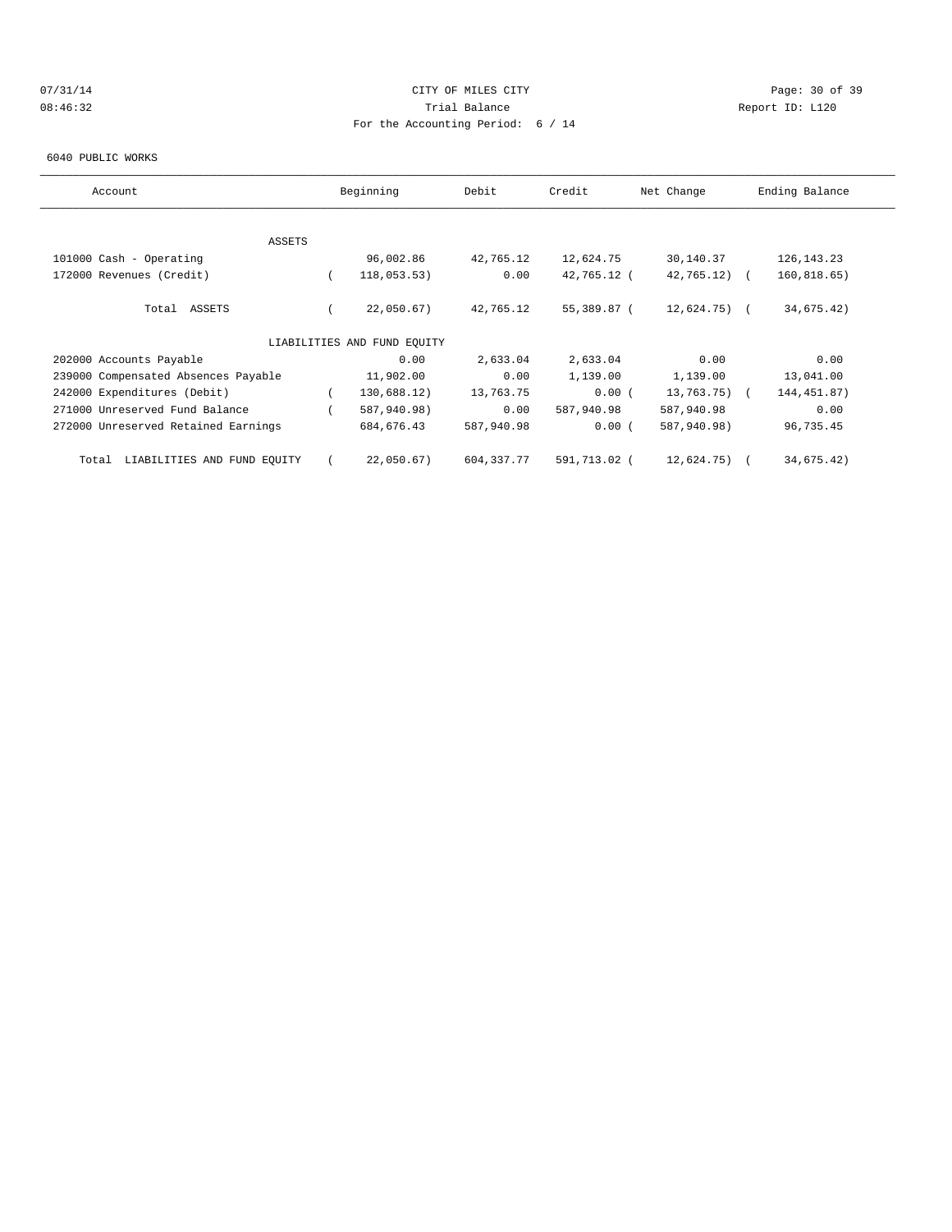# 07/31/14 Page: 30 of 39 08:46:32 Trial Balance Report ID: L120 For the Accounting Period: 6 / 14

#### 6040 PUBLIC WORKS

| Account                              | Beginning |                             | Debit<br>Credit |              | Net Change      | Ending Balance |
|--------------------------------------|-----------|-----------------------------|-----------------|--------------|-----------------|----------------|
|                                      |           |                             |                 |              |                 |                |
| <b>ASSETS</b>                        |           |                             |                 |              |                 |                |
| 101000 Cash - Operating              |           | 96,002.86                   | 42,765.12       | 12,624.75    | 30,140.37       | 126, 143. 23   |
| 172000 Revenues (Credit)             |           | 118,053.53)                 | 0.00            | 42,765.12 (  | $42,765.12$ (   | 160, 818.65)   |
| Total ASSETS                         |           | 22,050.67)                  | 42,765.12       | 55,389.87 (  | $12,624.75$ (   | 34,675.42)     |
|                                      |           | LIABILITIES AND FUND EOUITY |                 |              |                 |                |
| 202000 Accounts Payable              |           | 0.00                        | 2,633.04        | 2,633.04     | 0.00            | 0.00           |
| 239000 Compensated Absences Payable  |           | 11,902.00                   | 0.00            | 1,139.00     | 1,139.00        | 13,041.00      |
| 242000 Expenditures (Debit)          |           | 130,688.12)                 | 13,763.75       | 0.00(        | $13,763.75$ ) ( | 144, 451.87)   |
| 271000 Unreserved Fund Balance       |           | 587,940.98)                 | 0.00            | 587,940.98   | 587,940.98      | 0.00           |
| 272000 Unreserved Retained Earnings  |           | 684,676.43                  | 587,940.98      | 0.00(        | 587,940.98)     | 96,735.45      |
| LIABILITIES AND FUND EQUITY<br>Total |           | 22,050.67)                  | 604,337.77      | 591,713.02 ( | 12,624.75) (    | 34,675.42)     |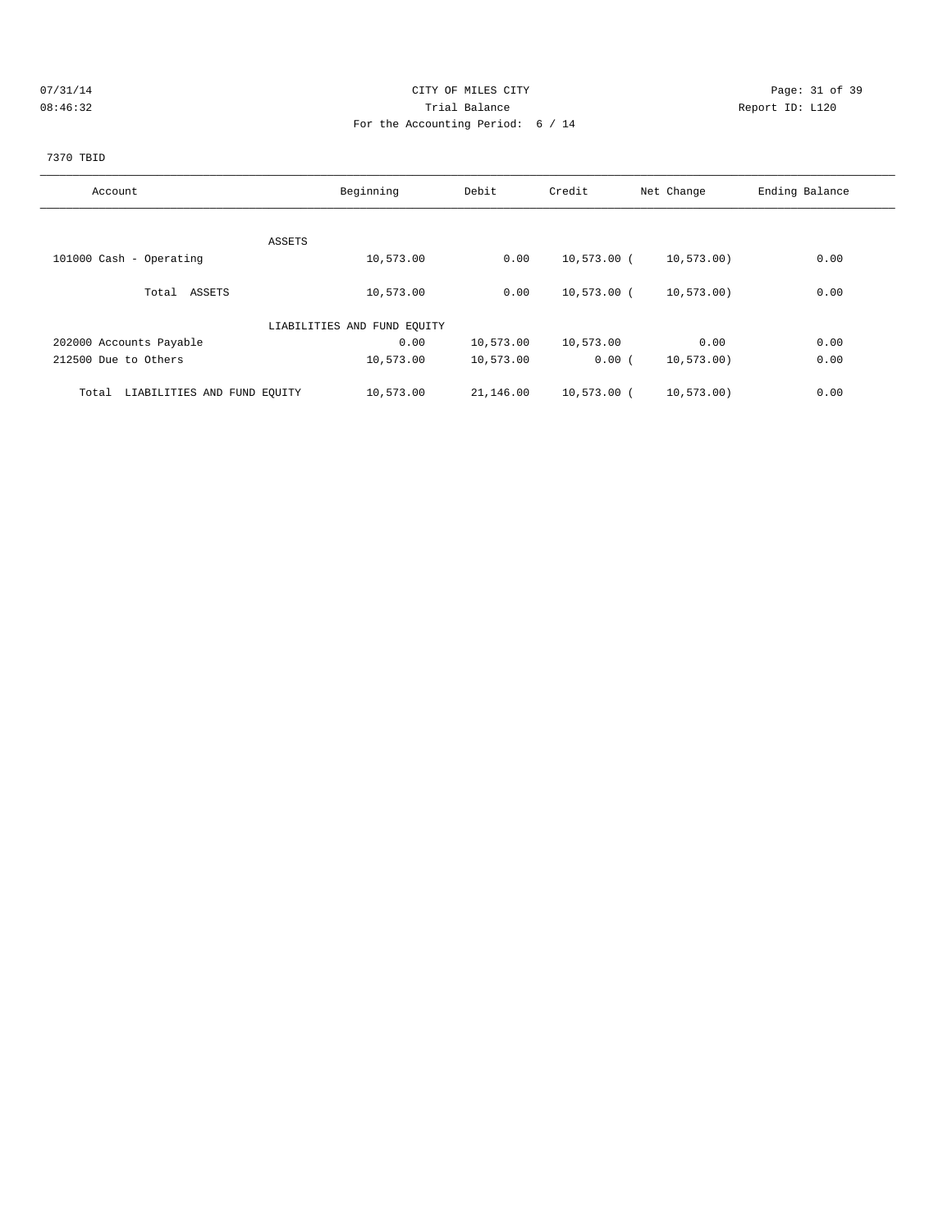# 07/31/14 Page: 31 of 39 08:46:32 Trial Balance Report ID: L120 For the Accounting Period: 6 / 14

# 7370 TBID

| Account                              | Beginning                   | Debit     | Credit        | Net Change   | Ending Balance |
|--------------------------------------|-----------------------------|-----------|---------------|--------------|----------------|
|                                      |                             |           |               |              |                |
| ASSETS                               |                             |           |               |              |                |
| 101000 Cash - Operating              | 10,573.00                   | 0.00      | 10,573.00 (   | 10, 573, 00) | 0.00           |
| Total ASSETS                         | 10,573.00                   | 0.00      | $10,573.00$ ( | 10, 573.00)  | 0.00           |
|                                      | LIABILITIES AND FUND EOUITY |           |               |              |                |
| 202000 Accounts Payable              | 0.00                        | 10,573.00 | 10,573.00     | 0.00         | 0.00           |
| 212500 Due to Others                 | 10,573.00                   | 10,573.00 | 0.00(         | 10, 573, 00) | 0.00           |
| LIABILITIES AND FUND EQUITY<br>Total | 10,573.00                   | 21,146.00 | 10,573.00 (   | 10, 573.00)  | 0.00           |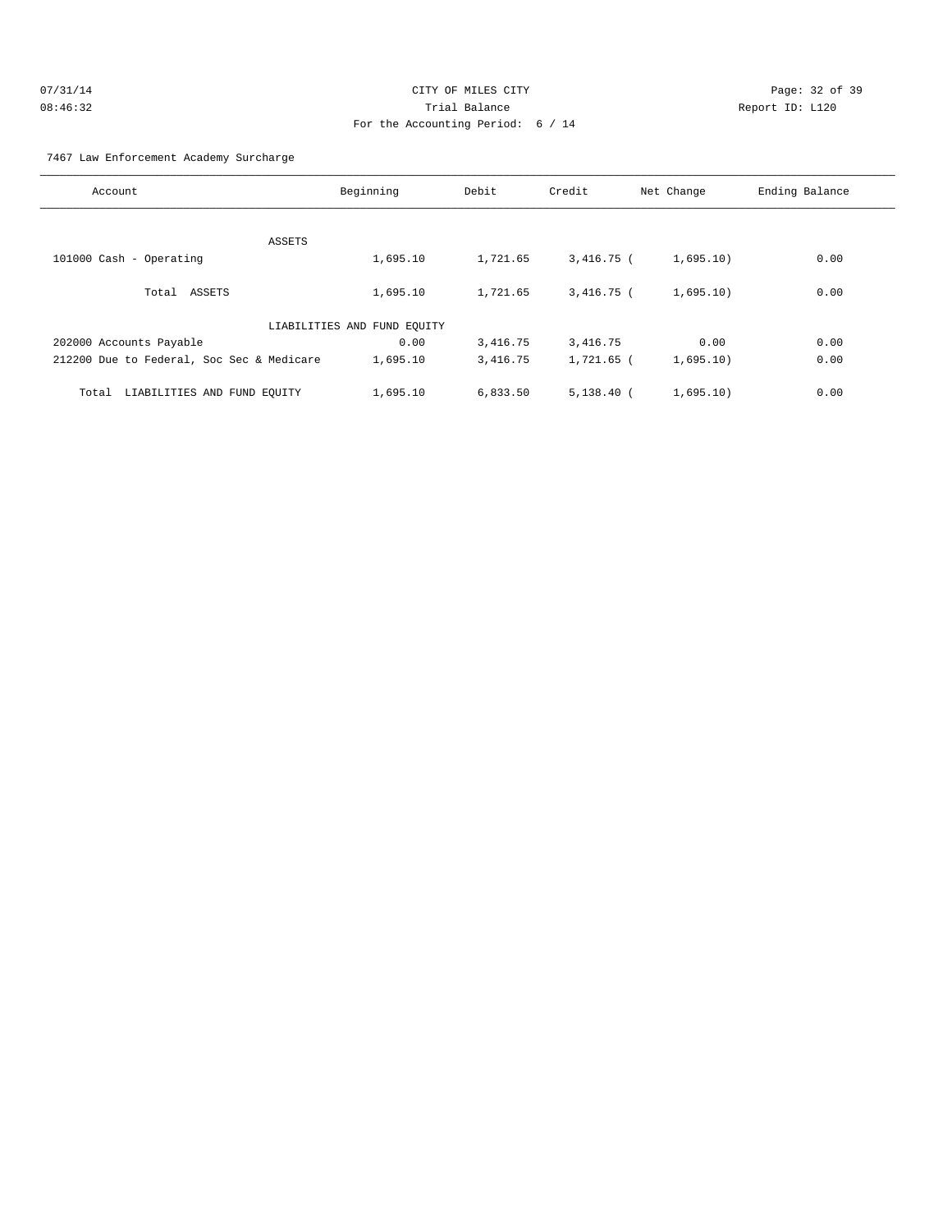| 07/31/14 | CITY OF MILES CITY                |    |
|----------|-----------------------------------|----|
| 08:46:32 | Trial Balance                     | Re |
|          | For the Accounting Period: 6 / 14 |    |

Page: 32 of 39 eport ID: L120

## 7467 Law Enforcement Academy Surcharge

| Account                                   | Beginning                   | Debit    | Credit       | Net Change | Ending Balance |
|-------------------------------------------|-----------------------------|----------|--------------|------------|----------------|
|                                           |                             |          |              |            |                |
| ASSETS                                    |                             |          |              |            |                |
| 101000 Cash - Operating                   | 1,695.10                    | 1,721.65 | 3,416.75 (   | 1,695.10)  | 0.00           |
| Total ASSETS                              | 1,695.10                    | 1,721.65 | $3,416.75$ ( | 1,695.10)  | 0.00           |
|                                           | LIABILITIES AND FUND EQUITY |          |              |            |                |
| 202000 Accounts Payable                   | 0.00                        | 3,416.75 | 3,416.75     | 0.00       | 0.00           |
| 212200 Due to Federal, Soc Sec & Medicare | 1,695.10                    | 3,416.75 | 1,721.65 (   | 1,695.10)  | 0.00           |
| LIABILITIES AND FUND EQUITY<br>Total      | 1,695.10                    | 6,833.50 | $5.138.40$ ( | 1,695.10)  | 0.00           |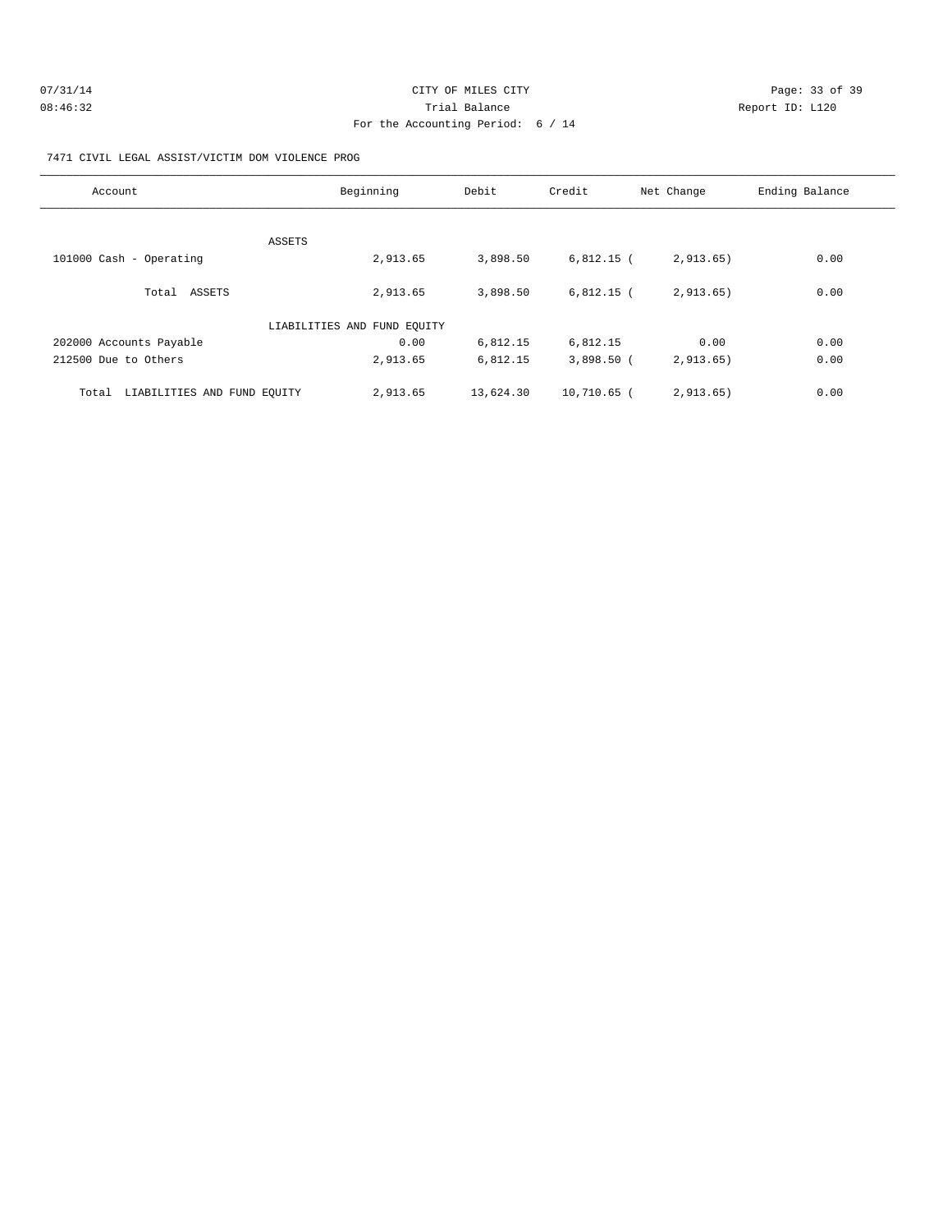| 07/31/14 | CITY OF MILES CITY                | Page: 33 of 39  |
|----------|-----------------------------------|-----------------|
| 08:46:32 | Trial Balance                     | Report ID: L120 |
|          | For the Accounting Period: 6 / 14 |                 |

#### 7471 CIVIL LEGAL ASSIST/VICTIM DOM VIOLENCE PROG

| Account                              | Beginning                   | Debit     | Credit       | Net Change | Ending Balance |
|--------------------------------------|-----------------------------|-----------|--------------|------------|----------------|
|                                      |                             |           |              |            |                |
| ASSETS<br>101000 Cash - Operating    | 2,913.65                    | 3,898.50  | $6,812.15$ ( | 2,913.65)  | 0.00           |
| Total ASSETS                         | 2,913.65                    | 3,898.50  | $6,812.15$ ( | 2,913.65)  | 0.00           |
|                                      | LIABILITIES AND FUND EQUITY |           |              |            |                |
| 202000 Accounts Payable              | 0.00                        | 6,812.15  | 6,812.15     | 0.00       | 0.00           |
| 212500 Due to Others                 | 2,913.65                    | 6,812.15  | $3,898.50$ ( | 2,913.65)  | 0.00           |
| Total<br>LIABILITIES AND FUND EQUITY | 2,913.65                    | 13,624.30 | 10,710.65 (  | 2,913.65)  | 0.00           |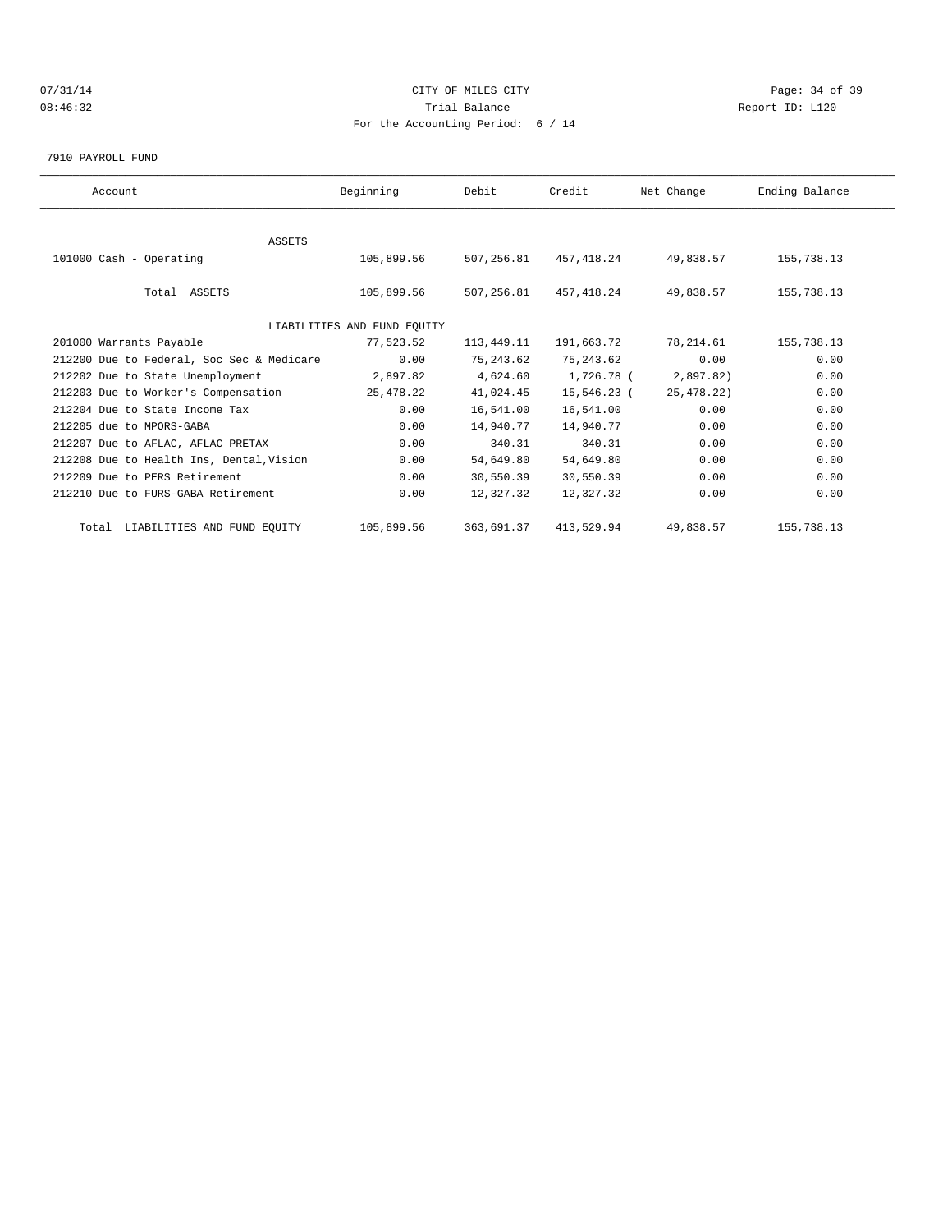# $O7/31/14$  Page: 34 of 39 08:46:32 Trial Balance Report ID: L120 For the Accounting Period: 6 / 14

#### 7910 PAYROLL FUND

| Account                                   | Beginning                   | Debit      | Credit      | Net Change | Ending Balance |  |
|-------------------------------------------|-----------------------------|------------|-------------|------------|----------------|--|
|                                           |                             |            |             |            |                |  |
| <b>ASSETS</b>                             |                             |            |             |            |                |  |
| 101000 Cash - Operating                   | 105,899.56                  | 507,256.81 | 457,418.24  | 49,838.57  | 155,738.13     |  |
| Total ASSETS                              | 105,899.56                  | 507,256.81 | 457,418.24  | 49,838.57  | 155,738.13     |  |
|                                           | LIABILITIES AND FUND EQUITY |            |             |            |                |  |
| 201000 Warrants Payable                   | 77,523.52                   | 113,449.11 | 191,663.72  | 78,214.61  | 155,738.13     |  |
| 212200 Due to Federal, Soc Sec & Medicare | 0.00                        | 75,243.62  | 75, 243.62  | 0.00       | 0.00           |  |
| 212202 Due to State Unemployment          | 2,897.82                    | 4,624.60   | 1,726.78 (  | 2,897.82)  | 0.00           |  |
| 212203 Due to Worker's Compensation       | 25,478.22                   | 41,024.45  | 15,546.23 ( | 25,478.22) | 0.00           |  |
| 212204 Due to State Income Tax            | 0.00                        | 16,541.00  | 16,541.00   | 0.00       | 0.00           |  |
| 212205 due to MPORS-GABA                  | 0.00                        | 14,940.77  | 14,940.77   | 0.00       | 0.00           |  |
| 212207 Due to AFLAC, AFLAC PRETAX         | 0.00                        | 340.31     | 340.31      | 0.00       | 0.00           |  |
| 212208 Due to Health Ins, Dental, Vision  | 0.00                        | 54,649.80  | 54,649.80   | 0.00       | 0.00           |  |
| 212209 Due to PERS Retirement             | 0.00                        | 30,550.39  | 30,550.39   | 0.00       | 0.00           |  |
| 212210 Due to FURS-GABA Retirement        | 0.00                        | 12,327.32  | 12,327.32   | 0.00       | 0.00           |  |
| Total LIABILITIES AND FUND EQUITY         | 105,899.56                  | 363,691.37 | 413,529.94  | 49,838.57  | 155,738.13     |  |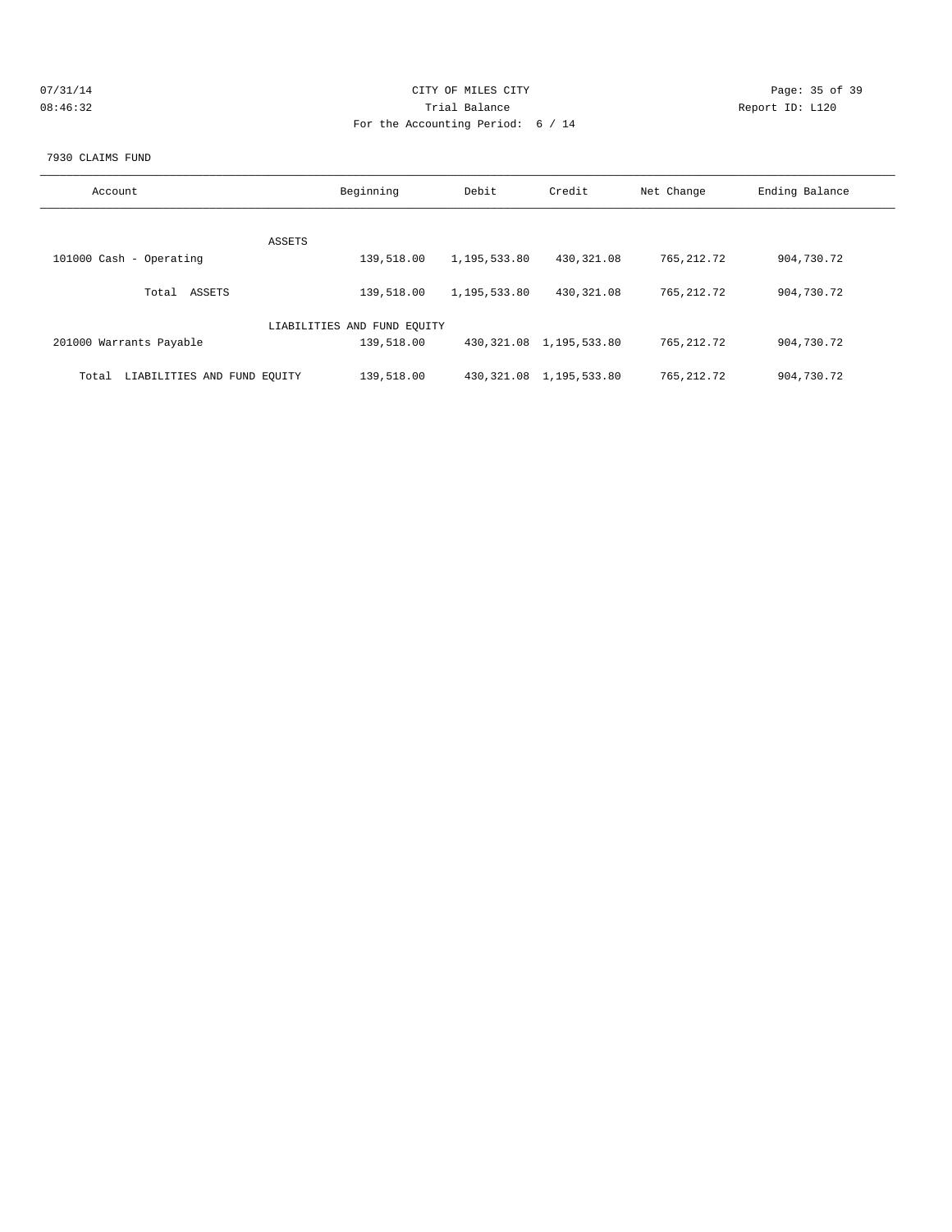| 07/31/14 | CITY OF MILES CITY                | Page: 35 of 39  |
|----------|-----------------------------------|-----------------|
| 08:46:32 | Trial Balance                     | Report ID: L120 |
|          | For the Accounting Period: 6 / 14 |                 |
|          |                                   |                 |

#### 7930 CLAIMS FUND

| Account                              | Beginning                   | Debit        | Credit                       | Net Change   | Ending Balance |
|--------------------------------------|-----------------------------|--------------|------------------------------|--------------|----------------|
|                                      |                             |              |                              |              |                |
|                                      | ASSETS                      |              |                              |              |                |
| 101000 Cash - Operating              | 139,518.00                  | 1,195,533.80 | 430,321.08                   | 765, 212.72  | 904,730.72     |
|                                      |                             |              |                              |              |                |
| ASSETS<br>Total                      | 139,518.00                  | 1,195,533.80 | 430,321.08                   | 765, 212. 72 | 904,730.72     |
|                                      |                             |              |                              |              |                |
|                                      | LIABILITIES AND FUND EQUITY |              |                              |              |                |
|                                      |                             |              |                              |              |                |
| 201000 Warrants Payable              | 139,518.00                  |              | 430, 321, 08 1, 195, 533, 80 | 765, 212. 72 | 904,730.72     |
|                                      |                             |              |                              |              |                |
| LIABILITIES AND FUND EOUITY<br>Total | 139,518.00                  |              | 430, 321.08 1, 195, 533.80   | 765, 212.72  | 904,730.72     |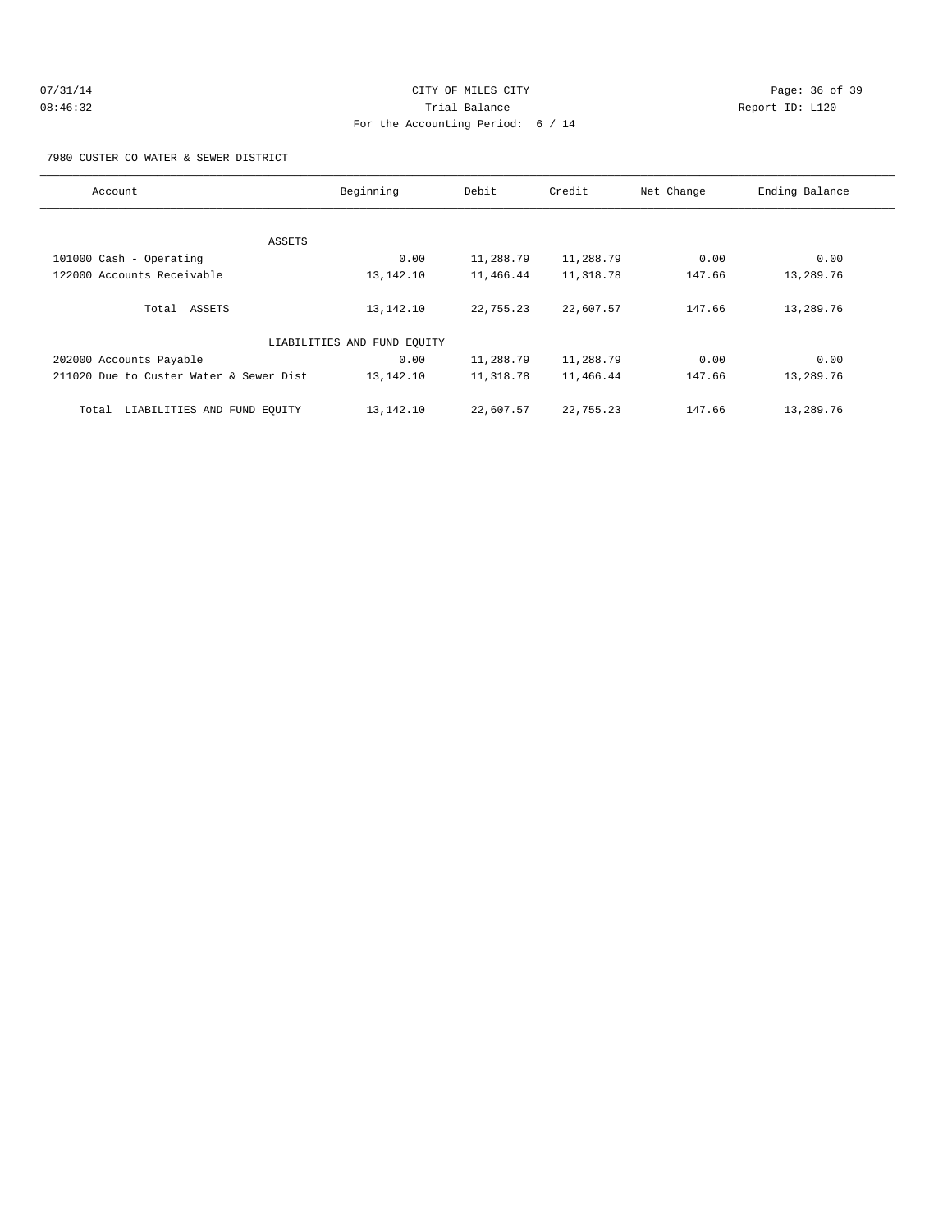# 07/31/14 Page: 36 of 39 08:46:32 Trial Balance Report ID: L120 For the Accounting Period: 6 / 14

7980 CUSTER CO WATER & SEWER DISTRICT

| Account                                 | Beginning                   | Debit     | Credit    | Net Change | Ending Balance |
|-----------------------------------------|-----------------------------|-----------|-----------|------------|----------------|
|                                         |                             |           |           |            |                |
|                                         | ASSETS                      |           |           |            |                |
| 101000 Cash - Operating                 | 0.00                        | 11,288.79 | 11,288.79 | 0.00       | 0.00           |
| 122000 Accounts Receivable              | 13,142.10                   | 11,466.44 | 11,318.78 | 147.66     | 13,289.76      |
| Total ASSETS                            | 13,142.10                   | 22,755.23 | 22,607.57 | 147.66     | 13,289.76      |
|                                         | LIABILITIES AND FUND EQUITY |           |           |            |                |
| 202000 Accounts Payable                 | 0.00                        | 11,288.79 | 11,288.79 | 0.00       | 0.00           |
| 211020 Due to Custer Water & Sewer Dist | 13,142.10                   | 11,318.78 | 11,466.44 | 147.66     | 13,289.76      |
| LIABILITIES AND FUND EQUITY<br>Total    | 13,142.10                   | 22,607.57 | 22,755.23 | 147.66     | 13,289.76      |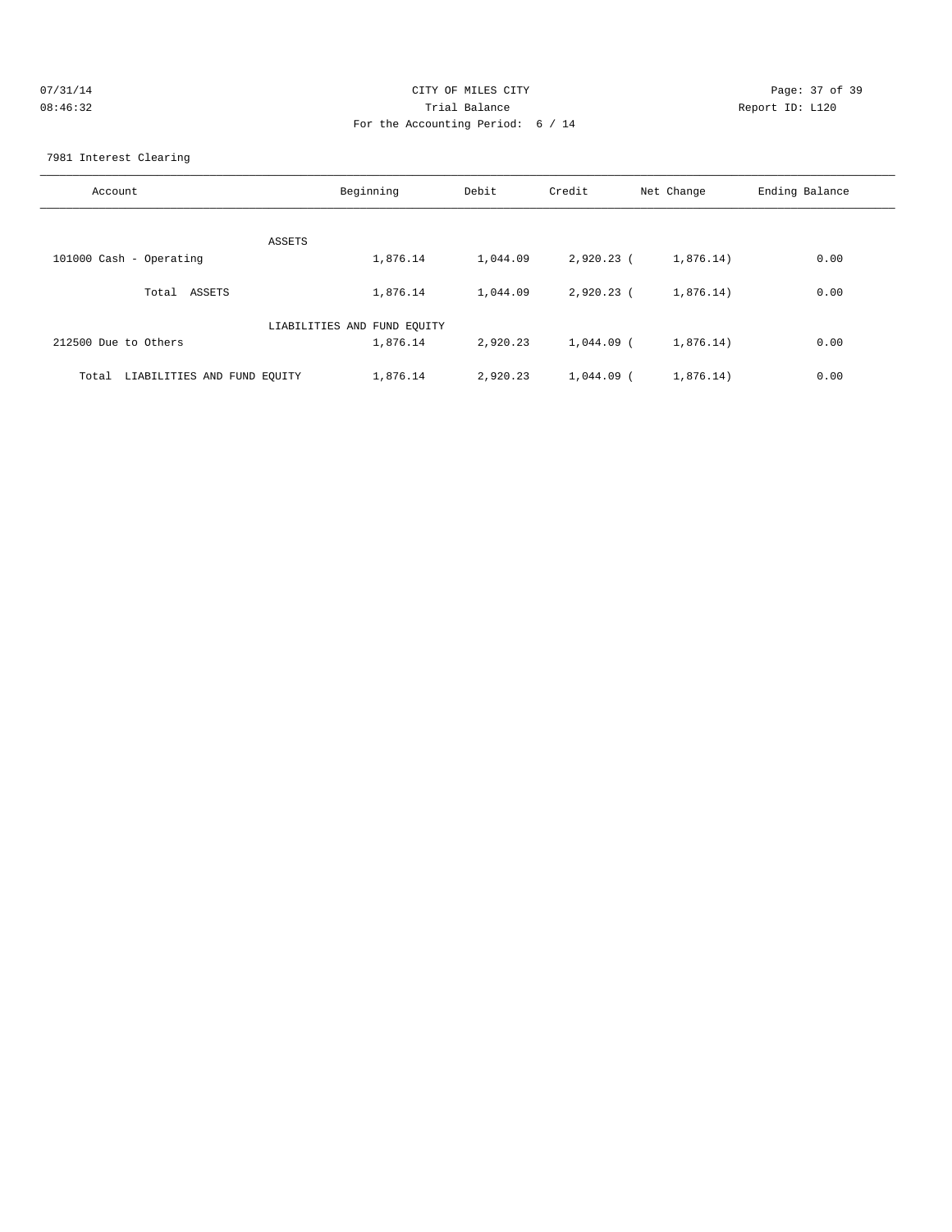| 07/31/14 | CITY OF MILES CITY                | Page: 37 of 39  |
|----------|-----------------------------------|-----------------|
| 08:46:32 | Trial Balance                     | Report ID: L120 |
|          | For the Accounting Period: 6 / 14 |                 |
|          |                                   |                 |

#### 7981 Interest Clearing

| Account                              | Beginning                   | Debit    | Credit       | Net Change | Ending Balance |
|--------------------------------------|-----------------------------|----------|--------------|------------|----------------|
| ASSETS                               |                             |          |              |            |                |
| 101000 Cash - Operating              | 1,876.14                    | 1,044.09 | $2,920.23$ ( | 1,876.14)  | 0.00           |
| Total ASSETS                         | 1,876.14                    | 1,044.09 | $2,920.23$ ( | 1,876.14)  | 0.00           |
|                                      | LIABILITIES AND FUND EQUITY |          |              |            |                |
| 212500 Due to Others                 | 1,876.14                    | 2,920.23 | 1,044.09 (   | 1,876.14)  | 0.00           |
| LIABILITIES AND FUND EQUITY<br>Total | 1,876.14                    | 2,920.23 | $1,044.09$ ( | 1,876.14)  | 0.00           |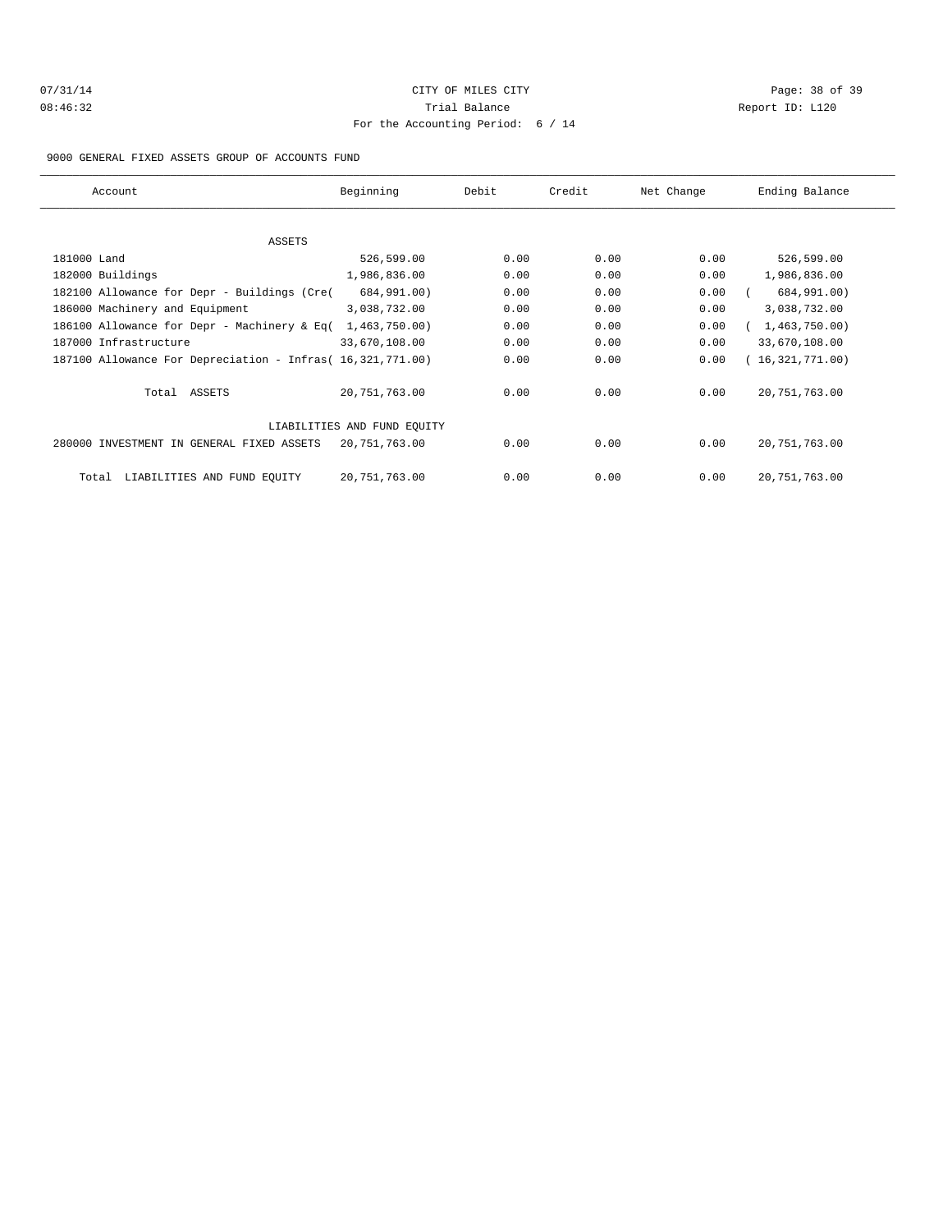# 07/31/14 Page: 38 of 39 08:46:32 Trial Balance Report ID: L120 For the Accounting Period: 6 / 14

9000 GENERAL FIXED ASSETS GROUP OF ACCOUNTS FUND

| Account                                                    | Beginning                   | Debit | Credit | Net Change | Ending Balance  |
|------------------------------------------------------------|-----------------------------|-------|--------|------------|-----------------|
|                                                            |                             |       |        |            |                 |
| <b>ASSETS</b>                                              |                             |       |        |            |                 |
| 181000 Land                                                | 526,599.00                  | 0.00  | 0.00   | 0.00       | 526,599.00      |
| 182000 Buildings                                           | 1,986,836.00                | 0.00  | 0.00   | 0.00       | 1,986,836.00    |
| 182100 Allowance for Depr - Buildings (Cre(                | 684,991.00)                 | 0.00  | 0.00   | 0.00       | 684,991.00)     |
| 186000 Machinery and Equipment                             | 3,038,732.00                | 0.00  | 0.00   | 0.00       | 3,038,732.00    |
| 186100 Allowance for Depr - Machinery & Eq(                | 1,463,750.00)               | 0.00  | 0.00   | 0.00       | 1,463,750.00    |
| 187000 Infrastructure                                      | 33,670,108.00               | 0.00  | 0.00   | 0.00       | 33,670,108.00   |
| 187100 Allowance For Depreciation - Infras( 16,321,771.00) |                             | 0.00  | 0.00   | 0.00       | 16,321,771.00   |
| Total ASSETS                                               | 20,751,763.00               | 0.00  | 0.00   | 0.00       | 20, 751, 763.00 |
|                                                            | LIABILITIES AND FUND EOUITY |       |        |            |                 |
| 280000 INVESTMENT IN GENERAL FIXED ASSETS                  | 20,751,763.00               | 0.00  | 0.00   | 0.00       | 20, 751, 763.00 |
| LIABILITIES AND FUND EQUITY<br>Total                       | 20,751,763.00               | 0.00  | 0.00   | 0.00       | 20, 751, 763.00 |